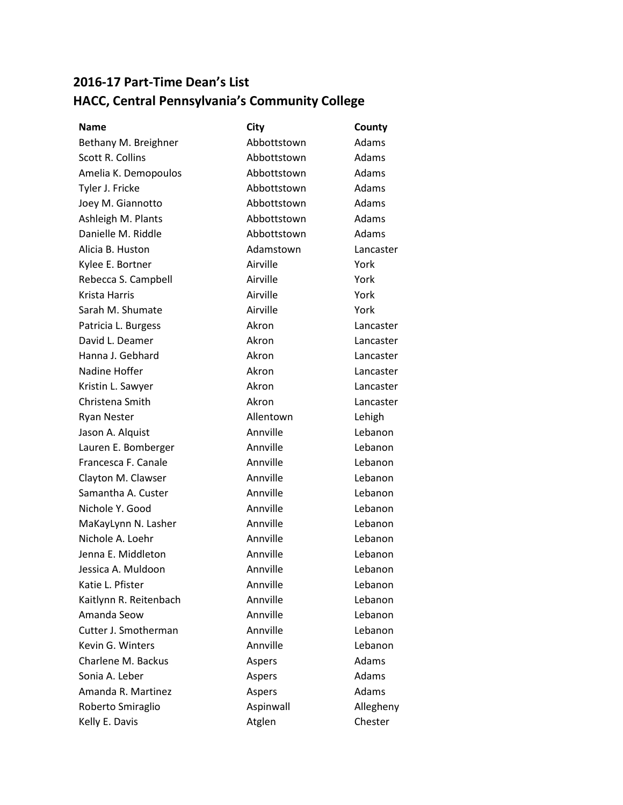## **2016-17 Part-Time Dean's List HACC, Central Pennsylvania's Community College**

| Name                   | City        | County    |
|------------------------|-------------|-----------|
| Bethany M. Breighner   | Abbottstown | Adams     |
| Scott R. Collins       | Abbottstown | Adams     |
| Amelia K. Demopoulos   | Abbottstown | Adams     |
| Tyler J. Fricke        | Abbottstown | Adams     |
| Joey M. Giannotto      | Abbottstown | Adams     |
| Ashleigh M. Plants     | Abbottstown | Adams     |
| Danielle M. Riddle     | Abbottstown | Adams     |
| Alicia B. Huston       | Adamstown   | Lancaster |
| Kylee E. Bortner       | Airville    | York      |
| Rebecca S. Campbell    | Airville    | York      |
| Krista Harris          | Airville    | York      |
| Sarah M. Shumate       | Airville    | York      |
| Patricia L. Burgess    | Akron       | Lancaster |
| David L. Deamer        | Akron       | Lancaster |
| Hanna J. Gebhard       | Akron       | Lancaster |
| Nadine Hoffer          | Akron       | Lancaster |
| Kristin L. Sawyer      | Akron       | Lancaster |
| Christena Smith        | Akron       | Lancaster |
| <b>Ryan Nester</b>     | Allentown   | Lehigh    |
| Jason A. Alquist       | Annville    | Lebanon   |
| Lauren E. Bomberger    | Annville    | Lebanon   |
| Francesca F. Canale    | Annville    | Lebanon   |
| Clayton M. Clawser     | Annville    | Lebanon   |
| Samantha A. Custer     | Annville    | Lebanon   |
| Nichole Y. Good        | Annville    | Lebanon   |
| MaKayLynn N. Lasher    | Annville    | Lebanon   |
| Nichole A. Loehr       | Annville    | Lebanon   |
| Jenna E. Middleton     | Annville    | Lebanon   |
| Jessica A. Muldoon     | Annville    | Lebanon   |
| Katie L. Pfister       | Annville    | Lebanon   |
| Kaitlynn R. Reitenbach | Annville    | Lebanon   |
| Amanda Seow            | Annville    | Lebanon   |
| Cutter J. Smotherman   | Annville    | Lebanon   |
| Kevin G. Winters       | Annville    | Lebanon   |
| Charlene M. Backus     | Aspers      | Adams     |
| Sonia A. Leber         | Aspers      | Adams     |
| Amanda R. Martinez     | Aspers      | Adams     |
| Roberto Smiraglio      | Aspinwall   | Allegheny |
| Kelly E. Davis         | Atglen      | Chester   |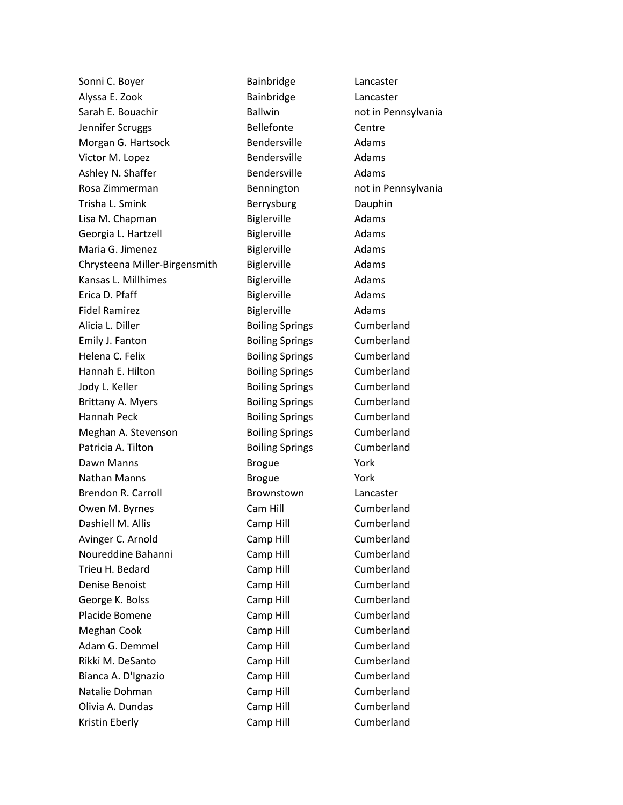Sonni C. Boyer **Bainbridge** Lancaster Alyssa E. Zook Bainbridge Lancaster Sarah E. Bouachir **Ballwin** Ballwin not in Pennsylvania Jennifer Scruggs The Rellefonte Centre Morgan G. Hartsock Bendersville Adams Victor M. Lopez **Bendersville** Adams Ashley N. Shaffer **Bendersville** Adams Rosa Zimmerman **Bennington** Bennington hot in Pennsylvania Trisha L. Smink **Berrysburg** Dauphin Lisa M. Chapman Biglerville Adams Georgia L. Hartzell **Biglerville** Biglerville Adams Maria G. Jimenez **Biglerville** Adams Chrysteena Miller-Birgensmith Biglerville Adams Kansas L. Millhimes **Biglerville** Adams Erica D. Pfaff **Biglerville** Biglerville Adams Fidel Ramirez **Biglerville** Adams Alicia L. Diller **Boiling Springs** Cumberland Emily J. Fanton **Boiling Springs** Cumberland Helena C. Felix **Boiling Springs** Cumberland Hannah E. Hilton **Boiling Springs** Cumberland Jody L. Keller **Boiling Springs** Cumberland Brittany A. Myers **Boiling Springs** Cumberland Hannah Peck Boiling Springs Cumberland Meghan A. Stevenson **Boiling Springs** Cumberland Patricia A. Tilton **Boiling Springs** Cumberland Dawn Manns **Brogue Promotional Property** Brogue **Promotion** Nathan Manns **Brogue Nathan Manns** Brendon R. Carroll **Brownstown** Lancaster Owen M. Byrnes **Cam Hill** Cam Hill Cumberland Dashiell M. Allis **Camp Hill** Cumberland Avinger C. Arnold Camp Hill Cumberland Noureddine Bahanni Camp Hill Cumberland Trieu H. Bedard Camp Hill Cumberland Denise Benoist **Camp Hill** Camp Hill Cumberland George K. Bolss **Camp Hill** Camp Hill Cumberland Placide Bomene Camp Hill Cumberland Meghan Cook Camp Hill Cumberland Adam G. Demmel Camp Hill Cumberland Rikki M. DeSanto **Camp Hill** Camp Hill Cumberland Bianca A. D'Ignazio **Camp Hill** Cumberland Natalie Dohman Camp Hill Cumberland Olivia A. Dundas Camp Hill Cumberland Kristin Eberly **Camp Hill** Camp Hill Cumberland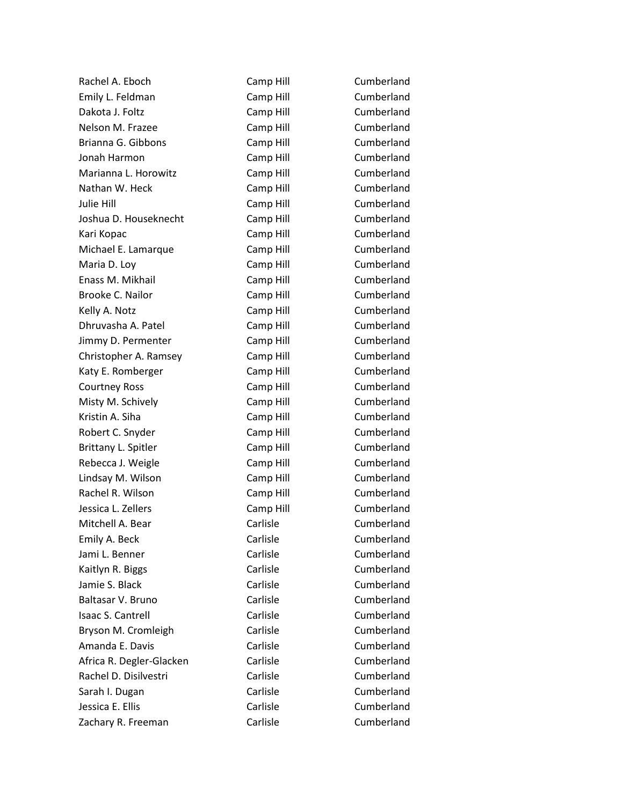Rachel A. Eboch Camp Hill Cumberland Emily L. Feldman Camp Hill Cumberland Dakota J. Foltz **Camp Hill** Camp Hill Cumberland Nelson M. Frazee **Camp Hill** Cumberland Brianna G. Gibbons Camp Hill Cumberland Jonah Harmon Camp Hill Cumberland Marianna L. Horowitz **Camp Hill** Cumberland Nathan W. Heck Camp Hill Cumberland Julie Hill Camp Hill Cumberland Joshua D. Houseknecht Camp Hill Cumberland Kari Kopac **Camp Hill** Camp Hill Cumberland Michael E. Lamarque **Camp Hill** Cumberland Maria D. Loy Camp Hill Cumberland Enass M. Mikhail Camp Hill Cumberland Brooke C. Nailor Camp Hill Cumberland Kelly A. Notz **Camp Hill** Camp Hill Cumberland Dhruvasha A. Patel Camp Hill Cumberland Jimmy D. Permenter **Camp Hill** Cumberland Christopher A. Ramsey Camp Hill Cumberland Katy E. Romberger Camp Hill Cumberland Courtney Ross Camp Hill Cumberland Misty M. Schively **Camp Hill** Camp Hill Cumberland Kristin A. Siha Camp Hill Cumberland Robert C. Snyder Camp Hill Cumberland Brittany L. Spitler Camp Hill Cumberland Rebecca J. Weigle Camp Hill Cumberland Lindsay M. Wilson Camp Hill Cumberland Rachel R. Wilson Camp Hill Cumberland Jessica L. Zellers Camp Hill Cumberland Mitchell A. Bear Carlisle Carlisle Cumberland Emily A. Beck Carlisle Carlisle Cumberland Jami L. Benner Carlisle Carlisle Cumberland Kaitlyn R. Biggs **Carlisle** Carlisle Cumberland Jamie S. Black Carlisle Cumberland Baltasar V. Bruno Carlisle Cumberland Isaac S. Cantrell **Carlisle** Carlisle Cumberland Bryson M. Cromleigh Carlisle Cumberland Amanda E. Davis Carlisle Carlisle Cumberland Africa R. Degler-Glacken Carlisle Carlisle Cumberland Rachel D. Disilvestri Carlisle Cumberland Sarah I. Dugan Carlisle Carlisle Cumberland Jessica E. Ellis Carlisle Cumberland Zachary R. Freeman Carlisle Carlisle Cumberland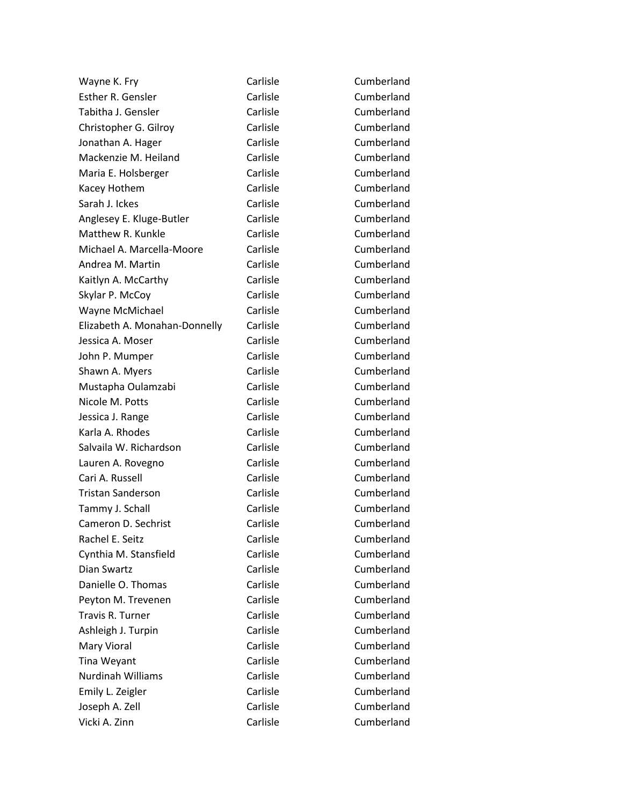Wayne K. Fry **Carlisle** Carlisle Cumberland Esther R. Gensler Carlisle Carlisle Cumberland Tabitha J. Gensler Carlisle Carlisle Cumberland Christopher G. Gilroy Carlisle Cumberland Jonathan A. Hager **Carlisle** Carlisle Cumberland Mackenzie M. Heiland Carlisle Cumberland Cumberland Maria E. Holsberger Carlisle Cumberland Kacey Hothem Carlisle Carlisle Cumberland Sarah J. Ickes Carlisle Carlisle Cumberland Anglesey E. Kluge-Butler Carlisle Carlisle Cumberland Matthew R. Kunkle Carlisle Carlisle Cumberland Michael A. Marcella-Moore Carlisle Cumberland Andrea M. Martin **Carlisle** Carlisle Cumberland Kaitlyn A. McCarthy **Carlisle** Carlisle Cumberland Skylar P. McCoy **Carlisle** Carlisle Cumberland Wayne McMichael **Carlisle** Carlisle Cumberland Elizabeth A. Monahan-Donnelly Carlisle Cumberland Jessica A. Moser **Carlisle** Carlisle Cumberland John P. Mumper Carlisle Carlisle Cumberland Shawn A. Myers **Carlisle** Carlisle Cumberland Mustapha Oulamzabi Carlisle Cumberland Nicole M. Potts **Carlisle** Carlisle Cumberland Jessica J. Range **Carlisle** Carlisle Cumberland Karla A. Rhodes Carlisle Cumberland Salvaila W. Richardson Carlisle Cumberland Lauren A. Rovegno Carlisle Cumberland Cari A. Russell Carlisle Cumberland Tristan Sanderson Carlisle Cumberland Tammy J. Schall **Carlisle** Carlisle Cumberland Cameron D. Sechrist Carlisle Carlisle Cumberland Rachel E. Seitz **Carlisle** Carlisle Cumberland Cynthia M. Stansfield Carlisle Carlisle Cumberland Dian Swartz Carlisle Cumberland Danielle O. Thomas Carlisle Carlisle Cumberland Peyton M. Trevenen Carlisle Carlisle Cumberland Travis R. Turner Carlisle Carlisle Cumberland Ashleigh J. Turpin Carlisle Carlisle Cumberland Mary Vioral **Carlisle** Carlisle Cumberland Tina Weyant **Carlisle** Carlisle Cumberland Nurdinah Williams Carlisle Cumberland Emily L. Zeigler Carlisle Carlisle Cumberland Joseph A. Zell **Carlisle** Carlisle Cumberland Vicki A. Zinn Carlisle Cumberland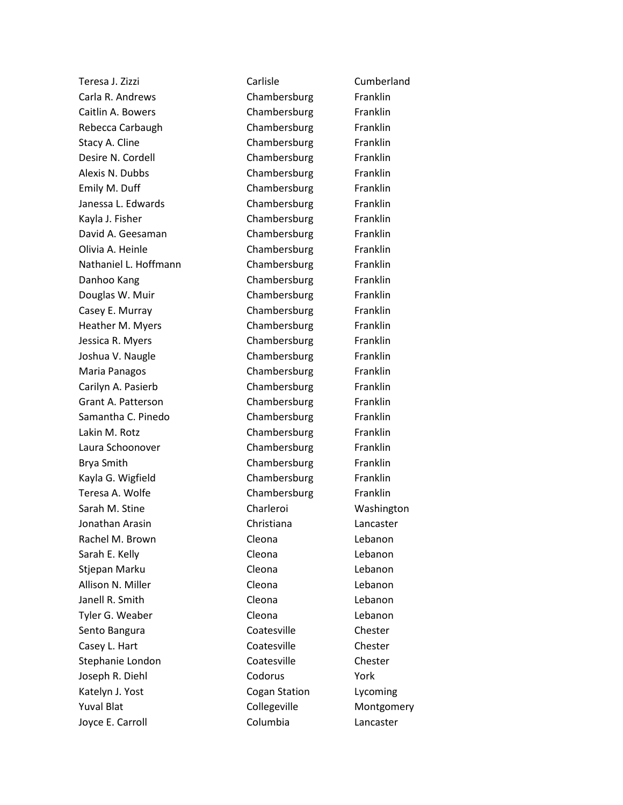| Teresa J. Zizzi           | Carlisle      | Cumberland |
|---------------------------|---------------|------------|
| Carla R. Andrews          | Chambersburg  | Franklin   |
| Caitlin A. Bowers         | Chambersburg  | Franklin   |
| Rebecca Carbaugh          | Chambersburg  | Franklin   |
| Stacy A. Cline            | Chambersburg  | Franklin   |
| Desire N. Cordell         | Chambersburg  | Franklin   |
| Alexis N. Dubbs           | Chambersburg  | Franklin   |
| Emily M. Duff             | Chambersburg  | Franklin   |
| Janessa L. Edwards        | Chambersburg  | Franklin   |
| Kayla J. Fisher           | Chambersburg  | Franklin   |
| David A. Geesaman         | Chambersburg  | Franklin   |
| Olivia A. Heinle          | Chambersburg  | Franklin   |
| Nathaniel L. Hoffmann     | Chambersburg  | Franklin   |
| Danhoo Kang               | Chambersburg  | Franklin   |
| Douglas W. Muir           | Chambersburg  | Franklin   |
| Casey E. Murray           | Chambersburg  | Franklin   |
| Heather M. Myers          | Chambersburg  | Franklin   |
| Jessica R. Myers          | Chambersburg  | Franklin   |
| Joshua V. Naugle          | Chambersburg  | Franklin   |
| Maria Panagos             | Chambersburg  | Franklin   |
| Carilyn A. Pasierb        | Chambersburg  | Franklin   |
| <b>Grant A. Patterson</b> | Chambersburg  | Franklin   |
| Samantha C. Pinedo        | Chambersburg  | Franklin   |
| Lakin M. Rotz             | Chambersburg  | Franklin   |
| Laura Schoonover          | Chambersburg  | Franklin   |
| Brya Smith                | Chambersburg  | Franklin   |
| Kayla G. Wigfield         | Chambersburg  | Franklin   |
| Teresa A. Wolfe           | Chambersburg  | Franklin   |
| Sarah M. Stine            | Charleroi     | Washington |
| Jonathan Arasin           | Christiana    | Lancaster  |
| Rachel M. Brown           | Cleona        | Lebanon    |
| Sarah E. Kelly            | Cleona        | Lebanon    |
| Stjepan Marku             | Cleona        | Lebanon    |
| Allison N. Miller         | Cleona        | Lebanon    |
| Janell R. Smith           | Cleona        | Lebanon    |
| Tyler G. Weaber           | Cleona        | Lebanon    |
| Sento Bangura             | Coatesville   | Chester    |
| Casey L. Hart             | Coatesville   | Chester    |
| Stephanie London          | Coatesville   | Chester    |
| Joseph R. Diehl           | Codorus       | York       |
| Katelyn J. Yost           | Cogan Station | Lycoming   |
| <b>Yuval Blat</b>         | Collegeville  | Montgomery |
| Joyce E. Carroll          | Columbia      | Lancaster  |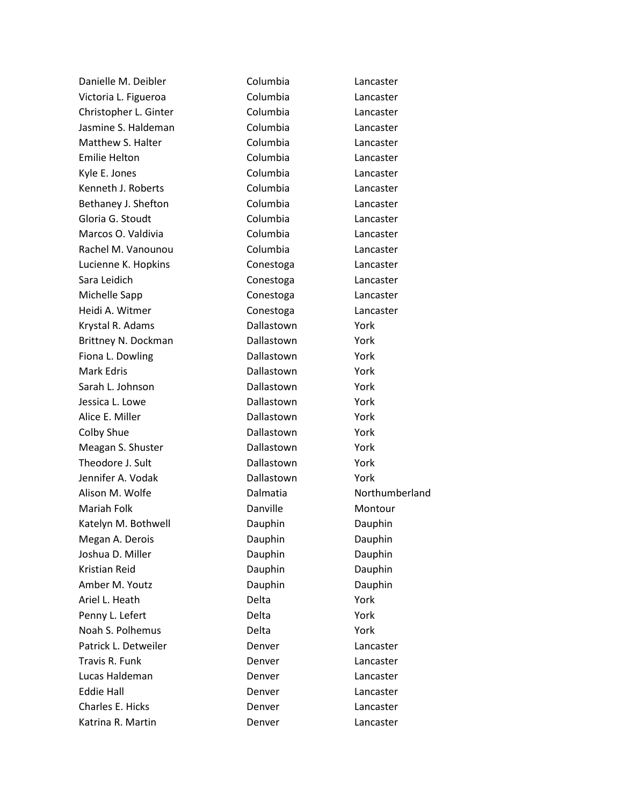| Danielle M. Deibler   | Columbia     | Lancaster      |
|-----------------------|--------------|----------------|
| Victoria L. Figueroa  | Columbia     | Lancaster      |
| Christopher L. Ginter | Columbia     | Lancaster      |
| Jasmine S. Haldeman   | Columbia     | Lancaster      |
| Matthew S. Halter     | Columbia     | Lancaster      |
| <b>Emilie Helton</b>  | Columbia     | Lancaster      |
| Kyle E. Jones         | Columbia     | Lancaster      |
| Kenneth J. Roberts    | Columbia     | Lancaster      |
| Bethaney J. Shefton   | Columbia     | Lancaster      |
| Gloria G. Stoudt      | Columbia     | Lancaster      |
| Marcos O. Valdivia    | Columbia     | Lancaster      |
| Rachel M. Vanounou    | Columbia     | Lancaster      |
| Lucienne K. Hopkins   | Conestoga    | Lancaster      |
| Sara Leidich          | Conestoga    | Lancaster      |
| Michelle Sapp         | Conestoga    | Lancaster      |
| Heidi A. Witmer       | Conestoga    | Lancaster      |
| Krystal R. Adams      | Dallastown   | York           |
| Brittney N. Dockman   | Dallastown   | York           |
| Fiona L. Dowling      | Dallastown   | York           |
| <b>Mark Edris</b>     | Dallastown   | York           |
| Sarah L. Johnson      | Dallastown   | York           |
| Jessica L. Lowe       | Dallastown   | York           |
| Alice E. Miller       | Dallastown   | York           |
| Colby Shue            | Dallastown   | York           |
| Meagan S. Shuster     | Dallastown   | York           |
| Theodore J. Sult      | Dallastown   | York           |
| Jennifer A. Vodak     | Dallastown   | York           |
| Alison M. Wolfe       | Dalmatia     | Northumberland |
| Mariah Folk           | Danville     | Montour        |
| Katelyn M. Bothwell   | Dauphin      | Dauphin        |
| Megan A. Derois       | Dauphin      | Dauphin        |
| Joshua D. Miller      | Dauphin      | Dauphin        |
| Kristian Reid         | Dauphin      | Dauphin        |
| Amber M. Youtz        | Dauphin      | Dauphin        |
| Ariel L. Heath        | Delta        | York           |
| Penny L. Lefert       | Delta        | York           |
| Noah S. Polhemus      | <b>Delta</b> | York           |
| Patrick L. Detweiler  | Denver       | Lancaster      |
| Travis R. Funk        | Denver       | Lancaster      |
| Lucas Haldeman        | Denver       | Lancaster      |
| <b>Eddie Hall</b>     | Denver       | Lancaster      |
| Charles E. Hicks      | Denver       | Lancaster      |
| Katrina R. Martin     | Denver       | Lancaster      |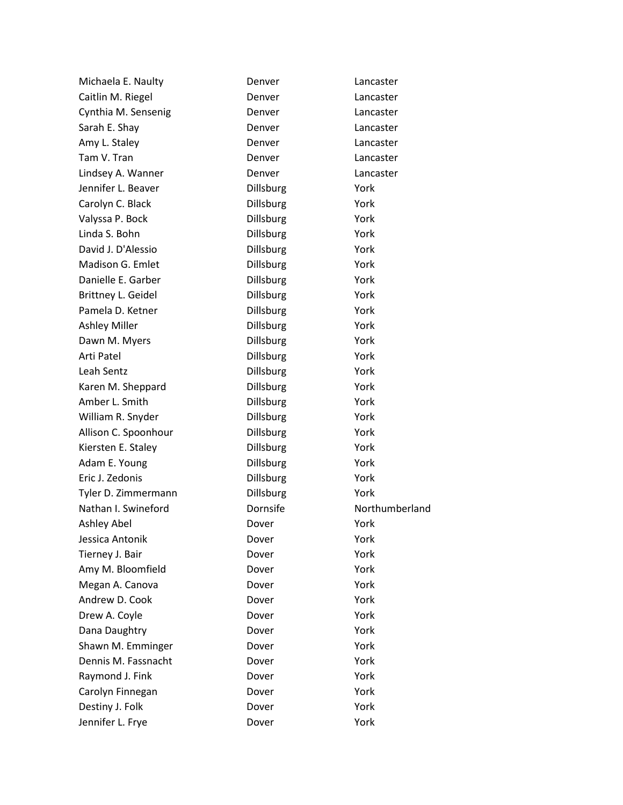| Michaela E. Naulty   | Denver           | Lancaster      |
|----------------------|------------------|----------------|
| Caitlin M. Riegel    | Denver           | Lancaster      |
| Cynthia M. Sensenig  | Denver           | Lancaster      |
| Sarah E. Shay        | Denver           | Lancaster      |
| Amy L. Staley        | Denver           | Lancaster      |
| Tam V. Tran          | Denver           | Lancaster      |
| Lindsey A. Wanner    | Denver           | Lancaster      |
| Jennifer L. Beaver   | Dillsburg        | York           |
| Carolyn C. Black     | Dillsburg        | York           |
| Valyssa P. Bock      | Dillsburg        | York           |
| Linda S. Bohn        | Dillsburg        | York           |
| David J. D'Alessio   | Dillsburg        | York           |
| Madison G. Emlet     | Dillsburg        | York           |
| Danielle E. Garber   | Dillsburg        | York           |
| Brittney L. Geidel   | Dillsburg        | York           |
| Pamela D. Ketner     | <b>Dillsburg</b> | York           |
| <b>Ashley Miller</b> | Dillsburg        | York           |
| Dawn M. Myers        | Dillsburg        | York           |
| Arti Patel           | Dillsburg        | York           |
| Leah Sentz           | Dillsburg        | York           |
| Karen M. Sheppard    | Dillsburg        | York           |
| Amber L. Smith       | Dillsburg        | York           |
| William R. Snyder    | Dillsburg        | York           |
| Allison C. Spoonhour | Dillsburg        | York           |
| Kiersten E. Staley   | Dillsburg        | York           |
| Adam E. Young        | Dillsburg        | York           |
| Eric J. Zedonis      | Dillsburg        | York           |
| Tyler D. Zimmermann  | <b>Dillsburg</b> | York           |
| Nathan I. Swineford  | Dornsife         | Northumberland |
| Ashley Abel          | Dover            | York           |
| Jessica Antonik      | Dover            | York           |
| Tierney J. Bair      | Dover            | York           |
| Amy M. Bloomfield    | Dover            | York           |
| Megan A. Canova      | Dover            | York           |
| Andrew D. Cook       | Dover            | York           |
| Drew A. Coyle        | Dover            | York           |
| Dana Daughtry        | Dover            | York           |
| Shawn M. Emminger    | Dover            | York           |
| Dennis M. Fassnacht  | Dover            | York           |
| Raymond J. Fink      | Dover            | York           |
| Carolyn Finnegan     | Dover            | York           |
| Destiny J. Folk      | Dover            | York           |
| Jennifer L. Frye     | Dover            | York           |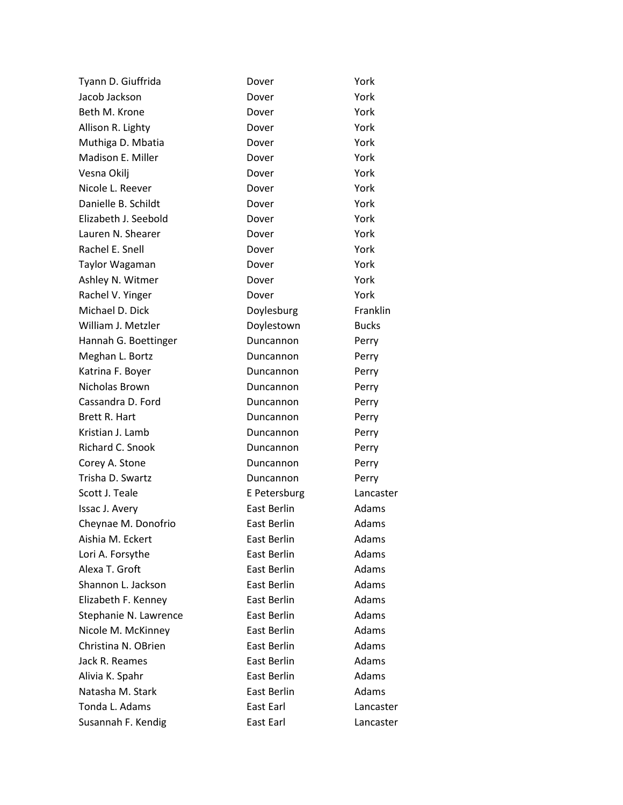| Tyann D. Giuffrida    | Dover              | York         |
|-----------------------|--------------------|--------------|
| Jacob Jackson         | Dover              | York         |
| Beth M. Krone         | Dover              | York         |
| Allison R. Lighty     | Dover              | York         |
| Muthiga D. Mbatia     | Dover              | York         |
| Madison E. Miller     | Dover              | York         |
| Vesna Okilj           | Dover              | York         |
| Nicole L. Reever      | Dover              | York         |
| Danielle B. Schildt   | Dover              | York         |
| Elizabeth J. Seebold  | Dover              | York         |
| Lauren N. Shearer     | Dover              | York         |
| Rachel E. Snell       | Dover              | York         |
| Taylor Wagaman        | Dover              | York         |
| Ashley N. Witmer      | Dover              | York         |
| Rachel V. Yinger      | Dover              | York         |
| Michael D. Dick       | Doylesburg         | Franklin     |
| William J. Metzler    | Doylestown         | <b>Bucks</b> |
| Hannah G. Boettinger  | Duncannon          | Perry        |
| Meghan L. Bortz       | Duncannon          | Perry        |
| Katrina F. Boyer      | Duncannon          | Perry        |
| Nicholas Brown        | Duncannon          | Perry        |
| Cassandra D. Ford     | Duncannon          | Perry        |
| Brett R. Hart         | Duncannon          | Perry        |
| Kristian J. Lamb      | Duncannon          | Perry        |
| Richard C. Snook      | Duncannon          | Perry        |
| Corey A. Stone        | Duncannon          | Perry        |
| Trisha D. Swartz      | Duncannon          | Perry        |
| Scott J. Teale        | E Petersburg       | Lancaster    |
| Issac J. Avery        | East Berlin        | Adams        |
| Cheynae M. Donofrio   | <b>East Berlin</b> | Adams        |
| Aishia M. Eckert      | East Berlin        | Adams        |
| Lori A. Forsythe      | East Berlin        | Adams        |
| Alexa T. Groft        | <b>East Berlin</b> | Adams        |
| Shannon L. Jackson    | East Berlin        | Adams        |
| Elizabeth F. Kenney   | <b>East Berlin</b> | Adams        |
| Stephanie N. Lawrence | East Berlin        | Adams        |
| Nicole M. McKinney    | <b>East Berlin</b> | Adams        |
| Christina N. OBrien   | East Berlin        | Adams        |
| Jack R. Reames        | East Berlin        | Adams        |
| Alivia K. Spahr       | East Berlin        | Adams        |
| Natasha M. Stark      | East Berlin        | Adams        |
| Tonda L. Adams        | East Earl          | Lancaster    |
| Susannah F. Kendig    | East Earl          | Lancaster    |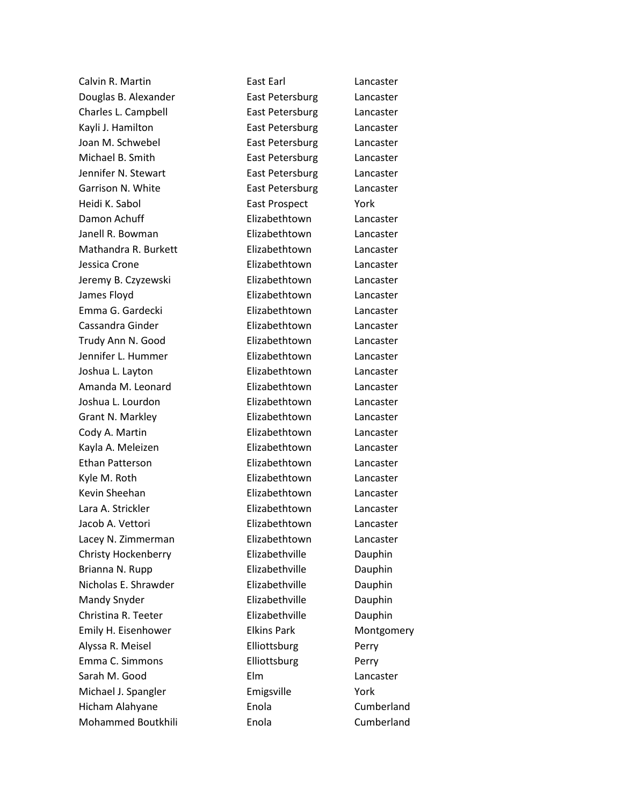Calvin R. Martin East Earl Lancaster Douglas B. Alexander East Petersburg Lancaster Charles L. Campbell East Petersburg Lancaster Kayli J. Hamilton **East Petersburg** Lancaster Joan M. Schwebel **East Petersburg** Lancaster Michael B. Smith **East Petersburg** Lancaster Jennifer N. Stewart **East Petersburg** Lancaster Garrison N. White **East Petersburg** Lancaster Heidi K. Sabol East Prospect York Damon Achuff **Elizabethtown** Lancaster Janell R. Bowman Elizabethtown Lancaster Mathandra R. Burkett Elizabethtown Lancaster Jessica Crone Elizabethtown Lancaster Jeremy B. Czyzewski Elizabethtown Lancaster James Floyd Elizabethtown Lancaster Emma G. Gardecki Elizabethtown Lancaster Cassandra Ginder Elizabethtown Lancaster Trudy Ann N. Good Elizabethtown Lancaster Jennifer L. Hummer Elizabethtown Lancaster Joshua L. Layton Elizabethtown Lancaster Amanda M. Leonard Elizabethtown Lancaster Joshua L. Lourdon Elizabethtown Lancaster Grant N. Markley **Elizabethtown** Lancaster Cody A. Martin Elizabethtown Lancaster Kayla A. Meleizen Elizabethtown Lancaster Ethan Patterson Elizabethtown Lancaster Kyle M. Roth **Elizabethtown** Lancaster Kevin Sheehan **Elizabethtown** Lancaster Lara A. Strickler **Elizabethtown** Lancaster Jacob A. Vettori Elizabethtown Lancaster Lacey N. Zimmerman Elizabethtown Lancaster Christy Hockenberry Elizabethville Dauphin Brianna N. Rupp **Elizabethville** Dauphin Nicholas E. Shrawder **Elizabethville** Dauphin Mandy Snyder **Elizabethville** Dauphin Christina R. Teeter **Elizabethville** Dauphin Emily H. Eisenhower **Elkins Park** Montgomery Alyssa R. Meisel **Elliottsburg** Perry Emma C. Simmons **Elliottsburg** Perry Sarah M. Good **Elm** Elm Lancaster Michael J. Spangler **Emigsville Emigsville** York Hicham Alahyane Enola Cumberland Mohammed Boutkhili Enola Cumberland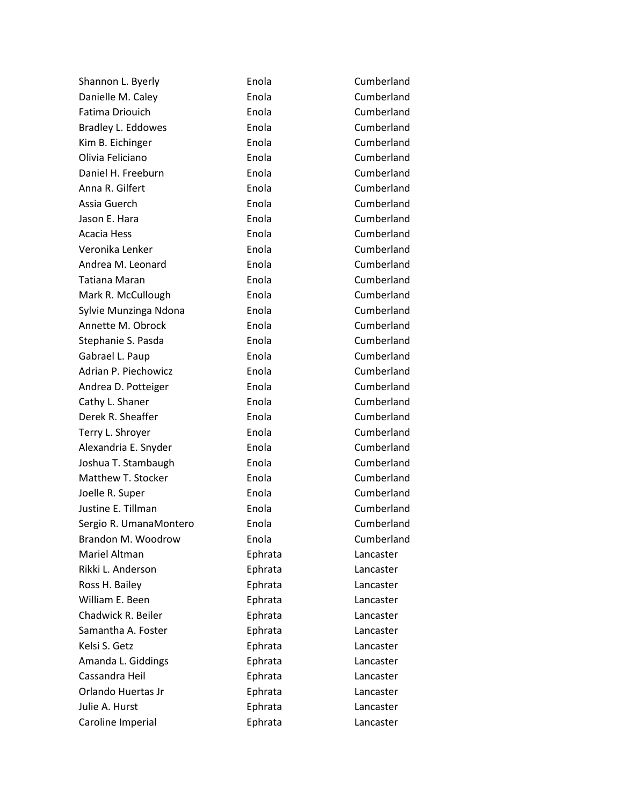| Shannon L. Byerly      | Enola   | Cumberland |
|------------------------|---------|------------|
| Danielle M. Caley      | Enola   | Cumberland |
| Fatima Driouich        | Enola   | Cumberland |
| Bradley L. Eddowes     | Enola   | Cumberland |
| Kim B. Eichinger       | Enola   | Cumberland |
| Olivia Feliciano       | Enola   | Cumberland |
| Daniel H. Freeburn     | Enola   | Cumberland |
| Anna R. Gilfert        | Enola   | Cumberland |
| Assia Guerch           | Enola   | Cumberland |
| Jason E. Hara          | Enola   | Cumberland |
| Acacia Hess            | Enola   | Cumberland |
| Veronika Lenker        | Enola   | Cumberland |
| Andrea M. Leonard      | Enola   | Cumberland |
| Tatiana Maran          | Enola   | Cumberland |
| Mark R. McCullough     | Enola   | Cumberland |
| Sylvie Munzinga Ndona  | Enola   | Cumberland |
| Annette M. Obrock      | Enola   | Cumberland |
| Stephanie S. Pasda     | Enola   | Cumberland |
| Gabrael L. Paup        | Enola   | Cumberland |
| Adrian P. Piechowicz   | Enola   | Cumberland |
| Andrea D. Potteiger    | Enola   | Cumberland |
| Cathy L. Shaner        | Enola   | Cumberland |
| Derek R. Sheaffer      | Enola   | Cumberland |
| Terry L. Shroyer       | Enola   | Cumberland |
| Alexandria E. Snyder   | Enola   | Cumberland |
| Joshua T. Stambaugh    | Enola   | Cumberland |
| Matthew T. Stocker     | Enola   | Cumberland |
| Joelle R. Super        | Enola   | Cumberland |
| Justine E. Tillman     | Enola   | Cumberland |
| Sergio R. UmanaMontero | Enola   | Cumberland |
| Brandon M. Woodrow     | Enola   | Cumberland |
| Mariel Altman          | Ephrata | Lancaster  |
| Rikki L. Anderson      | Ephrata | Lancaster  |
| Ross H. Bailey         | Ephrata | Lancaster  |
| William E. Been        | Ephrata | Lancaster  |
| Chadwick R. Beiler     | Ephrata | Lancaster  |
| Samantha A. Foster     | Ephrata | Lancaster  |
| Kelsi S. Getz          | Ephrata | Lancaster  |
| Amanda L. Giddings     | Ephrata | Lancaster  |
| Cassandra Heil         | Ephrata | Lancaster  |
| Orlando Huertas Jr     | Ephrata | Lancaster  |
| Julie A. Hurst         | Ephrata | Lancaster  |
| Caroline Imperial      | Ephrata | Lancaster  |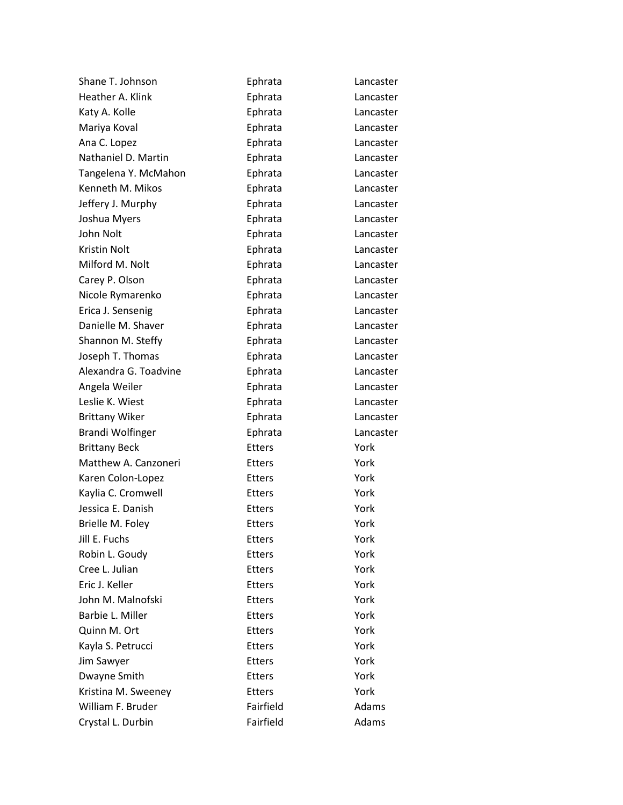| Shane T. Johnson        | Ephrata       | Lancaster |
|-------------------------|---------------|-----------|
| Heather A. Klink        | Ephrata       | Lancaster |
| Katy A. Kolle           | Ephrata       | Lancaster |
| Mariya Koval            | Ephrata       | Lancaster |
| Ana C. Lopez            | Ephrata       | Lancaster |
| Nathaniel D. Martin     | Ephrata       | Lancaster |
| Tangelena Y. McMahon    | Ephrata       | Lancaster |
| Kenneth M. Mikos        | Ephrata       | Lancaster |
| Jeffery J. Murphy       | Ephrata       | Lancaster |
| Joshua Myers            | Ephrata       | Lancaster |
| John Nolt               | Ephrata       | Lancaster |
| Kristin Nolt            | Ephrata       | Lancaster |
| Milford M. Nolt         | Ephrata       | Lancaster |
| Carey P. Olson          | Ephrata       | Lancaster |
| Nicole Rymarenko        | Ephrata       | Lancaster |
| Erica J. Sensenig       | Ephrata       | Lancaster |
| Danielle M. Shaver      | Ephrata       | Lancaster |
| Shannon M. Steffy       | Ephrata       | Lancaster |
| Joseph T. Thomas        | Ephrata       | Lancaster |
| Alexandra G. Toadvine   | Ephrata       | Lancaster |
| Angela Weiler           | Ephrata       | Lancaster |
| Leslie K. Wiest         | Ephrata       | Lancaster |
| <b>Brittany Wiker</b>   | Ephrata       | Lancaster |
| <b>Brandi Wolfinger</b> | Ephrata       | Lancaster |
| <b>Brittany Beck</b>    | <b>Etters</b> | York      |
| Matthew A. Canzoneri    | <b>Etters</b> | York      |
| Karen Colon-Lopez       | <b>Etters</b> | York      |
| Kaylia C. Cromwell      | <b>Etters</b> | York      |
| Jessica E. Danish       | Etters        | York      |
| Brielle M. Foley        | <b>Etters</b> | York      |
| Jill E. Fuchs           | Etters        | York      |
| Robin L. Goudy          | <b>Etters</b> | York      |
| Cree L. Julian          | <b>Etters</b> | York      |
| Eric J. Keller          | <b>Etters</b> | York      |
| John M. Malnofski       | <b>Etters</b> | York      |
| Barbie L. Miller        | <b>Etters</b> | York      |
| Quinn M. Ort            | <b>Etters</b> | York      |
| Kayla S. Petrucci       | <b>Etters</b> | York      |
| Jim Sawyer              | <b>Etters</b> | York      |
| Dwayne Smith            | <b>Etters</b> | York      |
| Kristina M. Sweeney     | <b>Etters</b> | York      |
| William F. Bruder       | Fairfield     | Adams     |
| Crystal L. Durbin       | Fairfield     | Adams     |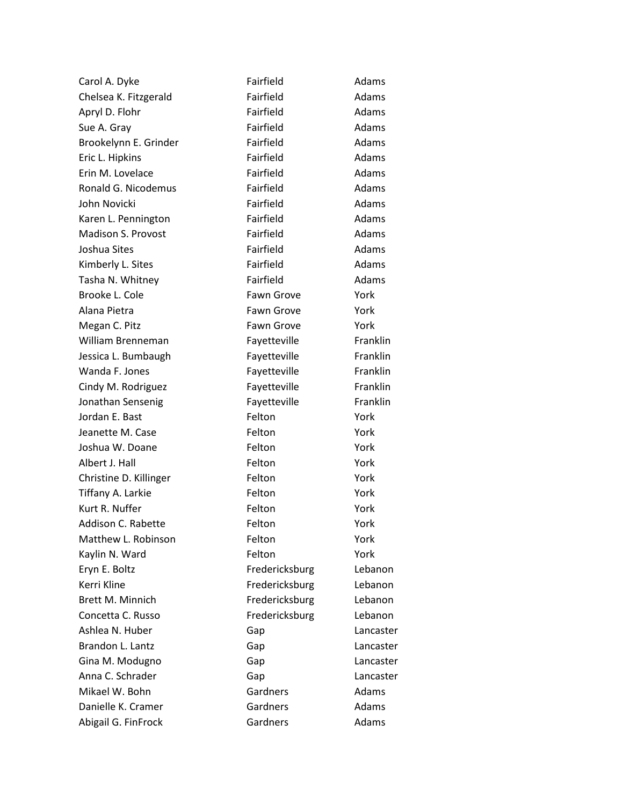| Carol A. Dyke          | Fairfield         | Adams     |
|------------------------|-------------------|-----------|
| Chelsea K. Fitzgerald  | Fairfield         | Adams     |
| Apryl D. Flohr         | Fairfield         | Adams     |
| Sue A. Gray            | Fairfield         | Adams     |
| Brookelynn E. Grinder  | Fairfield         | Adams     |
| Eric L. Hipkins        | Fairfield         | Adams     |
| Erin M. Lovelace       | Fairfield         | Adams     |
| Ronald G. Nicodemus    | Fairfield         | Adams     |
| John Novicki           | Fairfield         | Adams     |
| Karen L. Pennington    | Fairfield         | Adams     |
| Madison S. Provost     | Fairfield         | Adams     |
| Joshua Sites           | Fairfield         | Adams     |
| Kimberly L. Sites      | Fairfield         | Adams     |
| Tasha N. Whitney       | Fairfield         | Adams     |
| Brooke L. Cole         | <b>Fawn Grove</b> | York      |
| Alana Pietra           | <b>Fawn Grove</b> | York      |
| Megan C. Pitz          | Fawn Grove        | York      |
| William Brenneman      | Fayetteville      | Franklin  |
| Jessica L. Bumbaugh    | Fayetteville      | Franklin  |
| Wanda F. Jones         | Fayetteville      | Franklin  |
| Cindy M. Rodriguez     | Fayetteville      | Franklin  |
| Jonathan Sensenig      | Fayetteville      | Franklin  |
| Jordan E. Bast         | Felton            | York      |
| Jeanette M. Case       | Felton            | York      |
| Joshua W. Doane        | Felton            | York      |
| Albert J. Hall         | Felton            | York      |
| Christine D. Killinger | Felton            | York      |
| Tiffany A. Larkie      | Felton            | York      |
| Kurt R. Nuffer         | Felton            | York      |
| Addison C. Rabette     | Felton            | York      |
| Matthew L. Robinson    | Felton            | York      |
| Kaylin N. Ward         | Felton            | York      |
| Eryn E. Boltz          | Fredericksburg    | Lebanon   |
| Kerri Kline            | Fredericksburg    | Lebanon   |
| Brett M. Minnich       | Fredericksburg    | Lebanon   |
| Concetta C. Russo      | Fredericksburg    | Lebanon   |
| Ashlea N. Huber        | Gap               | Lancaster |
| Brandon L. Lantz       | Gap               | Lancaster |
| Gina M. Modugno        | Gap               | Lancaster |
| Anna C. Schrader       | Gap               | Lancaster |
| Mikael W. Bohn         | Gardners          | Adams     |
| Danielle K. Cramer     | Gardners          | Adams     |
| Abigail G. FinFrock    | Gardners          | Adams     |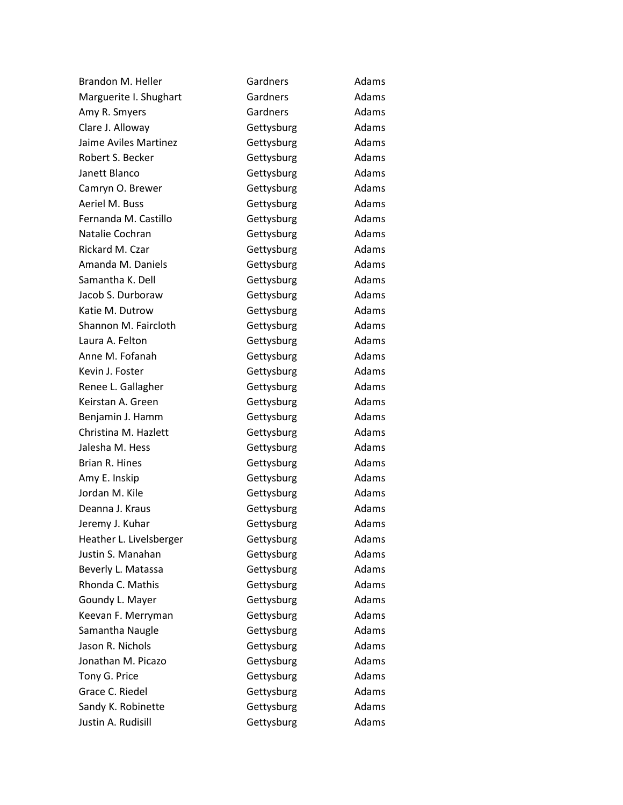| Brandon M. Heller       | Gardners   | Adams |
|-------------------------|------------|-------|
| Marguerite I. Shughart  | Gardners   | Adams |
| Amy R. Smyers           | Gardners   | Adams |
| Clare J. Alloway        | Gettysburg | Adams |
| Jaime Aviles Martinez   | Gettysburg | Adams |
| Robert S. Becker        | Gettysburg | Adams |
| Janett Blanco           | Gettysburg | Adams |
| Camryn O. Brewer        | Gettysburg | Adams |
| Aeriel M. Buss          | Gettysburg | Adams |
| Fernanda M. Castillo    | Gettysburg | Adams |
| Natalie Cochran         | Gettysburg | Adams |
| Rickard M. Czar         | Gettysburg | Adams |
| Amanda M. Daniels       | Gettysburg | Adams |
| Samantha K. Dell        | Gettysburg | Adams |
| Jacob S. Durboraw       | Gettysburg | Adams |
| Katie M. Dutrow         | Gettysburg | Adams |
| Shannon M. Faircloth    | Gettysburg | Adams |
| Laura A. Felton         | Gettysburg | Adams |
| Anne M. Fofanah         | Gettysburg | Adams |
| Kevin J. Foster         | Gettysburg | Adams |
| Renee L. Gallagher      | Gettysburg | Adams |
| Keirstan A. Green       | Gettysburg | Adams |
| Benjamin J. Hamm        | Gettysburg | Adams |
| Christina M. Hazlett    | Gettysburg | Adams |
| Jalesha M. Hess         | Gettysburg | Adams |
| Brian R. Hines          | Gettysburg | Adams |
| Amy E. Inskip           | Gettysburg | Adams |
| Jordan M. Kile          | Gettysburg | Adams |
| Deanna J. Kraus         | Gettysburg | Adams |
| Jeremy J. Kuhar         | Gettysburg | Adams |
| Heather L. Livelsberger | Gettysburg | Adams |
| Justin S. Manahan       | Gettysburg | Adams |
| Beverly L. Matassa      | Gettysburg | Adams |
| Rhonda C. Mathis        | Gettysburg | Adams |
| Goundy L. Mayer         | Gettysburg | Adams |
| Keevan F. Merryman      | Gettysburg | Adams |
| Samantha Naugle         | Gettysburg | Adams |
| Jason R. Nichols        | Gettysburg | Adams |
| Jonathan M. Picazo      | Gettysburg | Adams |
| Tony G. Price           | Gettysburg | Adams |
| Grace C. Riedel         | Gettysburg | Adams |
| Sandy K. Robinette      | Gettysburg | Adams |
| Justin A. Rudisill      | Gettysburg | Adams |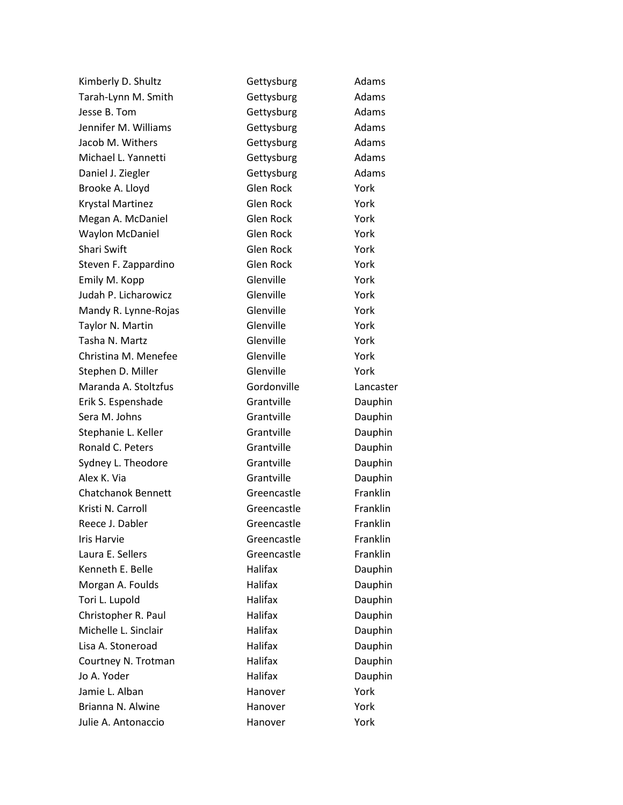| Kimberly D. Shultz        | Gettysburg     | Adams     |  |
|---------------------------|----------------|-----------|--|
| Tarah-Lynn M. Smith       | Gettysburg     | Adams     |  |
| Jesse B. Tom              | Gettysburg     | Adams     |  |
| Jennifer M. Williams      | Gettysburg     | Adams     |  |
| Jacob M. Withers          | Gettysburg     | Adams     |  |
| Michael L. Yannetti       | Gettysburg     | Adams     |  |
| Daniel J. Ziegler         | Gettysburg     | Adams     |  |
| Brooke A. Lloyd           | Glen Rock      | York      |  |
| <b>Krystal Martinez</b>   | Glen Rock      | York      |  |
| Megan A. McDaniel         | Glen Rock      | York      |  |
| <b>Waylon McDaniel</b>    | Glen Rock      | York      |  |
| Shari Swift               | Glen Rock      | York      |  |
| Steven F. Zappardino      | Glen Rock      | York      |  |
| Emily M. Kopp             | Glenville      | York      |  |
| Judah P. Licharowicz      | Glenville      | York      |  |
| Mandy R. Lynne-Rojas      | Glenville      | York      |  |
| Taylor N. Martin          | Glenville      | York      |  |
| Tasha N. Martz            | Glenville      | York      |  |
| Christina M. Menefee      | Glenville      | York      |  |
| Stephen D. Miller         | Glenville      | York      |  |
| Maranda A. Stoltzfus      | Gordonville    | Lancaster |  |
| Erik S. Espenshade        | Grantville     | Dauphin   |  |
| Sera M. Johns             | Grantville     | Dauphin   |  |
| Stephanie L. Keller       | Grantville     | Dauphin   |  |
| Ronald C. Peters          | Grantville     | Dauphin   |  |
| Sydney L. Theodore        | Grantville     | Dauphin   |  |
| Alex K. Via               | Grantville     | Dauphin   |  |
| <b>Chatchanok Bennett</b> | Greencastle    | Franklin  |  |
| Kristi N. Carroll         | Greencastle    | Franklin  |  |
| Reece J. Dabler           | Greencastle    | Franklin  |  |
| <b>Iris Harvie</b>        | Greencastle    | Franklin  |  |
| Laura E. Sellers          | Greencastle    | Franklin  |  |
| Kenneth E. Belle          | Halifax        | Dauphin   |  |
| Morgan A. Foulds          | Halifax        | Dauphin   |  |
| Tori L. Lupold            | Halifax        | Dauphin   |  |
| Christopher R. Paul       | Halifax        | Dauphin   |  |
| Michelle L. Sinclair      | <b>Halifax</b> | Dauphin   |  |
| Lisa A. Stoneroad         | Halifax        | Dauphin   |  |
| Courtney N. Trotman       | Halifax        | Dauphin   |  |
| Jo A. Yoder               | Halifax        | Dauphin   |  |
| Jamie L. Alban            | Hanover        | York      |  |
| Brianna N. Alwine         | Hanover        | York      |  |
| Julie A. Antonaccio       | Hanover        | York      |  |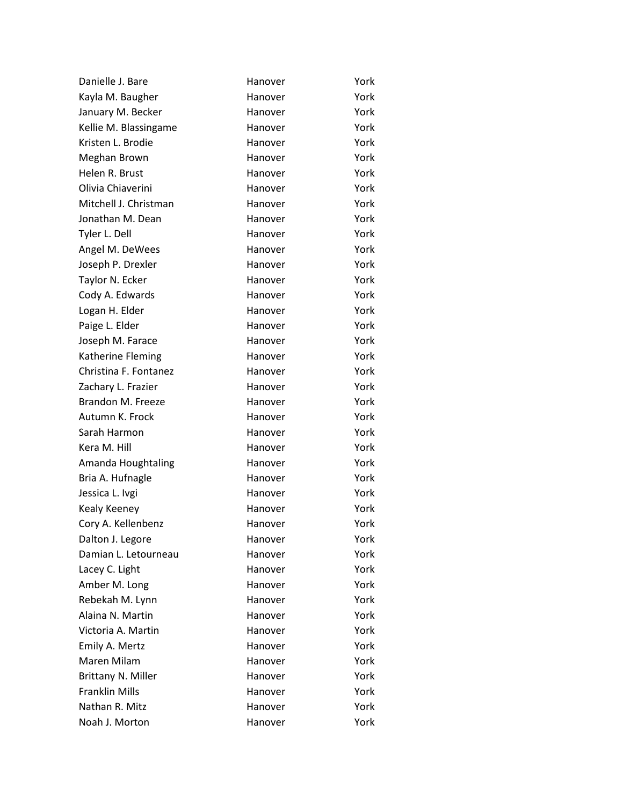| Danielle J. Bare      | Hanover | York |
|-----------------------|---------|------|
| Kayla M. Baugher      | Hanover | York |
| January M. Becker     | Hanover | York |
| Kellie M. Blassingame | Hanover | York |
| Kristen L. Brodie     | Hanover | York |
| Meghan Brown          | Hanover | York |
| Helen R. Brust        | Hanover | York |
| Olivia Chiaverini     | Hanover | York |
| Mitchell J. Christman | Hanover | York |
| Jonathan M. Dean      | Hanover | York |
| Tyler L. Dell         | Hanover | York |
| Angel M. DeWees       | Hanover | York |
| Joseph P. Drexler     | Hanover | York |
| Taylor N. Ecker       | Hanover | York |
| Cody A. Edwards       | Hanover | York |
| Logan H. Elder        | Hanover | York |
| Paige L. Elder        | Hanover | York |
| Joseph M. Farace      | Hanover | York |
| Katherine Fleming     | Hanover | York |
| Christina F. Fontanez | Hanover | York |
| Zachary L. Frazier    | Hanover | York |
| Brandon M. Freeze     | Hanover | York |
| Autumn K. Frock       | Hanover | York |
| Sarah Harmon          | Hanover | York |
| Kera M. Hill          | Hanover | York |
| Amanda Houghtaling    | Hanover | York |
| Bria A. Hufnagle      | Hanover | York |
| Jessica L. Ivgi       | Hanover | York |
| Kealy Keeney          | Hanover | York |
| Cory A. Kellenbenz    | Hanover | York |
| Dalton J. Legore      | Hanover | York |
| Damian L. Letourneau  | Hanover | York |
| Lacey C. Light        | Hanover | York |
| Amber M. Long         | Hanover | York |
| Rebekah M. Lynn       | Hanover | York |
| Alaina N. Martin      | Hanover | York |
| Victoria A. Martin    | Hanover | York |
| Emily A. Mertz        | Hanover | York |
| Maren Milam           | Hanover | York |
| Brittany N. Miller    | Hanover | York |
| <b>Franklin Mills</b> | Hanover | York |
| Nathan R. Mitz        | Hanover | York |
| Noah J. Morton        | Hanover | York |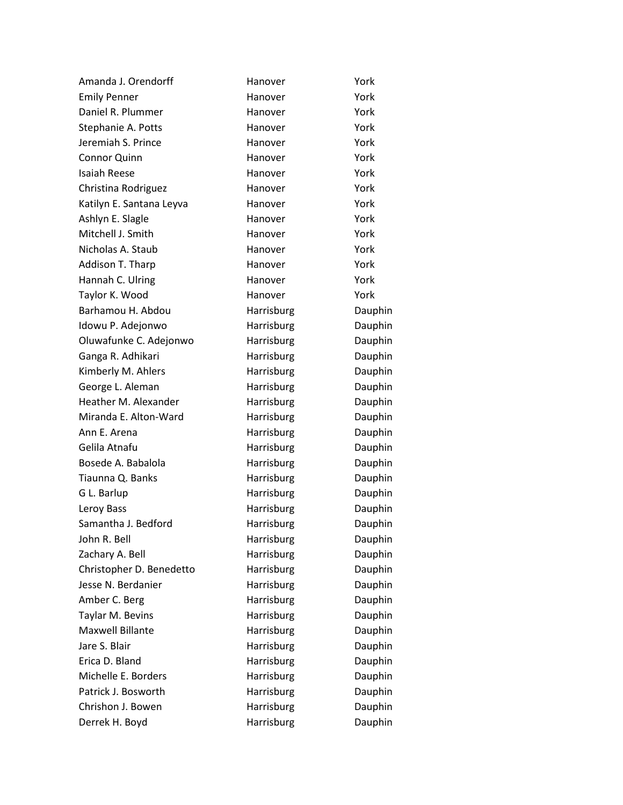| Amanda J. Orendorff      | Hanover    | York    |
|--------------------------|------------|---------|
| <b>Emily Penner</b>      | Hanover    | York    |
| Daniel R. Plummer        | Hanover    | York    |
| Stephanie A. Potts       | Hanover    | York    |
| Jeremiah S. Prince       | Hanover    | York    |
| <b>Connor Quinn</b>      | Hanover    | York    |
| Isaiah Reese             | Hanover    | York    |
| Christina Rodriguez      | Hanover    | York    |
| Katilyn E. Santana Leyva | Hanover    | York    |
| Ashlyn E. Slagle         | Hanover    | York    |
| Mitchell J. Smith        | Hanover    | York    |
| Nicholas A. Staub        | Hanover    | York    |
| Addison T. Tharp         | Hanover    | York    |
| Hannah C. Ulring         | Hanover    | York    |
| Taylor K. Wood           | Hanover    | York    |
| Barhamou H. Abdou        | Harrisburg | Dauphin |
| Idowu P. Adejonwo        | Harrisburg | Dauphin |
| Oluwafunke C. Adejonwo   | Harrisburg | Dauphin |
| Ganga R. Adhikari        | Harrisburg | Dauphin |
| Kimberly M. Ahlers       | Harrisburg | Dauphin |
| George L. Aleman         | Harrisburg | Dauphin |
| Heather M. Alexander     | Harrisburg | Dauphin |
| Miranda E. Alton-Ward    | Harrisburg | Dauphin |
| Ann E. Arena             | Harrisburg | Dauphin |
| Gelila Atnafu            | Harrisburg | Dauphin |
| Bosede A. Babalola       | Harrisburg | Dauphin |
| Tiaunna Q. Banks         | Harrisburg | Dauphin |
| G L. Barlup              | Harrisburg | Dauphin |
| Leroy Bass               | Harrisburg | Dauphin |
| Samantha J. Bedford      | Harrisburg | Dauphin |
| John R. Bell             | Harrisburg | Dauphin |
| Zachary A. Bell          | Harrisburg | Dauphin |
| Christopher D. Benedetto | Harrisburg | Dauphin |
| Jesse N. Berdanier       | Harrisburg | Dauphin |
| Amber C. Berg            | Harrisburg | Dauphin |
| Taylar M. Bevins         | Harrisburg | Dauphin |
| <b>Maxwell Billante</b>  | Harrisburg | Dauphin |
| Jare S. Blair            | Harrisburg | Dauphin |
| Erica D. Bland           | Harrisburg | Dauphin |
| Michelle E. Borders      | Harrisburg | Dauphin |
| Patrick J. Bosworth      | Harrisburg | Dauphin |
| Chrishon J. Bowen        | Harrisburg | Dauphin |
| Derrek H. Boyd           | Harrisburg | Dauphin |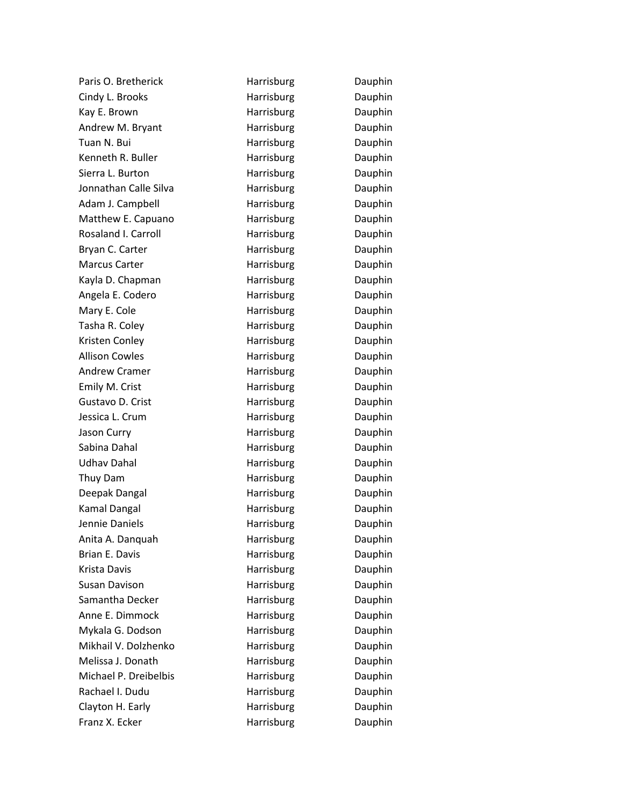| Paris O. Bretherick   | Harrisburg | Dauphin |
|-----------------------|------------|---------|
| Cindy L. Brooks       | Harrisburg | Dauphin |
| Kay E. Brown          | Harrisburg | Dauphin |
| Andrew M. Bryant      | Harrisburg | Dauphin |
| Tuan N. Bui           | Harrisburg | Dauphin |
| Kenneth R. Buller     | Harrisburg | Dauphin |
| Sierra L. Burton      | Harrisburg | Dauphin |
| Jonnathan Calle Silva | Harrisburg | Dauphin |
| Adam J. Campbell      | Harrisburg | Dauphin |
| Matthew E. Capuano    | Harrisburg | Dauphin |
| Rosaland I. Carroll   | Harrisburg | Dauphin |
| Bryan C. Carter       | Harrisburg | Dauphin |
| Marcus Carter         | Harrisburg | Dauphin |
| Kayla D. Chapman      | Harrisburg | Dauphin |
| Angela E. Codero      | Harrisburg | Dauphin |
| Mary E. Cole          | Harrisburg | Dauphin |
| Tasha R. Coley        | Harrisburg | Dauphin |
| Kristen Conley        | Harrisburg | Dauphin |
| <b>Allison Cowles</b> | Harrisburg | Dauphin |
| <b>Andrew Cramer</b>  | Harrisburg | Dauphin |
| Emily M. Crist        | Harrisburg | Dauphin |
| Gustavo D. Crist      | Harrisburg | Dauphin |
| Jessica L. Crum       | Harrisburg | Dauphin |
| Jason Curry           | Harrisburg | Dauphin |
| Sabina Dahal          | Harrisburg | Dauphin |
| <b>Udhav Dahal</b>    | Harrisburg | Dauphin |
| Thuy Dam              | Harrisburg | Dauphin |
| Deepak Dangal         | Harrisburg | Dauphin |
| Kamal Dangal          | Harrisburg | Dauphin |
| Jennie Daniels        | Harrisburg | Dauphin |
| Anita A. Danquah      | Harrisburg | Dauphin |
| Brian E. Davis        | Harrisburg | Dauphin |
| Krista Davis          | Harrisburg | Dauphin |
| Susan Davison         | Harrisburg | Dauphin |
| Samantha Decker       | Harrisburg | Dauphin |
| Anne E. Dimmock       | Harrisburg | Dauphin |
| Mykala G. Dodson      | Harrisburg | Dauphin |
| Mikhail V. Dolzhenko  | Harrisburg | Dauphin |
| Melissa J. Donath     | Harrisburg | Dauphin |
| Michael P. Dreibelbis | Harrisburg | Dauphin |
| Rachael I. Dudu       | Harrisburg | Dauphin |
| Clayton H. Early      | Harrisburg | Dauphin |
| Franz X. Ecker        | Harrisburg | Dauphin |
|                       |            |         |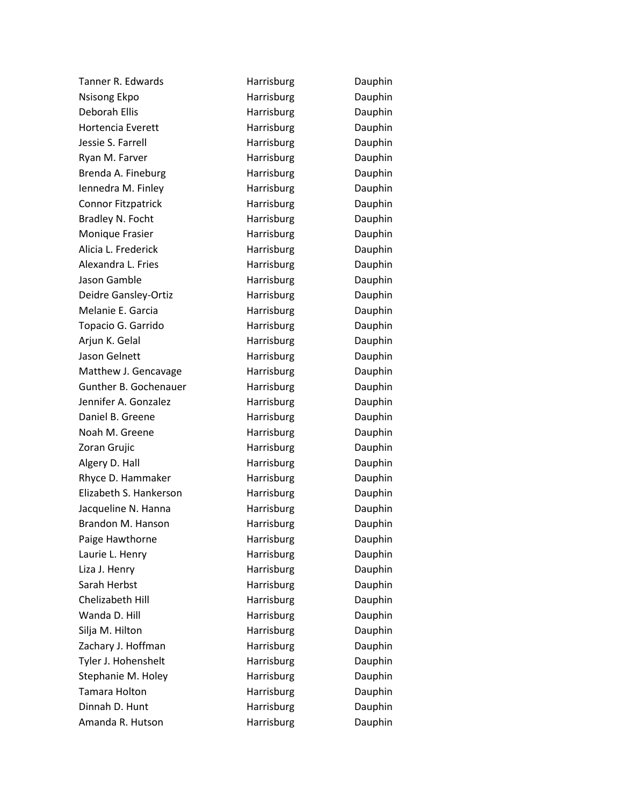| Tanner R. Edwards         | Harrisburg | Dauphin |
|---------------------------|------------|---------|
| <b>Nsisong Ekpo</b>       | Harrisburg | Dauphin |
| Deborah Ellis             | Harrisburg | Dauphin |
| <b>Hortencia Everett</b>  | Harrisburg | Dauphin |
| Jessie S. Farrell         | Harrisburg | Dauphin |
| Ryan M. Farver            | Harrisburg | Dauphin |
| Brenda A. Fineburg        | Harrisburg | Dauphin |
| Iennedra M. Finley        | Harrisburg | Dauphin |
| <b>Connor Fitzpatrick</b> | Harrisburg | Dauphin |
| Bradley N. Focht          | Harrisburg | Dauphin |
| Monique Frasier           | Harrisburg | Dauphin |
| Alicia L. Frederick       | Harrisburg | Dauphin |
| Alexandra L. Fries        | Harrisburg | Dauphin |
| Jason Gamble              | Harrisburg | Dauphin |
| Deidre Gansley-Ortiz      | Harrisburg | Dauphin |
| Melanie E. Garcia         | Harrisburg | Dauphin |
| Topacio G. Garrido        | Harrisburg | Dauphin |
| Arjun K. Gelal            | Harrisburg | Dauphin |
| Jason Gelnett             | Harrisburg | Dauphin |
| Matthew J. Gencavage      | Harrisburg | Dauphin |
| Gunther B. Gochenauer     | Harrisburg | Dauphin |
| Jennifer A. Gonzalez      | Harrisburg | Dauphin |
| Daniel B. Greene          | Harrisburg | Dauphin |
| Noah M. Greene            | Harrisburg | Dauphin |
| Zoran Grujic              | Harrisburg | Dauphin |
| Algery D. Hall            | Harrisburg | Dauphin |
| Rhyce D. Hammaker         | Harrisburg | Dauphin |
| Elizabeth S. Hankerson    | Harrisburg | Dauphin |
| Jacqueline N. Hanna       | Harrisburg | Dauphin |
| Brandon M. Hanson         | Harrisburg | Dauphin |
| Paige Hawthorne           | Harrisburg | Dauphin |
| Laurie L. Henry           | Harrisburg | Dauphin |
| Liza J. Henry             | Harrisburg | Dauphin |
| Sarah Herbst              | Harrisburg | Dauphin |
| Chelizabeth Hill          | Harrisburg | Dauphin |
| Wanda D. Hill             | Harrisburg | Dauphin |
| Silja M. Hilton           | Harrisburg | Dauphin |
| Zachary J. Hoffman        | Harrisburg | Dauphin |
| Tyler J. Hohenshelt       | Harrisburg | Dauphin |
| Stephanie M. Holey        | Harrisburg | Dauphin |
| Tamara Holton             | Harrisburg | Dauphin |
| Dinnah D. Hunt            | Harrisburg | Dauphin |
| Amanda R. Hutson          | Harrisburg | Dauphin |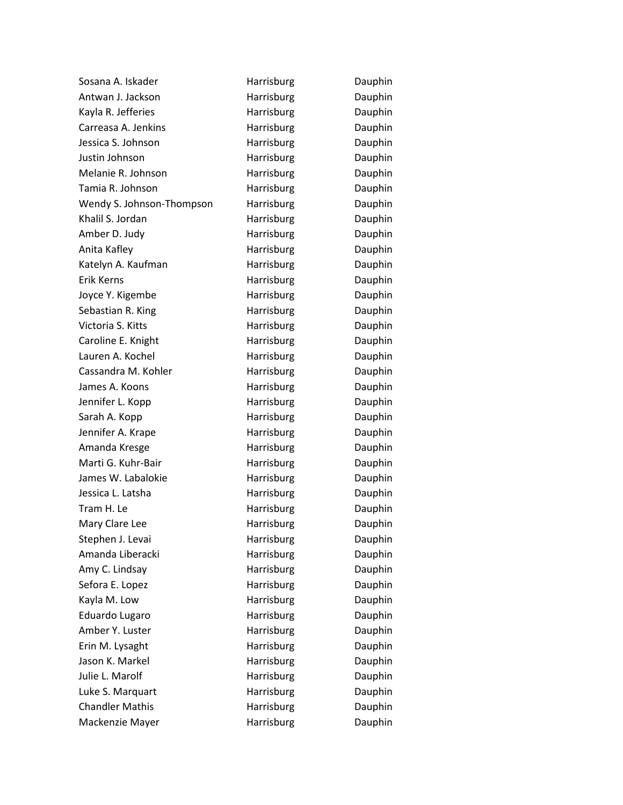| Sosana A. Iskader         | Harrisburg | Dauphin |
|---------------------------|------------|---------|
| Antwan J. Jackson         | Harrisburg | Dauphin |
| Kayla R. Jefferies        | Harrisburg | Dauphin |
| Carreasa A. Jenkins       | Harrisburg | Dauphin |
| Jessica S. Johnson        | Harrisburg | Dauphin |
| Justin Johnson            | Harrisburg | Dauphin |
| Melanie R. Johnson        | Harrisburg | Dauphin |
| Tamia R. Johnson          | Harrisburg | Dauphin |
| Wendy S. Johnson-Thompson | Harrisburg | Dauphin |
| Khalil S. Jordan          | Harrisburg | Dauphin |
| Amber D. Judy             | Harrisburg | Dauphin |
| Anita Kafley              | Harrisburg | Dauphin |
| Katelyn A. Kaufman        | Harrisburg | Dauphin |
| Erik Kerns                | Harrisburg | Dauphin |
| Joyce Y. Kigembe          | Harrisburg | Dauphin |
| Sebastian R. King         | Harrisburg | Dauphin |
| Victoria S. Kitts         | Harrisburg | Dauphin |
| Caroline E. Knight        | Harrisburg | Dauphin |
| Lauren A. Kochel          | Harrisburg | Dauphin |
| Cassandra M. Kohler       | Harrisburg | Dauphin |
| James A. Koons            | Harrisburg | Dauphin |
| Jennifer L. Kopp          | Harrisburg | Dauphin |
| Sarah A. Kopp             | Harrisburg | Dauphin |
| Jennifer A. Krape         | Harrisburg | Dauphin |
| Amanda Kresge             | Harrisburg | Dauphin |
| Marti G. Kuhr-Bair        | Harrisburg | Dauphin |
| James W. Labalokie        | Harrisburg | Dauphin |
| Jessica L. Latsha         | Harrisburg | Dauphin |
| Tram H. Le                | Harrisburg | Dauphin |
| Mary Clare Lee            | Harrisburg | Dauphin |
| Stephen J. Levai          | Harrisburg | Dauphin |
| Amanda Liberacki          | Harrisburg | Dauphin |
| Amy C. Lindsay            | Harrisburg | Dauphin |
| Sefora E. Lopez           | Harrisburg | Dauphin |
| Kayla M. Low              | Harrisburg | Dauphin |
| Eduardo Lugaro            | Harrisburg | Dauphin |
| Amber Y. Luster           | Harrisburg | Dauphin |
| Erin M. Lysaght           | Harrisburg | Dauphin |
| Jason K. Markel           | Harrisburg | Dauphin |
| Julie L. Marolf           | Harrisburg | Dauphin |
| Luke S. Marquart          | Harrisburg | Dauphin |
| <b>Chandler Mathis</b>    | Harrisburg | Dauphin |
| Mackenzie Mayer           | Harrisburg | Dauphin |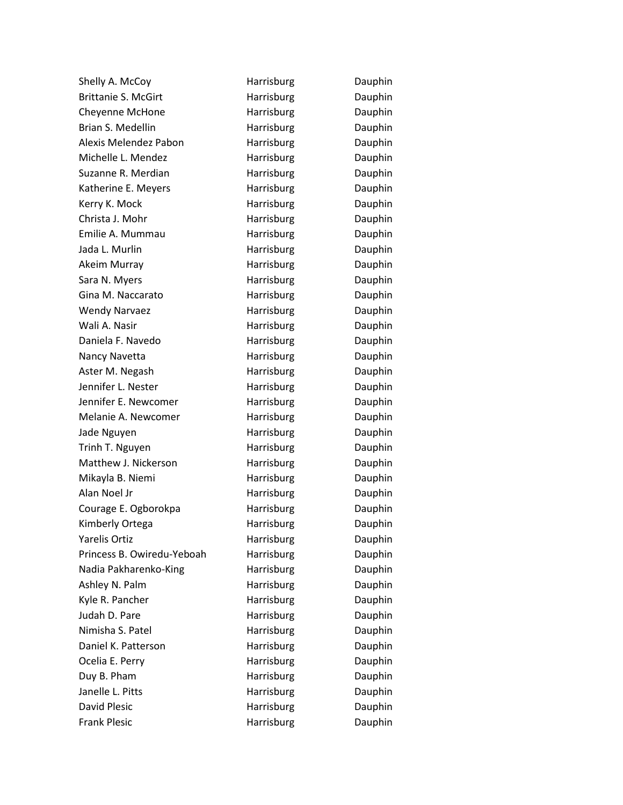| Shelly A. McCoy            | Harrisburg        | Dauphin |
|----------------------------|-------------------|---------|
| <b>Brittanie S. McGirt</b> | Harrisburg        | Dauphin |
| Cheyenne McHone            | Harrisburg        | Dauphin |
| Brian S. Medellin          | Harrisburg        | Dauphin |
| Alexis Melendez Pabon      | Harrisburg        | Dauphin |
| Michelle L. Mendez         | Harrisburg        | Dauphin |
| Suzanne R. Merdian         | Harrisburg        | Dauphin |
| Katherine E. Meyers        | Harrisburg        | Dauphin |
| Kerry K. Mock              | Harrisburg        | Dauphin |
| Christa J. Mohr            | Harrisburg        | Dauphin |
| Emilie A. Mummau           | Harrisburg        | Dauphin |
| Jada L. Murlin             | Harrisburg        | Dauphin |
| Akeim Murray               | Harrisburg        | Dauphin |
| Sara N. Myers              | Harrisburg        | Dauphin |
| Gina M. Naccarato          | Harrisburg        | Dauphin |
| <b>Wendy Narvaez</b>       | Harrisburg        | Dauphin |
| Wali A. Nasir              | Harrisburg        | Dauphin |
| Daniela F. Navedo          | Harrisburg        | Dauphin |
| Nancy Navetta              | Harrisburg        | Dauphin |
| Aster M. Negash            | Harrisburg        | Dauphin |
| Jennifer L. Nester         | Harrisburg        | Dauphin |
| Jennifer E. Newcomer       | Harrisburg        | Dauphin |
| Melanie A. Newcomer        | Harrisburg        | Dauphin |
| Jade Nguyen                | Harrisburg        | Dauphin |
| Trinh T. Nguyen            | <b>Harrisburg</b> | Dauphin |
| Matthew J. Nickerson       | Harrisburg        | Dauphin |
| Mikayla B. Niemi           | Harrisburg        | Dauphin |
| Alan Noel Jr               | Harrisburg        | Dauphin |
| Courage E. Ogborokpa       | Harrisburg        | Dauphin |
| Kimberly Ortega            | Harrisburg        | Dauphin |
| <b>Yarelis Ortiz</b>       | Harrisburg        | Dauphin |
| Princess B. Owiredu-Yeboah | Harrisburg        | Dauphin |
| Nadia Pakharenko-King      | Harrisburg        | Dauphin |
| Ashley N. Palm             | Harrisburg        | Dauphin |
| Kyle R. Pancher            | Harrisburg        | Dauphin |
| Judah D. Pare              | Harrisburg        | Dauphin |
| Nimisha S. Patel           | Harrisburg        | Dauphin |
| Daniel K. Patterson        | Harrisburg        | Dauphin |
| Ocelia E. Perry            | Harrisburg        | Dauphin |
| Duy B. Pham                | Harrisburg        | Dauphin |
| Janelle L. Pitts           | Harrisburg        | Dauphin |
| <b>David Plesic</b>        | Harrisburg        | Dauphin |
| <b>Frank Plesic</b>        | Harrisburg        | Dauphin |
|                            |                   |         |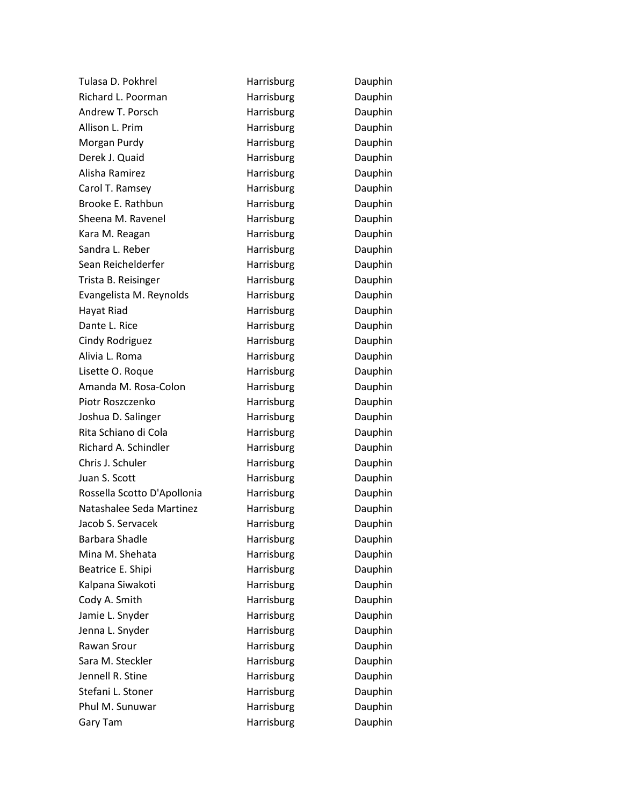| Tulasa D. Pokhrel           | Harrisburg | Dauphin |
|-----------------------------|------------|---------|
| Richard L. Poorman          | Harrisburg | Dauphin |
| Andrew T. Porsch            | Harrisburg | Dauphin |
| Allison L. Prim             | Harrisburg | Dauphin |
| Morgan Purdy                | Harrisburg | Dauphin |
| Derek J. Quaid              | Harrisburg | Dauphin |
| Alisha Ramirez              | Harrisburg | Dauphin |
| Carol T. Ramsey             | Harrisburg | Dauphin |
| Brooke E. Rathbun           | Harrisburg | Dauphin |
| Sheena M. Ravenel           | Harrisburg | Dauphin |
| Kara M. Reagan              | Harrisburg | Dauphin |
| Sandra L. Reber             | Harrisburg | Dauphin |
| Sean Reichelderfer          | Harrisburg | Dauphin |
| Trista B. Reisinger         | Harrisburg | Dauphin |
| Evangelista M. Reynolds     | Harrisburg | Dauphin |
| Hayat Riad                  | Harrisburg | Dauphin |
| Dante L. Rice               | Harrisburg | Dauphin |
| Cindy Rodriguez             | Harrisburg | Dauphin |
| Alivia L. Roma              | Harrisburg | Dauphin |
| Lisette O. Roque            | Harrisburg | Dauphin |
| Amanda M. Rosa-Colon        | Harrisburg | Dauphin |
| Piotr Roszczenko            | Harrisburg | Dauphin |
| Joshua D. Salinger          | Harrisburg | Dauphin |
| Rita Schiano di Cola        | Harrisburg | Dauphin |
| Richard A. Schindler        | Harrisburg | Dauphin |
| Chris J. Schuler            | Harrisburg | Dauphin |
| Juan S. Scott               | Harrisburg | Dauphin |
| Rossella Scotto D'Apollonia | Harrisburg | Dauphin |
| Natashalee Seda Martinez    | Harrisburg | Dauphin |
| Jacob S. Servacek           | Harrisburg | Dauphin |
| <b>Barbara Shadle</b>       | Harrisburg | Dauphin |
| Mina M. Shehata             | Harrisburg | Dauphin |
| Beatrice E. Shipi           | Harrisburg | Dauphin |
| Kalpana Siwakoti            | Harrisburg | Dauphin |
| Cody A. Smith               | Harrisburg | Dauphin |
| Jamie L. Snyder             | Harrisburg | Dauphin |
| Jenna L. Snyder             | Harrisburg | Dauphin |
| Rawan Srour                 | Harrisburg | Dauphin |
| Sara M. Steckler            | Harrisburg | Dauphin |
| Jennell R. Stine            | Harrisburg | Dauphin |
| Stefani L. Stoner           | Harrisburg | Dauphin |
| Phul M. Sunuwar             | Harrisburg | Dauphin |
| Gary Tam                    | Harrisburg | Dauphin |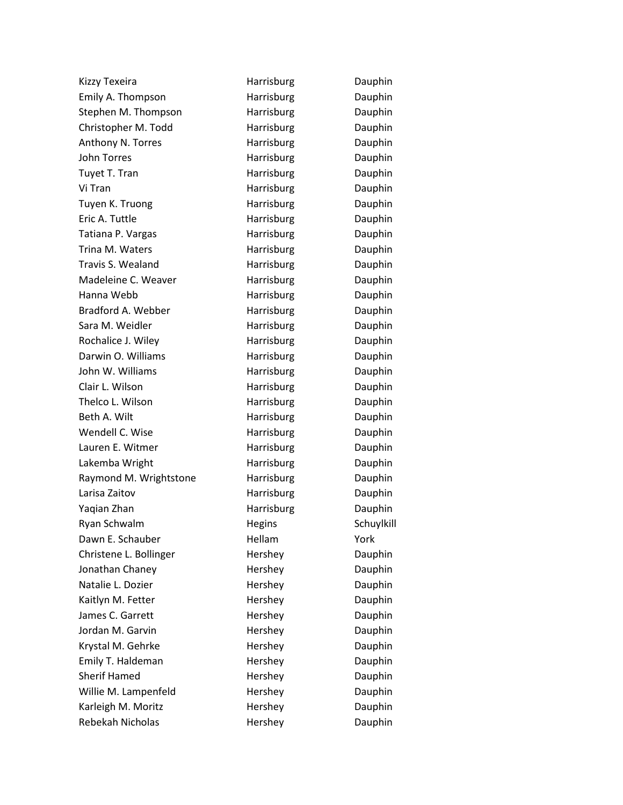| Kizzy Texeira          | Harrisburg | Dauphin    |
|------------------------|------------|------------|
| Emily A. Thompson      | Harrisburg | Dauphin    |
| Stephen M. Thompson    | Harrisburg | Dauphin    |
| Christopher M. Todd    | Harrisburg | Dauphin    |
| Anthony N. Torres      | Harrisburg | Dauphin    |
| <b>John Torres</b>     | Harrisburg | Dauphin    |
| Tuyet T. Tran          | Harrisburg | Dauphin    |
| Vi Tran                | Harrisburg | Dauphin    |
| Tuyen K. Truong        | Harrisburg | Dauphin    |
| Eric A. Tuttle         | Harrisburg | Dauphin    |
| Tatiana P. Vargas      | Harrisburg | Dauphin    |
| Trina M. Waters        | Harrisburg | Dauphin    |
| Travis S. Wealand      | Harrisburg | Dauphin    |
| Madeleine C. Weaver    | Harrisburg | Dauphin    |
| Hanna Webb             | Harrisburg | Dauphin    |
| Bradford A. Webber     | Harrisburg | Dauphin    |
| Sara M. Weidler        | Harrisburg | Dauphin    |
| Rochalice J. Wiley     | Harrisburg | Dauphin    |
| Darwin O. Williams     | Harrisburg | Dauphin    |
| John W. Williams       | Harrisburg | Dauphin    |
| Clair L. Wilson        | Harrisburg | Dauphin    |
| Thelco L. Wilson       | Harrisburg | Dauphin    |
| Beth A. Wilt           | Harrisburg | Dauphin    |
| Wendell C. Wise        | Harrisburg | Dauphin    |
| Lauren E. Witmer       | Harrisburg | Dauphin    |
| Lakemba Wright         | Harrisburg | Dauphin    |
| Raymond M. Wrightstone | Harrisburg | Dauphin    |
| Larisa Zaitov          | Harrisburg | Dauphin    |
| Yaqian Zhan            | Harrisburg | Dauphin    |
| Ryan Schwalm           | Hegins     | Schuylkill |
| Dawn E. Schauber       | Hellam     | York       |
| Christene L. Bollinger | Hershey    | Dauphin    |
| Jonathan Chaney        | Hershey    | Dauphin    |
| Natalie L. Dozier      | Hershey    | Dauphin    |
| Kaitlyn M. Fetter      | Hershey    | Dauphin    |
| James C. Garrett       | Hershey    | Dauphin    |
| Jordan M. Garvin       | Hershey    | Dauphin    |
| Krystal M. Gehrke      | Hershey    | Dauphin    |
| Emily T. Haldeman      | Hershey    | Dauphin    |
| <b>Sherif Hamed</b>    | Hershey    | Dauphin    |
| Willie M. Lampenfeld   | Hershey    | Dauphin    |
| Karleigh M. Moritz     | Hershey    | Dauphin    |
| Rebekah Nicholas       | Hershey    | Dauphin    |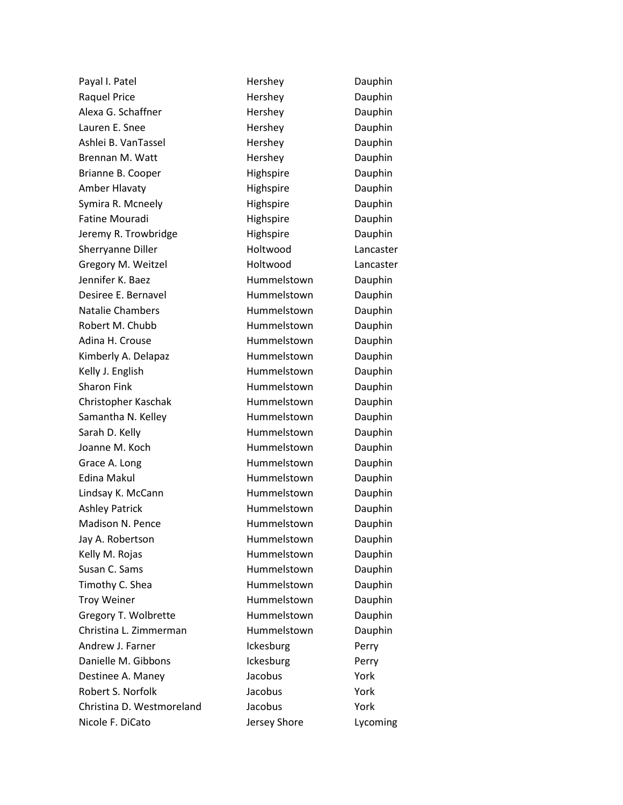Payal I. Patel **Network** Hershey **Dauphin** Raquel Price **Hershey** Hershey Dauphin Alexa G. Schaffner **Hershey** Dauphin Lauren E. Snee **Hershey Hershey** Dauphin Ashlei B. VanTassel **Hershey Hershey** Dauphin Brennan M. Watt **Hershey** Dauphin Brianne B. Cooper **Highspire** Highspire Dauphin Amber Hlavaty **Highspire** Highspire Dauphin Symira R. Mcneely **Example 20** Highspire **Communist Dauphin** Fatine Mouradi **Highspire** Highspire Dauphin Jeremy R. Trowbridge **Highspire** Highspire Dauphin Sherryanne Diller **Holtwood** Lancaster Gregory M. Weitzel **Example 20 Holtwood** Lancaster Jennifer K. Baez **Hummelstown** Dauphin Desiree E. Bernavel **Hummelstown** Dauphin Natalie Chambers **Hummelstown** Dauphin Robert M. Chubb **Hummelstown** Dauphin Adina H. Crouse **Hummelstown** Dauphin Kimberly A. Delapaz **Hummelstown** Dauphin Kelly J. English **Hummelstown** Dauphin Sharon Fink **Hummelstown** Dauphin Christopher Kaschak Hummelstown Dauphin Samantha N. Kelley **Example Hummelstown** Dauphin Sarah D. Kelly **Example 20** Hummelstown Dauphin Joanne M. Koch **Hummelstown** Dauphin Grace A. Long **Example 20 For the Hummelstown** Dauphin Edina Makul **Edina Makul** Hummelstown Dauphin Lindsay K. McCann **Hummelstown** Dauphin Ashley Patrick **Hummelstown** Dauphin Madison N. Pence **Hummelstown** Dauphin Jay A. Robertson **Hummelstown** Dauphin Kelly M. Rojas **Hummelstown** Dauphin Susan C. Sams **Hummelstown** Dauphin Timothy C. Shea **Hummelstown** Dauphin Troy Weiner **Nummelstown** Dauphin Gregory T. Wolbrette **Hummelstown** Dauphin Christina L. Zimmerman Hummelstown Dauphin Andrew J. Farner **Ickesburg** Perry Danielle M. Gibbons **Ickesburg** Perry Destinee A. Maney **Sacobus** Jacobus **Provident Contract A. Maney** Robert S. Norfolk **S. Letter S. Norfolk** Jacobus York Christina D. Westmoreland Jacobus York Nicole F. DiCato **Internal Search Shore** Lycoming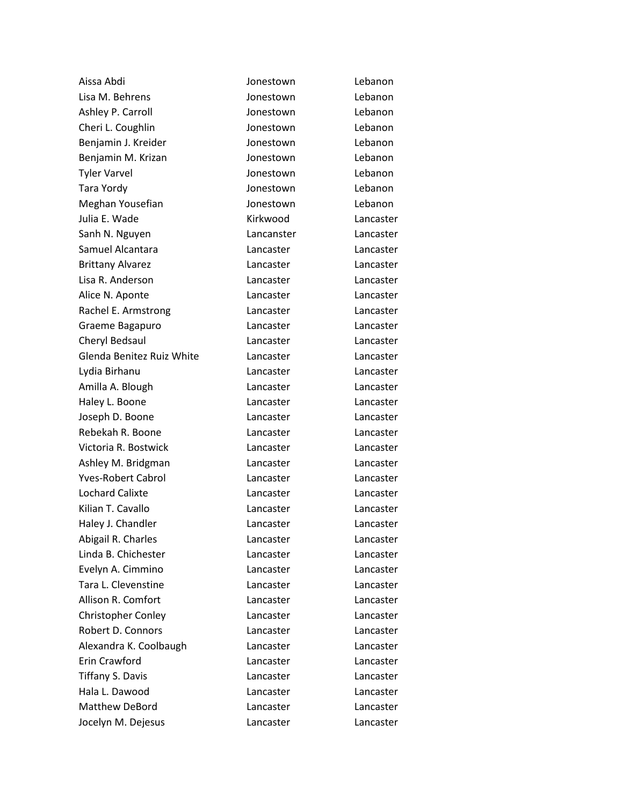| Aissa Abdi                | Jonestown  | Lebanon   |
|---------------------------|------------|-----------|
| Lisa M. Behrens           | Jonestown  | Lebanon   |
| Ashley P. Carroll         | Jonestown  | Lebanon   |
| Cheri L. Coughlin         | Jonestown  | Lebanon   |
| Benjamin J. Kreider       | Jonestown  | Lebanon   |
| Benjamin M. Krizan        | Jonestown  | Lebanon   |
| <b>Tyler Varvel</b>       | Jonestown  | Lebanon   |
| Tara Yordy                | Jonestown  | Lebanon   |
| Meghan Yousefian          | Jonestown  | Lebanon   |
| Julia E. Wade             | Kirkwood   | Lancaster |
| Sanh N. Nguyen            | Lancanster | Lancaster |
| Samuel Alcantara          | Lancaster  | Lancaster |
| <b>Brittany Alvarez</b>   | Lancaster  | Lancaster |
| Lisa R. Anderson          | Lancaster  | Lancaster |
| Alice N. Aponte           | Lancaster  | Lancaster |
| Rachel E. Armstrong       | Lancaster  | Lancaster |
| Graeme Bagapuro           | Lancaster  | Lancaster |
| Cheryl Bedsaul            | Lancaster  | Lancaster |
| Glenda Benitez Ruiz White | Lancaster  | Lancaster |
| Lydia Birhanu             | Lancaster  | Lancaster |
| Amilla A. Blough          | Lancaster  | Lancaster |
| Haley L. Boone            | Lancaster  | Lancaster |
| Joseph D. Boone           | Lancaster  | Lancaster |
| Rebekah R. Boone          | Lancaster  | Lancaster |
| Victoria R. Bostwick      | Lancaster  | Lancaster |
| Ashley M. Bridgman        | Lancaster  | Lancaster |
| <b>Yves-Robert Cabrol</b> | Lancaster  | Lancaster |
| <b>Lochard Calixte</b>    | Lancaster  | Lancaster |
| Kilian T. Cavallo         | Lancaster  | Lancaster |
| Haley J. Chandler         | Lancaster  | Lancaster |
| Abigail R. Charles        | Lancaster  | Lancaster |
| Linda B. Chichester       | Lancaster  | Lancaster |
| Evelyn A. Cimmino         | Lancaster  | Lancaster |
| Tara L. Clevenstine       | Lancaster  | Lancaster |
| Allison R. Comfort        | Lancaster  | Lancaster |
| <b>Christopher Conley</b> | Lancaster  | Lancaster |
| Robert D. Connors         | Lancaster  | Lancaster |
| Alexandra K. Coolbaugh    | Lancaster  | Lancaster |
| Erin Crawford             | Lancaster  | Lancaster |
| <b>Tiffany S. Davis</b>   | Lancaster  | Lancaster |
| Hala L. Dawood            | Lancaster  | Lancaster |
| Matthew DeBord            | Lancaster  | Lancaster |
| Jocelyn M. Dejesus        | Lancaster  | Lancaster |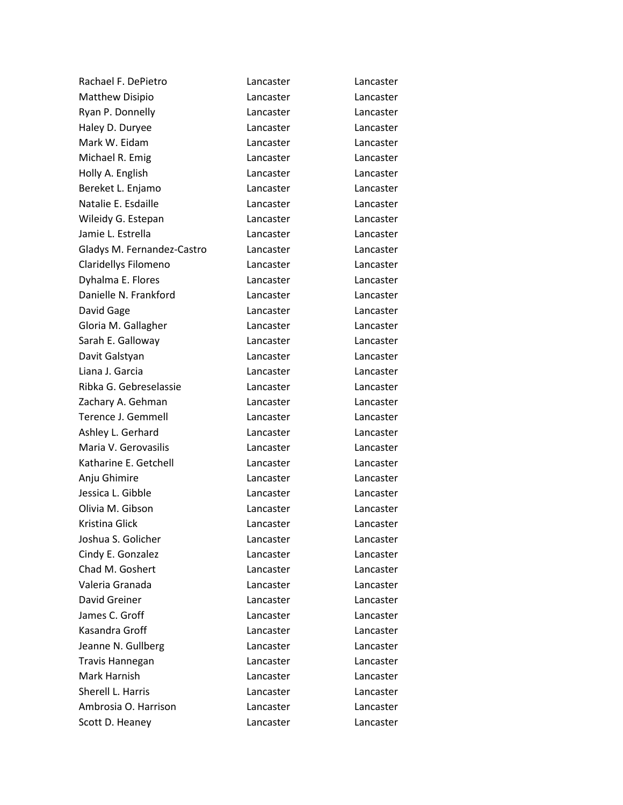| Rachael F. DePietro        | Lancaster | Lancaster |
|----------------------------|-----------|-----------|
| <b>Matthew Disipio</b>     | Lancaster | Lancaster |
| Ryan P. Donnelly           | Lancaster | Lancaster |
| Haley D. Duryee            | Lancaster | Lancaster |
| Mark W. Eidam              | Lancaster | Lancaster |
| Michael R. Emig            | Lancaster | Lancaster |
| Holly A. English           | Lancaster | Lancaster |
| Bereket L. Enjamo          | Lancaster | Lancaster |
| Natalie E. Esdaille        | Lancaster | Lancaster |
| Wileidy G. Estepan         | Lancaster | Lancaster |
| Jamie L. Estrella          | Lancaster | Lancaster |
| Gladys M. Fernandez-Castro | Lancaster | Lancaster |
| Claridellys Filomeno       | Lancaster | Lancaster |
| Dyhalma E. Flores          | Lancaster | Lancaster |
| Danielle N. Frankford      | Lancaster | Lancaster |
| David Gage                 | Lancaster | Lancaster |
| Gloria M. Gallagher        | Lancaster | Lancaster |
| Sarah E. Galloway          | Lancaster | Lancaster |
| Davit Galstyan             | Lancaster | Lancaster |
| Liana J. Garcia            | Lancaster | Lancaster |
| Ribka G. Gebreselassie     | Lancaster | Lancaster |
| Zachary A. Gehman          | Lancaster | Lancaster |
| Terence J. Gemmell         | Lancaster | Lancaster |
| Ashley L. Gerhard          | Lancaster | Lancaster |
| Maria V. Gerovasilis       | Lancaster | Lancaster |
| Katharine E. Getchell      | Lancaster | Lancaster |
| Anju Ghimire               | Lancaster | Lancaster |
| Jessica L. Gibble          | Lancaster | Lancaster |
| Olivia M. Gibson           | Lancaster | Lancaster |
| Kristina Glick             | Lancaster | Lancaster |
| Joshua S. Golicher         | Lancaster | Lancaster |
| Cindy E. Gonzalez          | Lancaster | Lancaster |
| Chad M. Goshert            | Lancaster | Lancaster |
| Valeria Granada            | Lancaster | Lancaster |
| David Greiner              | Lancaster | Lancaster |
| James C. Groff             | Lancaster | Lancaster |
| Kasandra Groff             | Lancaster | Lancaster |
| Jeanne N. Gullberg         | Lancaster | Lancaster |
| <b>Travis Hannegan</b>     | Lancaster | Lancaster |
| Mark Harnish               | Lancaster | Lancaster |
| Sherell L. Harris          | Lancaster | Lancaster |
| Ambrosia O. Harrison       | Lancaster | Lancaster |
| Scott D. Heaney            | Lancaster | Lancaster |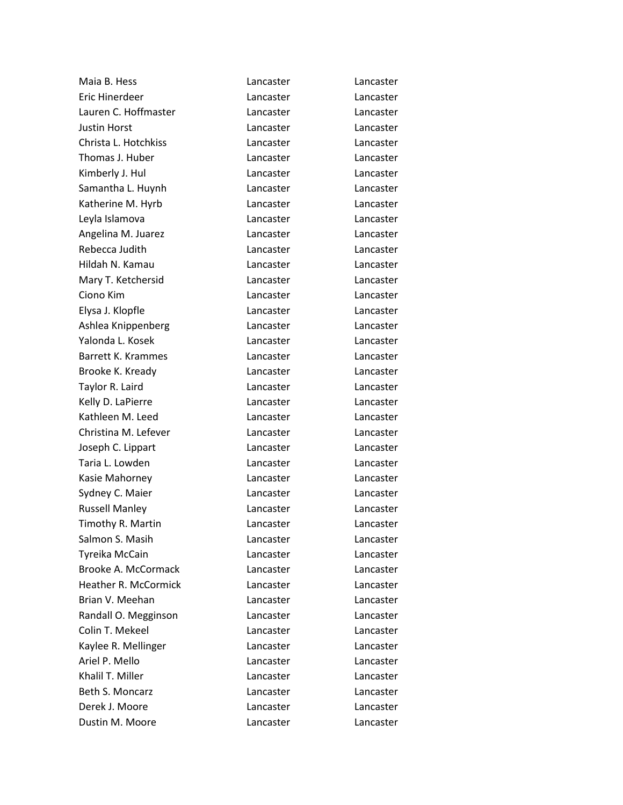| Maia B. Hess                | Lancaster | Lancaster |
|-----------------------------|-----------|-----------|
| <b>Eric Hinerdeer</b>       | Lancaster | Lancaster |
| Lauren C. Hoffmaster        | Lancaster | Lancaster |
| <b>Justin Horst</b>         | Lancaster | Lancaster |
| Christa L. Hotchkiss        | Lancaster | Lancaster |
| Thomas J. Huber             | Lancaster | Lancaster |
| Kimberly J. Hul             | Lancaster | Lancaster |
| Samantha L. Huynh           | Lancaster | Lancaster |
| Katherine M. Hyrb           | Lancaster | Lancaster |
| Leyla Islamova              | Lancaster | Lancaster |
| Angelina M. Juarez          | Lancaster | Lancaster |
| Rebecca Judith              | Lancaster | Lancaster |
| Hildah N. Kamau             | Lancaster | Lancaster |
| Mary T. Ketchersid          | Lancaster | Lancaster |
| Ciono Kim                   | Lancaster | Lancaster |
| Elysa J. Klopfle            | Lancaster | Lancaster |
| Ashlea Knippenberg          | Lancaster | Lancaster |
| Yalonda L. Kosek            | Lancaster | Lancaster |
| <b>Barrett K. Krammes</b>   | Lancaster | Lancaster |
| Brooke K. Kready            | Lancaster | Lancaster |
| Taylor R. Laird             | Lancaster | Lancaster |
| Kelly D. LaPierre           | Lancaster | Lancaster |
| Kathleen M. Leed            | Lancaster | Lancaster |
| Christina M. Lefever        | Lancaster | Lancaster |
| Joseph C. Lippart           | Lancaster | Lancaster |
| Taria L. Lowden             | Lancaster | Lancaster |
| Kasie Mahorney              | Lancaster | Lancaster |
| Sydney C. Maier             | Lancaster | Lancaster |
| <b>Russell Manley</b>       | Lancaster | Lancaster |
| Timothy R. Martin           | Lancaster | Lancaster |
| Salmon S. Masih             | Lancaster | Lancaster |
| Tyreika McCain              | Lancaster | Lancaster |
| Brooke A. McCormack         | Lancaster | Lancaster |
| <b>Heather R. McCormick</b> | Lancaster | Lancaster |
| Brian V. Meehan             | Lancaster | Lancaster |
| Randall O. Megginson        | Lancaster | Lancaster |
| Colin T. Mekeel             | Lancaster | Lancaster |
| Kaylee R. Mellinger         | Lancaster | Lancaster |
| Ariel P. Mello              | Lancaster | Lancaster |
| Khalil T. Miller            | Lancaster | Lancaster |
| Beth S. Moncarz             | Lancaster | Lancaster |
| Derek J. Moore              | Lancaster | Lancaster |
| Dustin M. Moore             | Lancaster | Lancaster |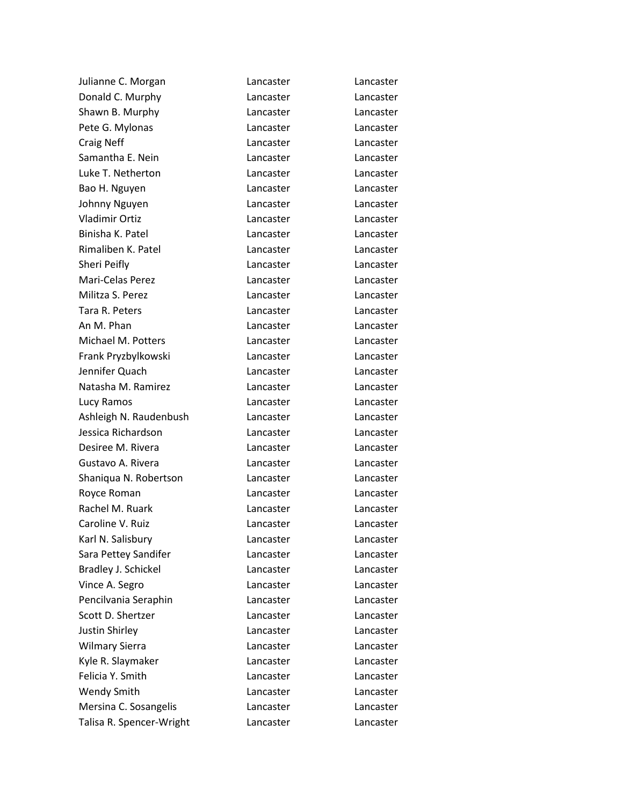| Julianne C. Morgan       | Lancaster | Lancaster |
|--------------------------|-----------|-----------|
| Donald C. Murphy         | Lancaster | Lancaster |
| Shawn B. Murphy          | Lancaster | Lancaster |
| Pete G. Mylonas          | Lancaster | Lancaster |
| <b>Craig Neff</b>        | Lancaster | Lancaster |
| Samantha E. Nein         | Lancaster | Lancaster |
| Luke T. Netherton        | Lancaster | Lancaster |
| Bao H. Nguyen            | Lancaster | Lancaster |
| Johnny Nguyen            | Lancaster | Lancaster |
| <b>Vladimir Ortiz</b>    | Lancaster | Lancaster |
| Binisha K. Patel         | Lancaster | Lancaster |
| Rimaliben K. Patel       | Lancaster | Lancaster |
| Sheri Peifly             | Lancaster | Lancaster |
| Mari-Celas Perez         | Lancaster | Lancaster |
| Militza S. Perez         | Lancaster | Lancaster |
| Tara R. Peters           | Lancaster | Lancaster |
| An M. Phan               | Lancaster | Lancaster |
| Michael M. Potters       | Lancaster | Lancaster |
| Frank Pryzbylkowski      | Lancaster | Lancaster |
| Jennifer Quach           | Lancaster | Lancaster |
| Natasha M. Ramirez       | Lancaster | Lancaster |
| Lucy Ramos               | Lancaster | Lancaster |
| Ashleigh N. Raudenbush   | Lancaster | Lancaster |
| Jessica Richardson       | Lancaster | Lancaster |
| Desiree M. Rivera        | Lancaster | Lancaster |
| Gustavo A. Rivera        | Lancaster | Lancaster |
| Shaniqua N. Robertson    | Lancaster | Lancaster |
| Royce Roman              | Lancaster | Lancaster |
| Rachel M. Ruark          | Lancaster | Lancaster |
| Caroline V. Ruiz         | Lancaster | Lancaster |
| Karl N. Salisbury        | Lancaster | Lancaster |
| Sara Pettey Sandifer     | Lancaster | Lancaster |
| Bradley J. Schickel      | Lancaster | Lancaster |
| Vince A. Segro           | Lancaster | Lancaster |
| Pencilvania Seraphin     | Lancaster | Lancaster |
| Scott D. Shertzer        | Lancaster | Lancaster |
| Justin Shirley           | Lancaster | Lancaster |
| <b>Wilmary Sierra</b>    | Lancaster | Lancaster |
| Kyle R. Slaymaker        | Lancaster | Lancaster |
| Felicia Y. Smith         | Lancaster | Lancaster |
| Wendy Smith              | Lancaster | Lancaster |
| Mersina C. Sosangelis    | Lancaster | Lancaster |
| Talisa R. Spencer-Wright | Lancaster | Lancaster |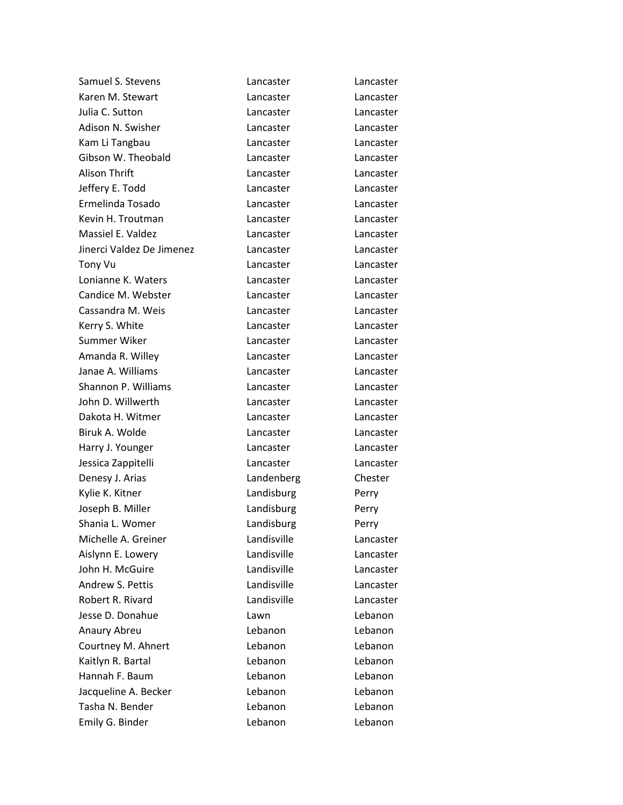| Samuel S. Stevens         | Lancaster   | Lancaster |
|---------------------------|-------------|-----------|
| Karen M. Stewart          | Lancaster   | Lancaster |
| Julia C. Sutton           | Lancaster   | Lancaster |
| Adison N. Swisher         | Lancaster   | Lancaster |
| Kam Li Tangbau            | Lancaster   | Lancaster |
| Gibson W. Theobald        | Lancaster   | Lancaster |
| <b>Alison Thrift</b>      | Lancaster   | Lancaster |
| Jeffery E. Todd           | Lancaster   | Lancaster |
| Ermelinda Tosado          | Lancaster   | Lancaster |
| Kevin H. Troutman         | Lancaster   | Lancaster |
| Massiel E. Valdez         | Lancaster   | Lancaster |
| Jinerci Valdez De Jimenez | Lancaster   | Lancaster |
| Tony Vu                   | Lancaster   | Lancaster |
| Lonianne K. Waters        | Lancaster   | Lancaster |
| Candice M. Webster        | Lancaster   | Lancaster |
| Cassandra M. Weis         | Lancaster   | Lancaster |
| Kerry S. White            | Lancaster   | Lancaster |
| Summer Wiker              | Lancaster   | Lancaster |
| Amanda R. Willey          | Lancaster   | Lancaster |
| Janae A. Williams         | Lancaster   | Lancaster |
| Shannon P. Williams       | Lancaster   | Lancaster |
| John D. Willwerth         | Lancaster   | Lancaster |
| Dakota H. Witmer          | Lancaster   | Lancaster |
| Biruk A. Wolde            | Lancaster   | Lancaster |
| Harry J. Younger          | Lancaster   | Lancaster |
| Jessica Zappitelli        | Lancaster   | Lancaster |
| Denesy J. Arias           | Landenberg  | Chester   |
| Kylie K. Kitner           | Landisburg  | Perry     |
| Joseph B. Miller          | Landisburg  | Perry     |
| Shania L. Womer           | Landisburg  | Perry     |
| Michelle A. Greiner       | Landisville | Lancaster |
| Aislynn E. Lowery         | Landisville | Lancaster |
| John H. McGuire           | Landisville | Lancaster |
| Andrew S. Pettis          | Landisville | Lancaster |
| Robert R. Rivard          | Landisville | Lancaster |
| Jesse D. Donahue          | Lawn        | Lebanon   |
| Anaury Abreu              | Lebanon     | Lebanon   |
| Courtney M. Ahnert        | Lebanon     | Lebanon   |
| Kaitlyn R. Bartal         | Lebanon     | Lebanon   |
| Hannah F. Baum            | Lebanon     | Lebanon   |
| Jacqueline A. Becker      | Lebanon     | Lebanon   |
| Tasha N. Bender           | Lebanon     | Lebanon   |
| Emily G. Binder           | Lebanon     | Lebanon   |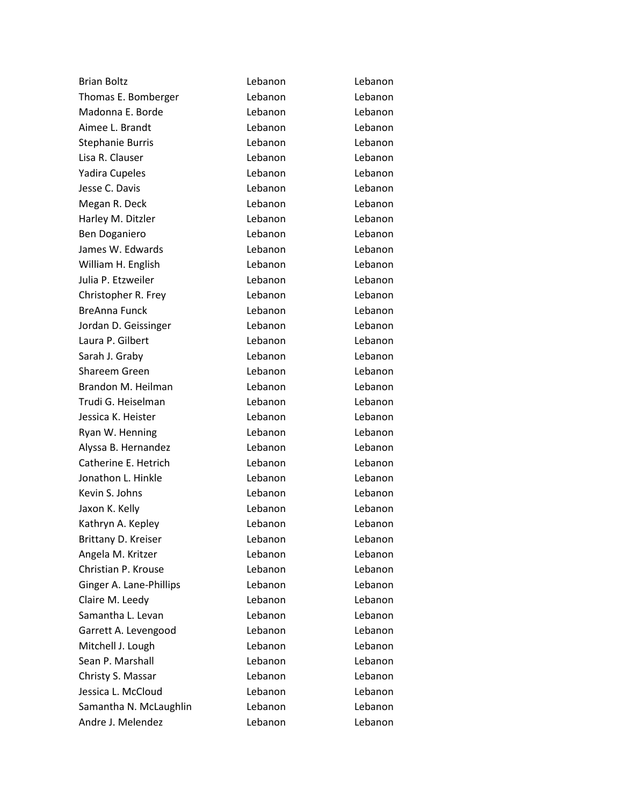| <b>Brian Boltz</b>      | Lebanon | Lebanon |
|-------------------------|---------|---------|
| Thomas E. Bomberger     | Lebanon | Lebanon |
| Madonna E. Borde        | Lebanon | Lebanon |
| Aimee L. Brandt         | Lebanon | Lebanon |
| <b>Stephanie Burris</b> | Lebanon | Lebanon |
| Lisa R. Clauser         | Lebanon | Lebanon |
| Yadira Cupeles          | Lebanon | Lebanon |
| Jesse C. Davis          | Lebanon | Lebanon |
| Megan R. Deck           | Lebanon | Lebanon |
| Harley M. Ditzler       | Lebanon | Lebanon |
| Ben Doganiero           | Lebanon | Lebanon |
| James W. Edwards        | Lebanon | Lebanon |
| William H. English      | Lebanon | Lebanon |
| Julia P. Etzweiler      | Lebanon | Lebanon |
| Christopher R. Frey     | Lebanon | Lebanon |
| <b>BreAnna Funck</b>    | Lebanon | Lebanon |
| Jordan D. Geissinger    | Lebanon | Lebanon |
| Laura P. Gilbert        | Lebanon | Lebanon |
| Sarah J. Graby          | Lebanon | Lebanon |
| Shareem Green           | Lebanon | Lebanon |
| Brandon M. Heilman      | Lebanon | Lebanon |
| Trudi G. Heiselman      | Lebanon | Lebanon |
| Jessica K. Heister      | Lebanon | Lebanon |
| Ryan W. Henning         | Lebanon | Lebanon |
| Alyssa B. Hernandez     | Lebanon | Lebanon |
| Catherine E. Hetrich    | Lebanon | Lebanon |
| Jonathon L. Hinkle      | Lebanon | Lebanon |
| Kevin S. Johns          | Lebanon | Lebanon |
| Jaxon K. Kelly          | Lebanon | Lebanon |
| Kathryn A. Kepley       | Lebanon | Lebanon |
| Brittany D. Kreiser     | Lebanon | Lebanon |
| Angela M. Kritzer       | Lebanon | Lebanon |
| Christian P. Krouse     | Lebanon | Lebanon |
| Ginger A. Lane-Phillips | Lebanon | Lebanon |
| Claire M. Leedy         | Lebanon | Lebanon |
| Samantha L. Levan       | Lebanon | Lebanon |
| Garrett A. Levengood    | Lebanon | Lebanon |
| Mitchell J. Lough       | Lebanon | Lebanon |
| Sean P. Marshall        | Lebanon | Lebanon |
| Christy S. Massar       | Lebanon | Lebanon |
| Jessica L. McCloud      | Lebanon | Lebanon |
| Samantha N. McLaughlin  | Lebanon | Lebanon |
| Andre J. Melendez       | Lebanon | Lebanon |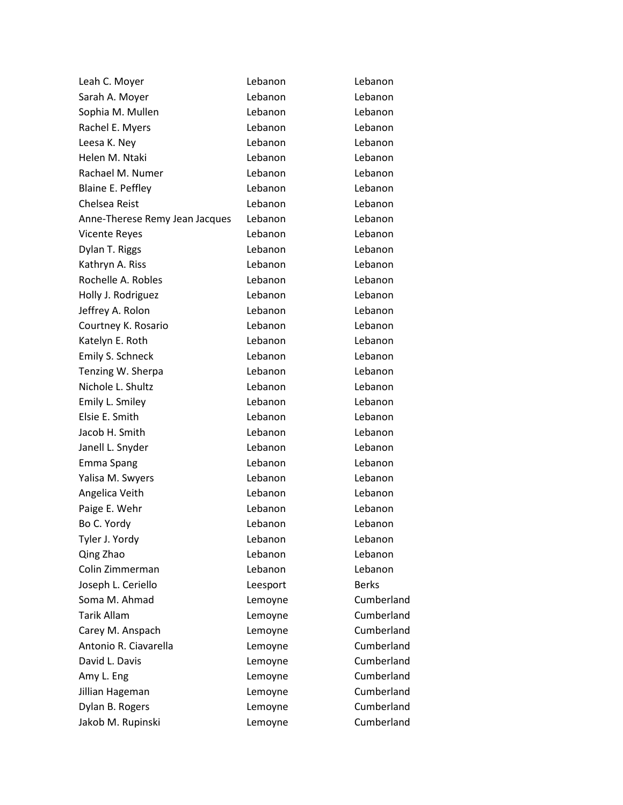| Leah C. Moyer                  | Lebanon  | Lebanon      |
|--------------------------------|----------|--------------|
| Sarah A. Moyer                 | Lebanon  | Lebanon      |
| Sophia M. Mullen               | Lebanon  | Lebanon      |
| Rachel E. Myers                | Lebanon  | Lebanon      |
| Leesa K. Ney                   | Lebanon  | Lebanon      |
| Helen M. Ntaki                 | Lebanon  | Lebanon      |
| Rachael M. Numer               | Lebanon  | Lebanon      |
| <b>Blaine E. Peffley</b>       | Lebanon  | Lebanon      |
| Chelsea Reist                  | Lebanon  | Lebanon      |
| Anne-Therese Remy Jean Jacques | Lebanon  | Lebanon      |
| <b>Vicente Reyes</b>           | Lebanon  | Lebanon      |
| Dylan T. Riggs                 | Lebanon  | Lebanon      |
| Kathryn A. Riss                | Lebanon  | Lebanon      |
| Rochelle A. Robles             | Lebanon  | Lebanon      |
| Holly J. Rodriguez             | Lebanon  | Lebanon      |
| Jeffrey A. Rolon               | Lebanon  | Lebanon      |
| Courtney K. Rosario            | Lebanon  | Lebanon      |
| Katelyn E. Roth                | Lebanon  | Lebanon      |
| Emily S. Schneck               | Lebanon  | Lebanon      |
| Tenzing W. Sherpa              | Lebanon  | Lebanon      |
| Nichole L. Shultz              | Lebanon  | Lebanon      |
| Emily L. Smiley                | Lebanon  | Lebanon      |
| Elsie E. Smith                 | Lebanon  | Lebanon      |
| Jacob H. Smith                 | Lebanon  | Lebanon      |
| Janell L. Snyder               | Lebanon  | Lebanon      |
| Emma Spang                     | Lebanon  | Lebanon      |
| Yalisa M. Swyers               | Lebanon  | Lebanon      |
| Angelica Veith                 | Lebanon  | Lebanon      |
| Paige E. Wehr                  | Lebanon  | Lebanon      |
| Bo C. Yordy                    | Lebanon  | Lebanon      |
| Tyler J. Yordy                 | Lebanon  | Lebanon      |
| Qing Zhao                      | Lebanon  | Lebanon      |
| Colin Zimmerman                | Lebanon  | Lebanon      |
| Joseph L. Ceriello             | Leesport | <b>Berks</b> |
| Soma M. Ahmad                  | Lemoyne  | Cumberland   |
| <b>Tarik Allam</b>             | Lemoyne  | Cumberland   |
| Carey M. Anspach               | Lemoyne  | Cumberland   |
| Antonio R. Ciavarella          | Lemoyne  | Cumberland   |
| David L. Davis                 | Lemoyne  | Cumberland   |
| Amy L. Eng                     | Lemoyne  | Cumberland   |
| Jillian Hageman                | Lemoyne  | Cumberland   |
| Dylan B. Rogers                | Lemoyne  | Cumberland   |
| Jakob M. Rupinski              | Lemoyne  | Cumberland   |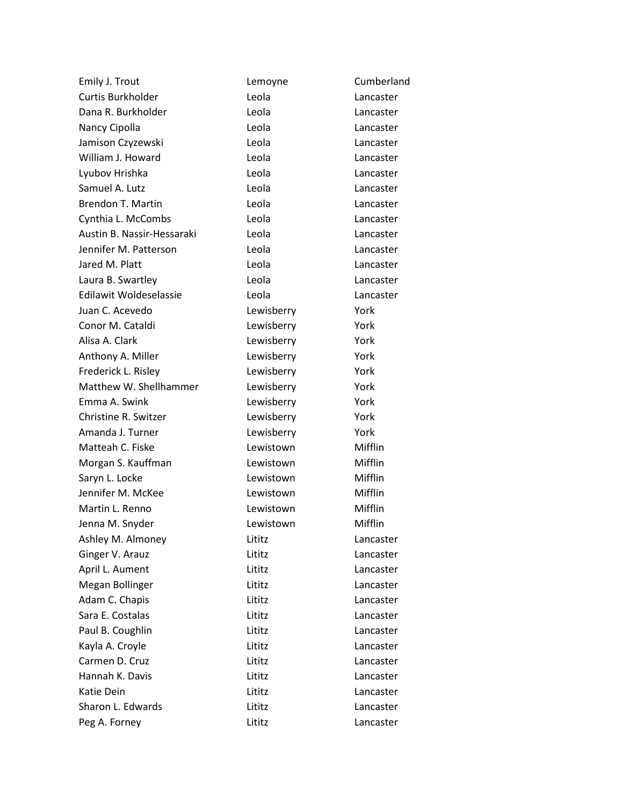| Emily J. Trout             | Lemoyne    | Cumberland |
|----------------------------|------------|------------|
| Curtis Burkholder          | Leola      | Lancaster  |
| Dana R. Burkholder         | Leola      | Lancaster  |
| Nancy Cipolla              | Leola      | Lancaster  |
| Jamison Czyzewski          | Leola      | Lancaster  |
| William J. Howard          | Leola      | Lancaster  |
| Lyubov Hrishka             | Leola      | Lancaster  |
| Samuel A. Lutz             | Leola      | Lancaster  |
| <b>Brendon T. Martin</b>   | Leola      | Lancaster  |
| Cynthia L. McCombs         | Leola      | Lancaster  |
| Austin B. Nassir-Hessaraki | Leola      | Lancaster  |
| Jennifer M. Patterson      | Leola      | Lancaster  |
| Jared M. Platt             | Leola      | Lancaster  |
| Laura B. Swartley          | Leola      | Lancaster  |
| Edilawit Woldeselassie     | Leola      | Lancaster  |
| Juan C. Acevedo            | Lewisberry | York       |
| Conor M. Cataldi           | Lewisberry | York       |
| Alisa A. Clark             | Lewisberry | York       |
| Anthony A. Miller          | Lewisberry | York       |
| Frederick L. Risley        | Lewisberry | York       |
| Matthew W. Shellhammer     | Lewisberry | York       |
| Emma A. Swink              | Lewisberry | York       |
| Christine R. Switzer       | Lewisberry | York       |
| Amanda J. Turner           | Lewisberry | York       |
| Matteah C. Fiske           | Lewistown  | Mifflin    |
| Morgan S. Kauffman         | Lewistown  | Mifflin    |
| Saryn L. Locke             | Lewistown  | Mifflin    |
| Jennifer M. McKee          | Lewistown  | Mifflin    |
| Martin L. Renno            | Lewistown  | Mifflin    |
| Jenna M. Snyder            | Lewistown  | Mifflin    |
| Ashley M. Almoney          | Lititz     | Lancaster  |
| Ginger V. Arauz            | Lititz     | Lancaster  |
| April L. Aument            | Lititz     | Lancaster  |
| Megan Bollinger            | Lititz     | Lancaster  |
| Adam C. Chapis             | Lititz     | Lancaster  |
| Sara E. Costalas           | Lititz     | Lancaster  |
| Paul B. Coughlin           | Lititz     | Lancaster  |
| Kayla A. Croyle            | Lititz     | Lancaster  |
| Carmen D. Cruz             | Lititz     | Lancaster  |
| Hannah K. Davis            | Lititz     | Lancaster  |
| Katie Dein                 | Lititz     | Lancaster  |
| Sharon L. Edwards          | Lititz     | Lancaster  |
| Peg A. Forney              | Lititz     | Lancaster  |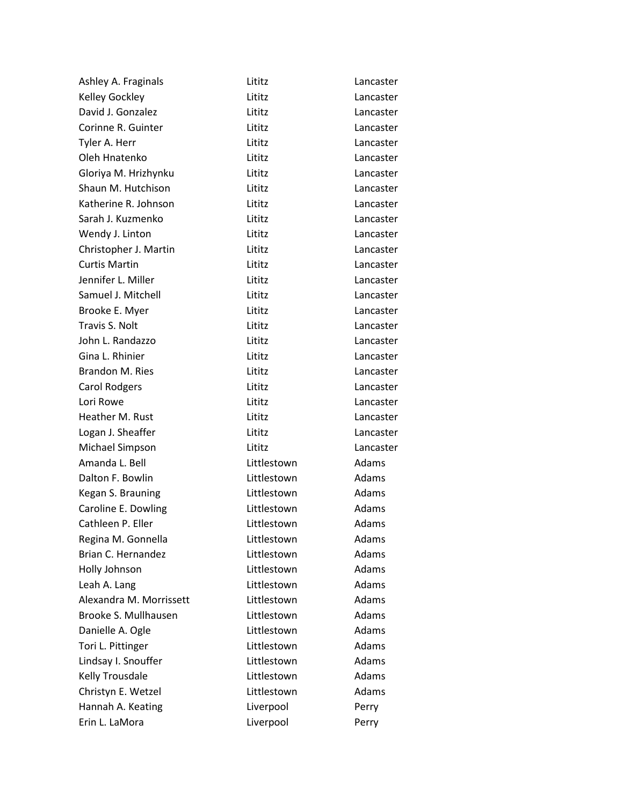| Ashley A. Fraginals     | Lititz      | Lancaster    |
|-------------------------|-------------|--------------|
| Kelley Gockley          | Lititz      | Lancaster    |
| David J. Gonzalez       | Lititz      | Lancaster    |
| Corinne R. Guinter      | Lititz      | Lancaster    |
| Tyler A. Herr           | Lititz      | Lancaster    |
| Oleh Hnatenko           | Lititz      | Lancaster    |
| Gloriya M. Hrizhynku    | Lititz      | Lancaster    |
| Shaun M. Hutchison      | Lititz      | Lancaster    |
| Katherine R. Johnson    | Lititz      | Lancaster    |
| Sarah J. Kuzmenko       | Lititz      | Lancaster    |
| Wendy J. Linton         | Lititz      | Lancaster    |
| Christopher J. Martin   | Lititz      | Lancaster    |
| <b>Curtis Martin</b>    | Lititz      | Lancaster    |
| Jennifer L. Miller      | Lititz      | Lancaster    |
| Samuel J. Mitchell      | Lititz      | Lancaster    |
| Brooke E. Myer          | Lititz      | Lancaster    |
| Travis S. Nolt          | Lititz      | Lancaster    |
| John L. Randazzo        | Lititz      | Lancaster    |
| Gina L. Rhinier         | Lititz      | Lancaster    |
| <b>Brandon M. Ries</b>  | Lititz      | Lancaster    |
| <b>Carol Rodgers</b>    | Lititz      | Lancaster    |
| Lori Rowe               | Lititz      | Lancaster    |
| Heather M. Rust         | Lititz      | Lancaster    |
| Logan J. Sheaffer       | Lititz      | Lancaster    |
| Michael Simpson         | Lititz      | Lancaster    |
| Amanda L. Bell          | Littlestown | Adams        |
| Dalton F. Bowlin        | Littlestown | Adams        |
| Kegan S. Brauning       | Littlestown | Adams        |
| Caroline E. Dowling     | Littlestown | Adams        |
| Cathleen P. Eller       | Littlestown | Adams        |
| Regina M. Gonnella      | Littlestown | Adams        |
| Brian C. Hernandez      | Littlestown | Adams        |
| Holly Johnson           | Littlestown | Adams        |
| Leah A. Lang            | Littlestown | Adams        |
| Alexandra M. Morrissett | Littlestown | Adams        |
| Brooke S. Mullhausen    | Littlestown | Adams        |
| Danielle A. Ogle        | Littlestown | Adams        |
| Tori L. Pittinger       | Littlestown | Adams        |
| Lindsay I. Snouffer     | Littlestown | <b>Adams</b> |
| Kelly Trousdale         | Littlestown | Adams        |
| Christyn E. Wetzel      | Littlestown | Adams        |
| Hannah A. Keating       | Liverpool   | Perry        |
| Erin L. LaMora          | Liverpool   | Perry        |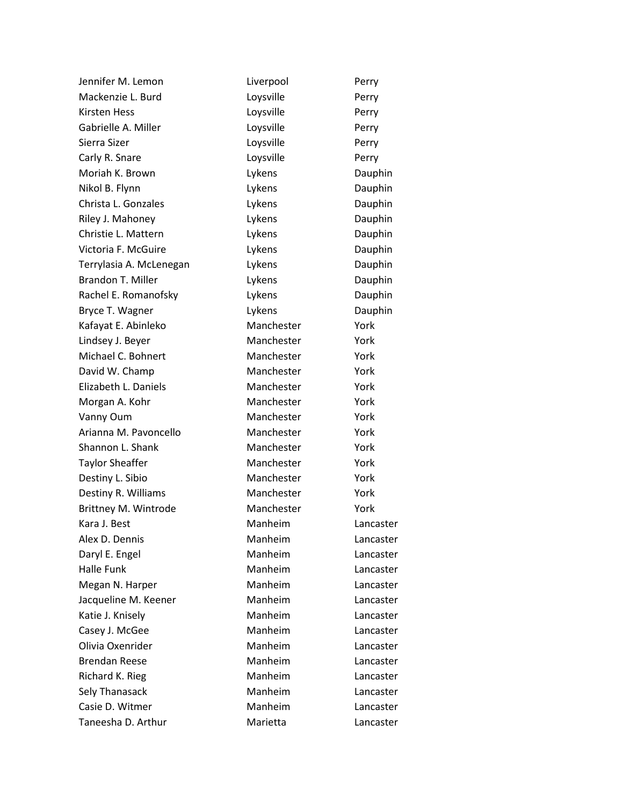| Jennifer M. Lemon        | Liverpool  | Perry     |
|--------------------------|------------|-----------|
| Mackenzie L. Burd        | Loysville  | Perry     |
| <b>Kirsten Hess</b>      | Loysville  | Perry     |
| Gabrielle A. Miller      | Loysville  | Perry     |
| Sierra Sizer             | Loysville  | Perry     |
| Carly R. Snare           | Loysville  | Perry     |
| Moriah K. Brown          | Lykens     | Dauphin   |
| Nikol B. Flynn           | Lykens     | Dauphin   |
| Christa L. Gonzales      | Lykens     | Dauphin   |
| Riley J. Mahoney         | Lykens     | Dauphin   |
| Christie L. Mattern      | Lykens     | Dauphin   |
| Victoria F. McGuire      | Lykens     | Dauphin   |
| Terrylasia A. McLenegan  | Lykens     | Dauphin   |
| <b>Brandon T. Miller</b> | Lykens     | Dauphin   |
| Rachel E. Romanofsky     | Lykens     | Dauphin   |
| Bryce T. Wagner          | Lykens     | Dauphin   |
| Kafayat E. Abinleko      | Manchester | York      |
| Lindsey J. Beyer         | Manchester | York      |
| Michael C. Bohnert       | Manchester | York      |
| David W. Champ           | Manchester | York      |
| Elizabeth L. Daniels     | Manchester | York      |
| Morgan A. Kohr           | Manchester | York      |
| Vanny Oum                | Manchester | York      |
| Arianna M. Pavoncello    | Manchester | York      |
| Shannon L. Shank         | Manchester | York      |
| <b>Taylor Sheaffer</b>   | Manchester | York      |
| Destiny L. Sibio         | Manchester | York      |
| Destiny R. Williams      | Manchester | York      |
| Brittney M. Wintrode     | Manchester | York      |
| Kara J. Best             | Manheim    | Lancaster |
| Alex D. Dennis           | Manheim    | Lancaster |
| Daryl E. Engel           | Manheim    | Lancaster |
| <b>Halle Funk</b>        | Manheim    | Lancaster |
| Megan N. Harper          | Manheim    | Lancaster |
| Jacqueline M. Keener     | Manheim    | Lancaster |
| Katie J. Knisely         | Manheim    | Lancaster |
| Casey J. McGee           | Manheim    | Lancaster |
| Olivia Oxenrider         | Manheim    | Lancaster |
| <b>Brendan Reese</b>     | Manheim    | Lancaster |
| Richard K. Rieg          | Manheim    | Lancaster |
| Sely Thanasack           | Manheim    | Lancaster |
| Casie D. Witmer          | Manheim    | Lancaster |
| Taneesha D. Arthur       | Marietta   | Lancaster |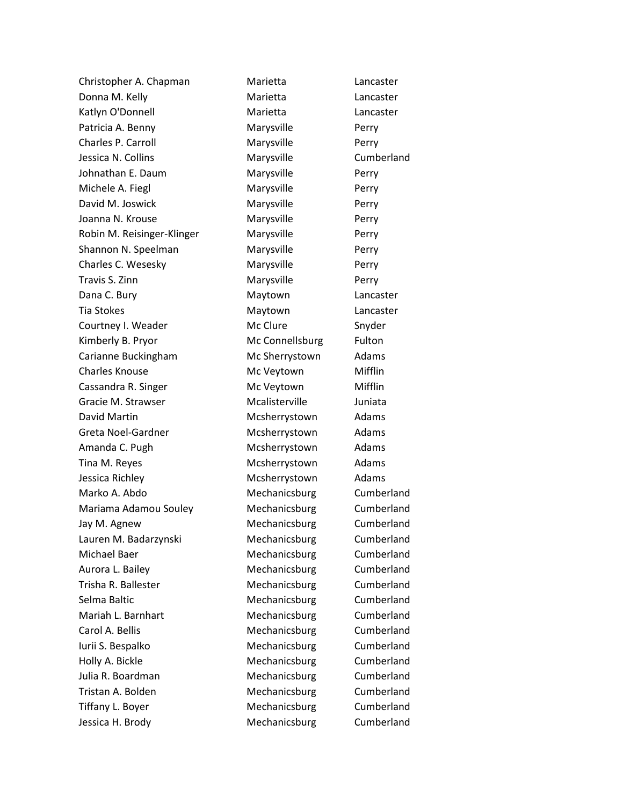| Christopher A. Chapman     | Marietta        | Lancaster  |
|----------------------------|-----------------|------------|
| Donna M. Kelly             | Marietta        | Lancaster  |
| Katlyn O'Donnell           | Marietta        | Lancaster  |
| Patricia A. Benny          | Marysville      | Perry      |
| Charles P. Carroll         | Marysville      | Perry      |
| Jessica N. Collins         | Marysville      | Cumberland |
| Johnathan E. Daum          | Marysville      | Perry      |
| Michele A. Fiegl           | Marysville      | Perry      |
| David M. Joswick           | Marysville      | Perry      |
| Joanna N. Krouse           | Marysville      | Perry      |
| Robin M. Reisinger-Klinger | Marysville      | Perry      |
| Shannon N. Speelman        | Marysville      | Perry      |
| Charles C. Wesesky         | Marysville      | Perry      |
| Travis S. Zinn             | Marysville      | Perry      |
| Dana C. Bury               | Maytown         | Lancaster  |
| <b>Tia Stokes</b>          | Maytown         | Lancaster  |
| Courtney I. Weader         | Mc Clure        | Snyder     |
| Kimberly B. Pryor          | Mc Connellsburg | Fulton     |
| Carianne Buckingham        | Mc Sherrystown  | Adams      |
| <b>Charles Knouse</b>      | Mc Veytown      | Mifflin    |
| Cassandra R. Singer        | Mc Veytown      | Mifflin    |
| Gracie M. Strawser         | Mcalisterville  | Juniata    |
| David Martin               | Mcsherrystown   | Adams      |
| Greta Noel-Gardner         | Mcsherrystown   | Adams      |
| Amanda C. Pugh             | Mcsherrystown   | Adams      |
| Tina M. Reyes              | Mcsherrystown   | Adams      |
| Jessica Richley            | Mcsherrystown   | Adams      |
| Marko A. Abdo              | Mechanicsburg   | Cumberland |
| Mariama Adamou Souley      | Mechanicsburg   | Cumberland |
| Jay M. Agnew               | Mechanicsburg   | Cumberland |
| Lauren M. Badarzynski      | Mechanicsburg   | Cumberland |
| Michael Baer               | Mechanicsburg   | Cumberland |
| Aurora L. Bailey           | Mechanicsburg   | Cumberland |
| Trisha R. Ballester        | Mechanicsburg   | Cumberland |
| Selma Baltic               | Mechanicsburg   | Cumberland |
| Mariah L. Barnhart         | Mechanicsburg   | Cumberland |
| Carol A. Bellis            | Mechanicsburg   | Cumberland |
| Iurii S. Bespalko          | Mechanicsburg   | Cumberland |
| Holly A. Bickle            | Mechanicsburg   | Cumberland |
| Julia R. Boardman          | Mechanicsburg   | Cumberland |
| Tristan A. Bolden          | Mechanicsburg   | Cumberland |
| Tiffany L. Boyer           | Mechanicsburg   | Cumberland |
| Jessica H. Brody           | Mechanicsburg   | Cumberland |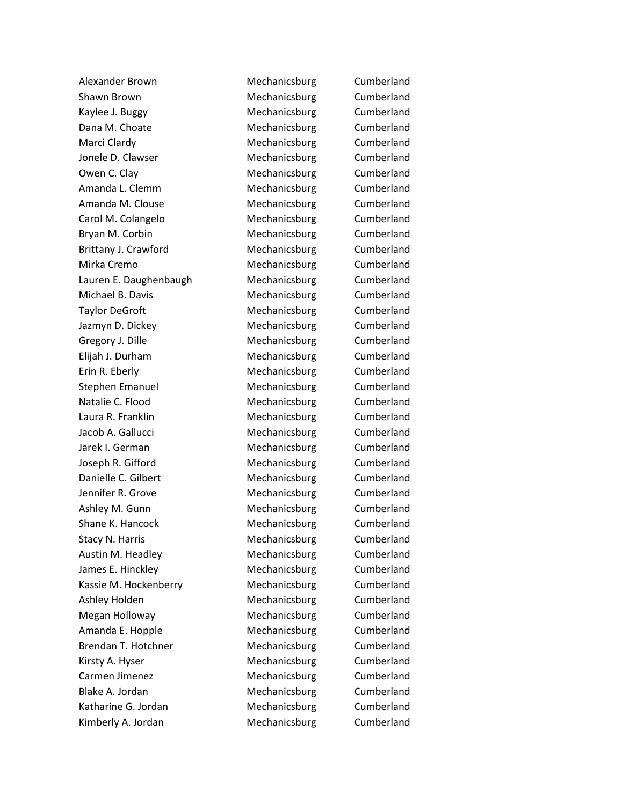Alexander Brown **Mechanicsburg** Cumberland Shawn Brown **Mechanicsburg** Cumberland Kaylee J. Buggy **Mechanicsburg** Cumberland Dana M. Choate **Mechanicsburg** Cumberland Marci Clardy **Mechanicsburg** Cumberland Jonele D. Clawser **Mechanicsburg** Cumberland Owen C. Clay Cumberland Cumberland Amanda L. Clemm Mechanicsburg Cumberland Amanda M. Clouse **Mechanicsburg** Cumberland Carol M. Colangelo Mechanicsburg Cumberland Bryan M. Corbin **Mechanicsburg** Cumberland Brittany J. Crawford **Mechanicsburg** Cumberland Mirka Cremo **Mechanicsburg** Cumberland Lauren E. Daughenbaugh Mechanicsburg Cumberland Michael B. Davis **Mechanicsburg** Cumberland Taylor DeGroft **Mechanicsburg** Cumberland Jazmyn D. Dickey Mechanicsburg Cumberland Gregory J. Dille **Mechanicsburg** Cumberland Elijah J. Durham Mechanicsburg Cumberland Erin R. Eberly **Mechanicsburg** Cumberland Stephen Emanuel **Mechanicsburg** Cumberland Natalie C. Flood **Mechanicsburg** Cumberland Laura R. Franklin **Mechanicsburg** Cumberland Jacob A. Gallucci Mechanicsburg Cumberland Jarek I. German Mechanicsburg Cumberland Joseph R. Gifford **Mechanicsburg** Cumberland Danielle C. Gilbert Mechanicsburg Cumberland Jennifer R. Grove **Mechanicsburg** Cumberland Ashley M. Gunn **Mechanicsburg** Cumberland Shane K. Hancock Mechanicsburg Cumberland Stacy N. Harris **Mechanicsburg** Cumberland Austin M. Headley Mechanicsburg Cumberland James E. Hinckley **Mechanicsburg** Cumberland Kassie M. Hockenberry **Mechanicsburg** Cumberland Ashley Holden Mechanicsburg Cumberland Megan Holloway **Mechanicsburg** Cumberland Amanda E. Hopple Mechanicsburg Cumberland Brendan T. Hotchner Mechanicsburg Cumberland Kirsty A. Hyser **Mechanicsburg** Cumberland Carmen Jimenez **Mechanicsburg** Cumberland Blake A. Jordan **Mechanicsburg** Cumberland Katharine G. Jordan Mechanicsburg Cumberland Kimberly A. Jordan Mechanicsburg Cumberland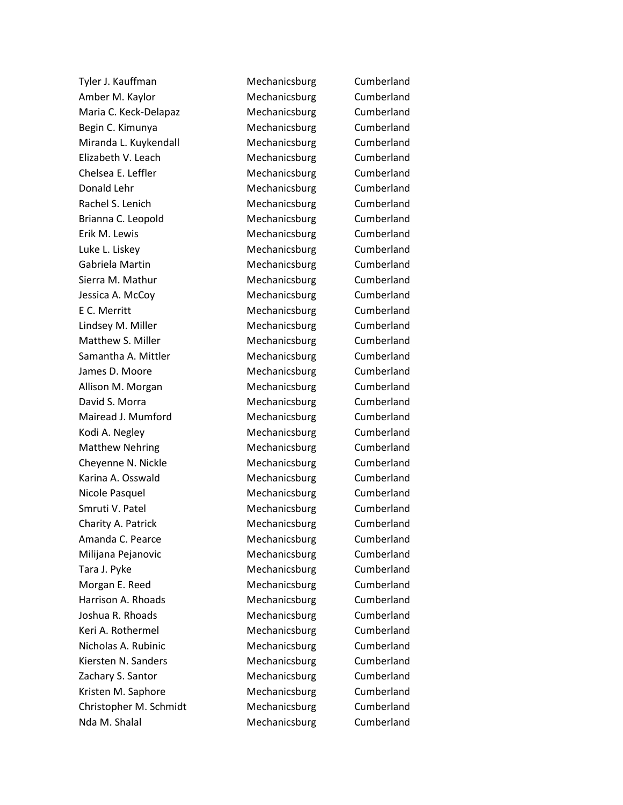Tyler J. Kauffman Mechanicsburg Cumberland Amber M. Kaylor **Mechanicsburg** Cumberland Maria C. Keck-Delapaz **Mechanicsburg** Cumberland Begin C. Kimunya **Mechanicsburg** Cumberland Miranda L. Kuykendall Mechanicsburg Cumberland Elizabeth V. Leach Mechanicsburg Cumberland Chelsea E. Leffler Mechanicsburg Cumberland Donald Lehr Mechanicsburg Cumberland Rachel S. Lenich Mechanicsburg Cumberland Brianna C. Leopold **Mechanicsburg** Cumberland Erik M. Lewis **Mechanicsburg** Cumberland Luke L. Liskey **Mechanicsburg** Cumberland Gabriela Martin **Mechanicsburg** Cumberland Sierra M. Mathur **Mechanicsburg** Cumberland Jessica A. McCoy **Mechanicsburg** Cumberland E C. Merritt **Mechanicsburg** Cumberland Lindsey M. Miller **Mechanicsburg** Cumberland Matthew S. Miller Mechanicsburg Cumberland Samantha A. Mittler **Mechanicsburg** Cumberland James D. Moore **Mechanicsburg** Cumberland Allison M. Morgan Mechanicsburg Cumberland David S. Morra **Mechanicsburg** Cumberland Mairead J. Mumford Mechanicsburg Cumberland Kodi A. Negley **Mechanicsburg** Cumberland Matthew Nehring **Mechanicsburg** Cumberland Cheyenne N. Nickle Mechanicsburg Cumberland Karina A. Osswald **Mechanicsburg** Cumberland Nicole Pasquel **Mechanicsburg** Cumberland Smruti V. Patel **Mechanicsburg** Cumberland Charity A. Patrick **Mechanicsburg** Cumberland Amanda C. Pearce **Mechanicsburg** Cumberland Milijana Pejanovic Mechanicsburg Cumberland Tara J. Pyke **Mechanicsburg** Cumberland Morgan E. Reed Mechanicsburg Cumberland Harrison A. Rhoads **Mechanicsburg** Cumberland Joshua R. Rhoads **Mechanicsburg** Cumberland Keri A. Rothermel **Mechanicsburg** Cumberland Nicholas A. Rubinic **Mechanicsburg** Cumberland Kiersten N. Sanders Mechanicsburg Cumberland Zachary S. Santor **Mechanicsburg** Cumberland Kristen M. Saphore **Mechanicsburg** Cumberland Christopher M. Schmidt Mechanicsburg Cumberland Nda M. Shalal Mechanicsburg Cumberland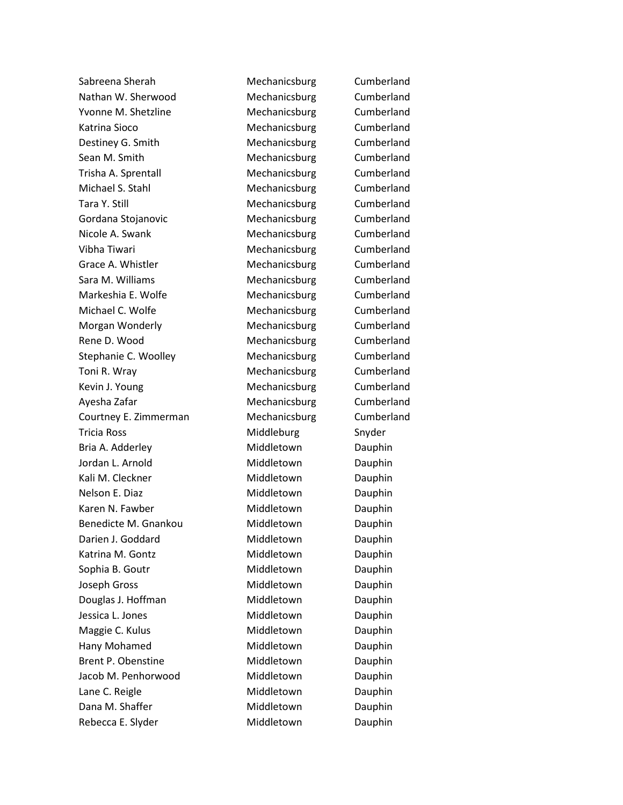Sabreena Sherah Mechanicsburg Cumberland Nathan W. Sherwood Mechanicsburg Cumberland Yvonne M. Shetzline Mechanicsburg Cumberland Katrina Sioco Mechanicsburg Cumberland Destiney G. Smith Mechanicsburg Cumberland Sean M. Smith Mechanicsburg Cumberland Trisha A. Sprentall **Mechanicsburg** Cumberland Michael S. Stahl Mechanicsburg Cumberland Tara Y. Still **Mechanicsburg** Cumberland Gordana Stojanovic **Mechanicsburg** Cumberland Nicole A. Swank Mechanicsburg Cumberland Vibha Tiwari **Mechanicsburg** Cumberland Grace A. Whistler **Mechanicsburg** Cumberland Sara M. Williams **Mechanicsburg** Cumberland Markeshia E. Wolfe Mechanicsburg Cumberland Michael C. Wolfe Mechanicsburg Cumberland Morgan Wonderly **Mechanicsburg** Cumberland Rene D. Wood Mechanicsburg Cumberland Stephanie C. Woolley **Mechanicsburg** Cumberland Toni R. Wray **Mechanicsburg** Cumberland Kevin J. Young The Cumberland Mechanicsburg Cumberland Ayesha Zafar **Mechanicsburg** Cumberland Courtney E. Zimmerman Mechanicsburg Cumberland Tricia Ross **Middleburg** Snyder Bria A. Adderley **Middletown** Dauphin Jordan L. Arnold **Middletown** Dauphin Kali M. Cleckner **Middletown** Dauphin Nelson E. Diaz **Middletown** Dauphin Karen N. Fawber **Middletown** Dauphin Benedicte M. Gnankou Middletown Dauphin Darien J. Goddard Middletown Dauphin Katrina M. Gontz **Middletown** Dauphin Sophia B. Goutr **Middletown** Dauphin Joseph Gross **Middletown** Dauphin Douglas J. Hoffman Middletown Dauphin Jessica L. Jones **Middletown** Dauphin Maggie C. Kulus **Middletown** Dauphin Hany Mohamed Middletown Dauphin Brent P. Obenstine **Middletown** Dauphin Jacob M. Penhorwood Middletown Dauphin Lane C. Reigle **Middletown** Dauphin Dana M. Shaffer **Middletown** Dauphin Rebecca E. Slyder Middletown Dauphin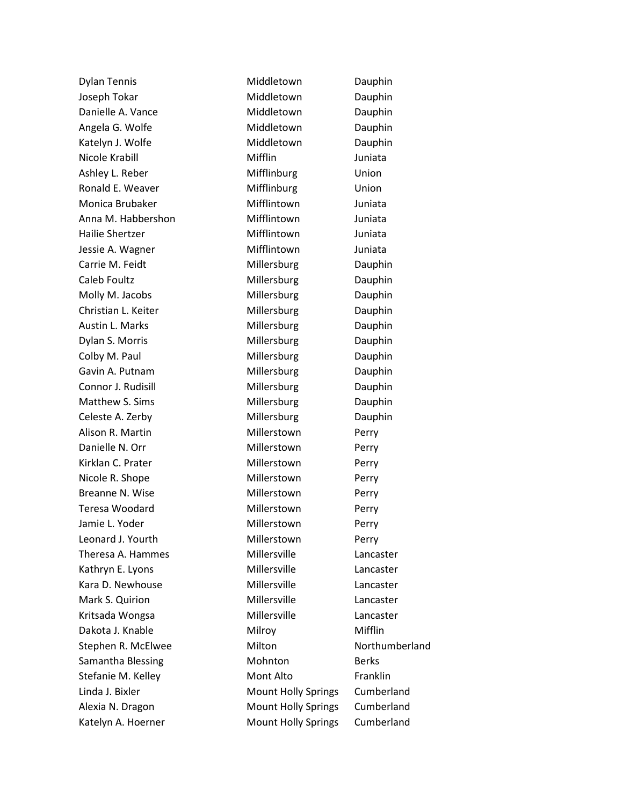| <b>Dylan Tennis</b> | Middletown                 | Dauphin        |
|---------------------|----------------------------|----------------|
| Joseph Tokar        | Middletown                 | Dauphin        |
| Danielle A. Vance   | Middletown                 | Dauphin        |
| Angela G. Wolfe     | Middletown                 | Dauphin        |
| Katelyn J. Wolfe    | Middletown                 | Dauphin        |
| Nicole Krabill      | Mifflin                    | Juniata        |
| Ashley L. Reber     | Mifflinburg                | Union          |
| Ronald E. Weaver    | Mifflinburg                | Union          |
| Monica Brubaker     | Mifflintown                | Juniata        |
| Anna M. Habbershon  | Mifflintown                | Juniata        |
| Hailie Shertzer     | Mifflintown                | Juniata        |
| Jessie A. Wagner    | Mifflintown                | Juniata        |
| Carrie M. Feidt     | Millersburg                | Dauphin        |
| Caleb Foultz        | Millersburg                | Dauphin        |
| Molly M. Jacobs     | Millersburg                | Dauphin        |
| Christian L. Keiter | Millersburg                | Dauphin        |
| Austin L. Marks     | Millersburg                | Dauphin        |
| Dylan S. Morris     | Millersburg                | Dauphin        |
| Colby M. Paul       | Millersburg                | Dauphin        |
| Gavin A. Putnam     | Millersburg                | Dauphin        |
| Connor J. Rudisill  | Millersburg                | Dauphin        |
| Matthew S. Sims     | Millersburg                | Dauphin        |
| Celeste A. Zerby    | Millersburg                | Dauphin        |
| Alison R. Martin    | Millerstown                | Perry          |
| Danielle N. Orr     | Millerstown                | Perry          |
| Kirklan C. Prater   | Millerstown                | Perry          |
| Nicole R. Shope     | Millerstown                | Perry          |
| Breanne N. Wise     | Millerstown                | Perry          |
| Teresa Woodard      | Millerstown                | Perry          |
| Jamie L. Yoder      | Millerstown                | Perry          |
| Leonard J. Yourth   | Millerstown                | Perry          |
| Theresa A. Hammes   | Millersville               | Lancaster      |
| Kathryn E. Lyons    | Millersville               | Lancaster      |
| Kara D. Newhouse    | Millersville               | Lancaster      |
| Mark S. Quirion     | Millersville               | Lancaster      |
| Kritsada Wongsa     | Millersville               | Lancaster      |
| Dakota J. Knable    | Milroy                     | Mifflin        |
| Stephen R. McElwee  | Milton                     | Northumberland |
| Samantha Blessing   | Mohnton                    | <b>Berks</b>   |
| Stefanie M. Kelley  | Mont Alto                  | Franklin       |
| Linda J. Bixler     | <b>Mount Holly Springs</b> | Cumberland     |
| Alexia N. Dragon    | <b>Mount Holly Springs</b> | Cumberland     |
| Katelyn A. Hoerner  | <b>Mount Holly Springs</b> | Cumberland     |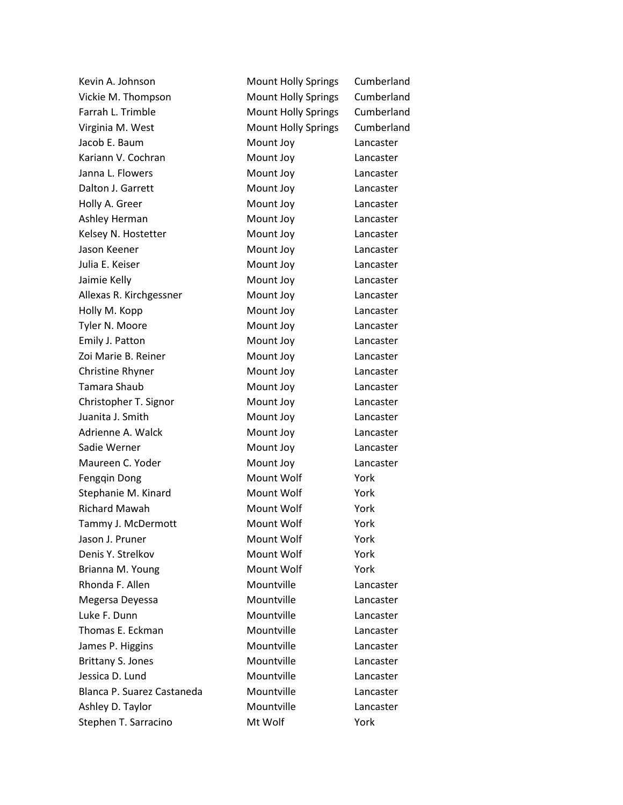| Kevin A. Johnson           | <b>Mount Holly Springs</b> | Cumberland |
|----------------------------|----------------------------|------------|
| Vickie M. Thompson         | <b>Mount Holly Springs</b> | Cumberland |
| Farrah L. Trimble          | <b>Mount Holly Springs</b> | Cumberland |
| Virginia M. West           | <b>Mount Holly Springs</b> | Cumberland |
| Jacob E. Baum              | Mount Joy                  | Lancaster  |
| Kariann V. Cochran         | Mount Joy                  | Lancaster  |
| Janna L. Flowers           | Mount Joy                  | Lancaster  |
| Dalton J. Garrett          | Mount Joy                  | Lancaster  |
| Holly A. Greer             | Mount Joy                  | Lancaster  |
| Ashley Herman              | Mount Joy                  | Lancaster  |
| Kelsey N. Hostetter        | Mount Joy                  | Lancaster  |
| Jason Keener               | Mount Joy                  | Lancaster  |
| Julia E. Keiser            | Mount Joy                  | Lancaster  |
| Jaimie Kelly               | Mount Joy                  | Lancaster  |
| Allexas R. Kirchgessner    | Mount Joy                  | Lancaster  |
| Holly M. Kopp              | Mount Joy                  | Lancaster  |
| Tyler N. Moore             | Mount Joy                  | Lancaster  |
| Emily J. Patton            | Mount Joy                  | Lancaster  |
| Zoi Marie B. Reiner        | Mount Joy                  | Lancaster  |
| Christine Rhyner           | Mount Joy                  | Lancaster  |
| <b>Tamara Shaub</b>        | Mount Joy                  | Lancaster  |
| Christopher T. Signor      | Mount Joy                  | Lancaster  |
| Juanita J. Smith           | Mount Joy                  | Lancaster  |
| Adrienne A. Walck          | Mount Joy                  | Lancaster  |
| Sadie Werner               | Mount Joy                  | Lancaster  |
| Maureen C. Yoder           | Mount Joy                  | Lancaster  |
| Fenggin Dong               | Mount Wolf                 | York       |
| Stephanie M. Kinard        | Mount Wolf                 | York       |
| <b>Richard Mawah</b>       | Mount Wolf                 | York       |
| Tammy J. McDermott         | Mount Wolf                 | York       |
| Jason J. Pruner            | Mount Wolf                 | York       |
| Denis Y. Strelkov          | Mount Wolf                 | York       |
| Brianna M. Young           | Mount Wolf                 | York       |
| Rhonda F. Allen            | Mountville                 | Lancaster  |
| Megersa Deyessa            | Mountville                 | Lancaster  |
| Luke F. Dunn               | Mountville                 | Lancaster  |
| Thomas E. Eckman           | Mountville                 | Lancaster  |
| James P. Higgins           | Mountville                 | Lancaster  |
| <b>Brittany S. Jones</b>   | Mountville                 | Lancaster  |
| Jessica D. Lund            | Mountville                 | Lancaster  |
| Blanca P. Suarez Castaneda | Mountville                 | Lancaster  |
| Ashley D. Taylor           | Mountville                 | Lancaster  |
| Stephen T. Sarracino       | Mt Wolf                    | York       |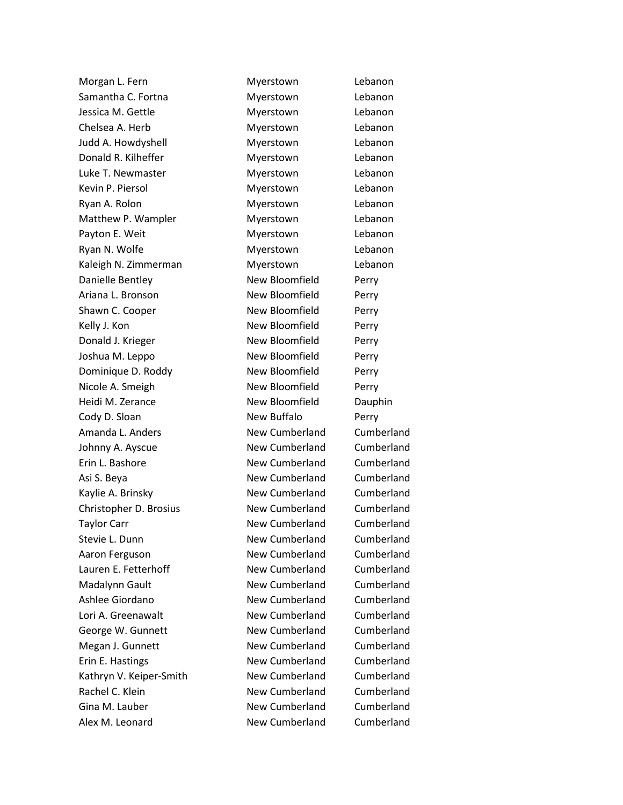Morgan L. Fern **Myerstown** Lebanon Samantha C. Fortna **Myerstown** Lebanon Jessica M. Gettle **Myerstown** Lebanon Chelsea A. Herb **Myerstown** Lebanon Judd A. Howdyshell Myerstown Lebanon Donald R. Kilheffer **Myerstown** Lebanon Luke T. Newmaster **Myerstown** Lebanon Kevin P. Piersol **Myerstown** Lebanon Ryan A. Rolon **Myerstown** Lebanon Matthew P. Wampler Myerstown Lebanon Payton E. Weit **Myerstown** Lebanon Ryan N. Wolfe **Myerstown** Myerstown Lebanon Kaleigh N. Zimmerman Myerstown Lebanon Danielle Bentley **New Bloomfield** Perry Ariana L. Bronson **New Bloomfield** Perry Shawn C. Cooper New Bloomfield Perry Kelly J. Kon **New Bloomfield** Perry Donald J. Krieger New Bloomfield Perry Joshua M. Leppo New Bloomfield Perry Dominique D. Roddy New Bloomfield Perry Nicole A. Smeigh New Bloomfield Perry Heidi M. Zerance **New Bloomfield** Dauphin Cody D. Sloan New Buffalo Perry Amanda L. Anders New Cumberland Cumberland Johnny A. Ayscue New Cumberland Cumberland Erin L. Bashore New Cumberland Cumberland Asi S. Beya New Cumberland Cumberland Kaylie A. Brinsky **New Cumberland** Cumberland Christopher D. Brosius New Cumberland Cumberland Taylor Carr **New Cumberland** Cumberland Stevie L. Dunn New Cumberland Cumberland Cumberland Aaron Ferguson New Cumberland Cumberland Lauren E. Fetterhoff New Cumberland Cumberland Madalynn Gault New Cumberland Cumberland Ashlee Giordano **New Cumberland** Cumberland Lori A. Greenawalt New Cumberland Cumberland George W. Gunnett New Cumberland Cumberland Megan J. Gunnett New Cumberland Cumberland Erin E. Hastings **New Cumberland** Cumberland Kathryn V. Keiper-Smith New Cumberland Cumberland Rachel C. Klein New Cumberland Cumberland Cumberland Gina M. Lauber **New Cumberland** Cumberland Alex M. Leonard New Cumberland Cumberland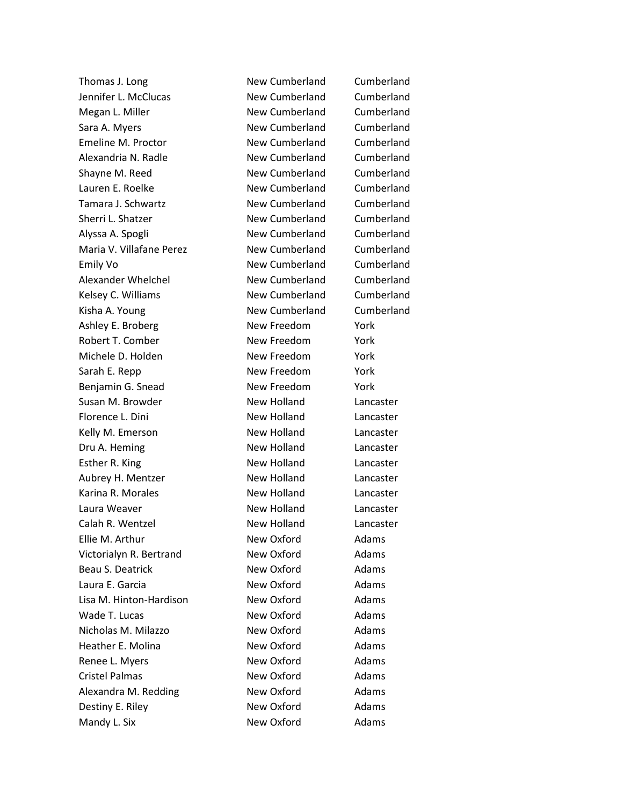Thomas J. Long New Cumberland Cumberland Jennifer L. McClucas New Cumberland Cumberland Megan L. Miller New Cumberland Cumberland Sara A. Myers **New Cumberland** Cumberland Emeline M. Proctor **New Cumberland** Cumberland Alexandria N. Radle New Cumberland Cumberland Cumberland Shayne M. Reed New Cumberland Cumberland Lauren E. Roelke New Cumberland Cumberland Cumberland Tamara J. Schwartz New Cumberland Cumberland Sherri L. Shatzer New Cumberland Cumberland Alyssa A. Spogli New Cumberland Cumberland Maria V. Villafane Perez New Cumberland Cumberland Emily Vo **New Cumberland** Cumberland Alexander Whelchel New Cumberland Cumberland Kelsey C. Williams New Cumberland Cumberland Kisha A. Young New Cumberland Cumberland Ashley E. Broberg New Freedom New Freedom Robert T. Comber New Freedom York Michele D. Holden New Freedom York Sarah E. Repp New Freedom York Benjamin G. Snead New Freedom York Susan M. Browder New Holland Lancaster Florence L. Dini **New Holland** Lancaster Kelly M. Emerson **New Holland** Lancaster Dru A. Heming New Holland Lancaster Esther R. King New Holland Lancaster Aubrey H. Mentzer New Holland Lancaster Karina R. Morales New Holland Lancaster Laura Weaver **New Holland** Lancaster Calah R. Wentzel **New Holland** Lancaster Ellie M. Arthur New Oxford Adams Victorialyn R. Bertrand New Oxford Adams Beau S. Deatrick New Oxford Adams Laura E. Garcia **New Oxford** Adams Lisa M. Hinton-Hardison New Oxford Adams Wade T. Lucas New Oxford Adams Nicholas M. Milazzo New Oxford Adams Heather E. Molina **New Oxford** Adams Renee L. Myers New Oxford Adams Cristel Palmas New Oxford Adams Alexandra M. Redding New Oxford Adams Destiny E. Riley New Oxford Adams Mandy L. Six **New Oxford** Adams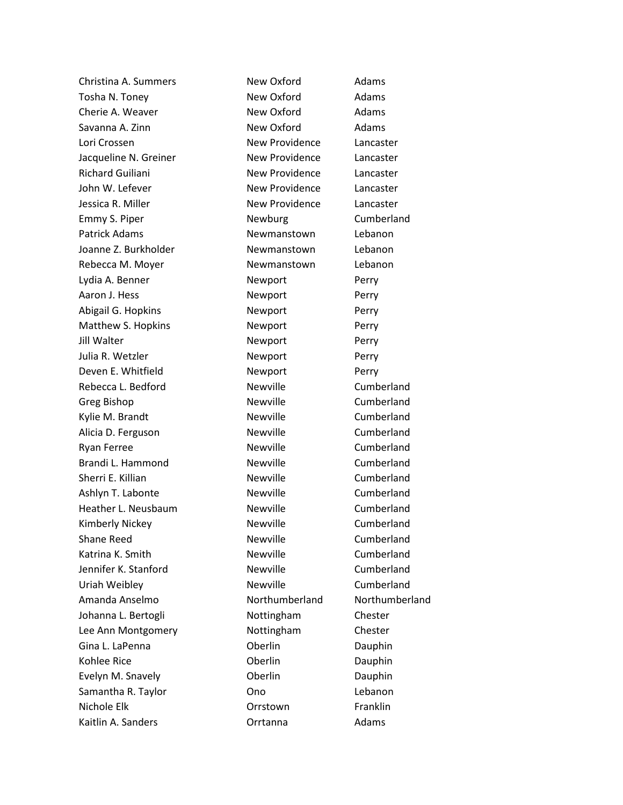Christina A. Summers New Oxford Adams Tosha N. Toney New Oxford Adams Cherie A. Weaver **New Oxford** Adams Savanna A. Zinn New Oxford Adams Lori Crossen **New Providence** Lancaster Jacqueline N. Greiner New Providence Lancaster Richard Guiliani **New Providence** Lancaster John W. Lefever **New Providence** Lancaster Jessica R. Miller New Providence Lancaster Emmy S. Piper Newburg Cumberland Patrick Adams **Newmanstown** Lebanon Joanne Z. Burkholder Newmanstown Lebanon Rebecca M. Moyer Newmanstown Lebanon Lydia A. Benner Newport Perry Aaron J. Hess Newport Perry Abigail G. Hopkins **Newport** Perry Matthew S. Hopkins Newport Perry Jill Walter **Newport** Perry Julia R. Wetzler **Newport** Perry Deven E. Whitfield **Newport** Perry Rebecca L. Bedford **Newville** Newville Cumberland Greg Bishop Newville Cumberland Kylie M. Brandt Newville Newville Cumberland Alicia D. Ferguson **Newville** Cumberland Ryan Ferree Newville Newville Cumberland Brandi L. Hammond Newville Cumberland Sherri E. Killian **Newville** Newville Cumberland Ashlyn T. Labonte **Newville** Newville Cumberland Heather L. Neusbaum Newville Cumberland Kimberly Nickey Newville Newville Cumberland Shane Reed **Newville** Newville Cumberland Katrina K. Smith Newville Newville Cumberland Jennifer K. Stanford **Newville** Cumberland Uriah Weibley **Newville** Newville Cumberland Amanda Anselmo Northumberland Northumberland Johanna L. Bertogli **Nottingham** Chester Lee Ann Montgomery **Nottingham** Chester Gina L. LaPenna **Contact Contact Contact Contact Contact Contact Contact Contact Contact Contact Contact Contact Contact Contact Contact Contact Contact Contact Contact Contact Contact Contact Contact Contact Contact Conta** Kohlee Rice **Construction Construction Construction** Dauphin Evelyn M. Snavely **Evelyn M. Snavely Conserversity** Oberlin Samantha R. Taylor Cono Cho Cho Chebanon Nichole Elk Orrstown Franklin Kaitlin A. Sanders **Canadia** Corrtanna **Adams**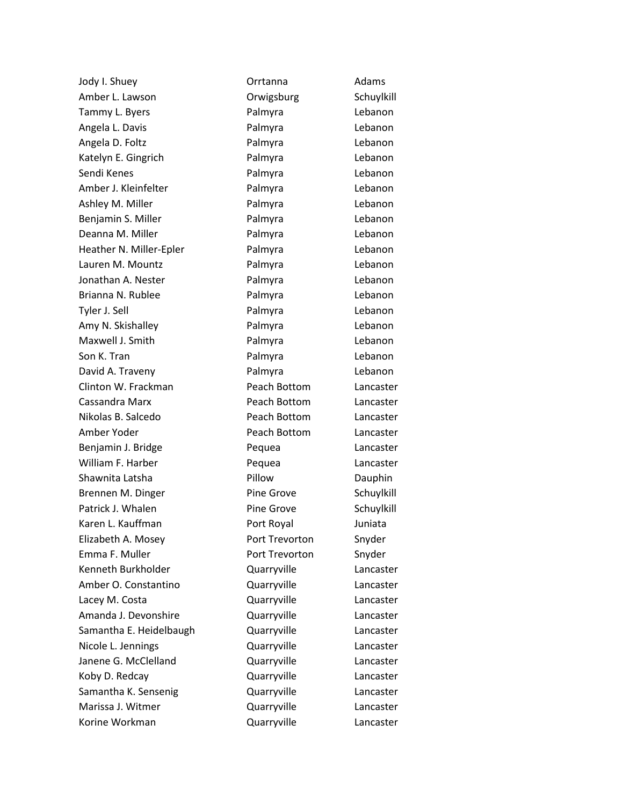Amber L. Lawson **Camber L. Lawson** Crwigsburg Schuylkill Tammy L. Byers **Example 20 Franch Palmyra** Lebanon Angela L. Davis Palmyra Lebanon Angela D. Foltz **Palmyra** Palmyra Lebanon Katelyn E. Gingrich **Palmyra** Lebanon Sendi Kenes **National Communist Communist Communist Communist Communist Communist Communist Communist Communist Communist Communist Communist Communist Communist Communist Communist Communist Communist Communist Communist** Amber J. Kleinfelter **Palmyra** Lebanon Ashley M. Miller **Palmyra** Palmyra Lebanon Benjamin S. Miller **Palmyra** Palmyra Lebanon Deanna M. Miller **New York Communist Communist Communist Communist Communist Communist Communist Communist Communist Communist Communist Communist Communist Communist Communist Communist Communist Communist Communist Commu** Heather N. Miller-Epler **Palmyra** Lebanon Lauren M. Mountz Palmyra Lebanon Jonathan A. Nester **Communist Communist Communist Communist Communist Communist Communist Communist Communist Communist Communist Communist Communist Communist Communist Communist Communist Communist Communist Communist Co** Brianna N. Rublee **Calmyra** Palmyra Lebanon Tyler J. Sell **Palmyra** Lebanon Amy N. Skishalley Palmyra Lebanon Maxwell J. Smith **Palmyra** Palmyra Lebanon Son K. Tran North Controller Son K. Tran North Controller Palmyra North Lebanon David A. Traveny Palmyra Lebanon Clinton W. Frackman Peach Bottom Lancaster Cassandra Marx Peach Bottom Lancaster Nikolas B. Salcedo Peach Bottom Lancaster Amber Yoder Peach Bottom Lancaster Benjamin J. Bridge **Pequea** Pequea Lancaster William F. Harber **National Pequea** Lancaster Shawnita Latsha **Pillow** Pillow Dauphin Brennen M. Dinger **Pine Grove** Schuylkill Patrick J. Whalen **Pine Grove** Schuylkill Karen L. Kauffman **Port Royal** Port Royal Elizabeth A. Mosey **Port Trevorton** Snyder Emma F. Muller **Port Trevorton** Snyder Kenneth Burkholder Quarryville Lancaster Amber O. Constantino Quarryville Lancaster Lacey M. Costa **Communist Contract Contract Contract Contract Contract Contract Contract Contract Contract Contract Contract Contract Contract Contract Contract Contract Contract Contract Contract Contract Contract Contrac** Amanda J. Devonshire Quarryville Lancaster Samantha E. Heidelbaugh Cuarryville Cuarryville Nicole L. Jennings **COULD EXECUTE:** Quarryville **Lancaster** Janene G. McClelland **Canada Cuarryville** Cancaster Koby D. Redcay Quarryville Lancaster Samantha K. Sensenig **Canacaster** Quarryville Lancaster Marissa J. Witmer **Cuarryville** Lancaster Korine Workman Quarryville Lancaster

Jody I. Shuey **Communist Contrainers** Orrtanna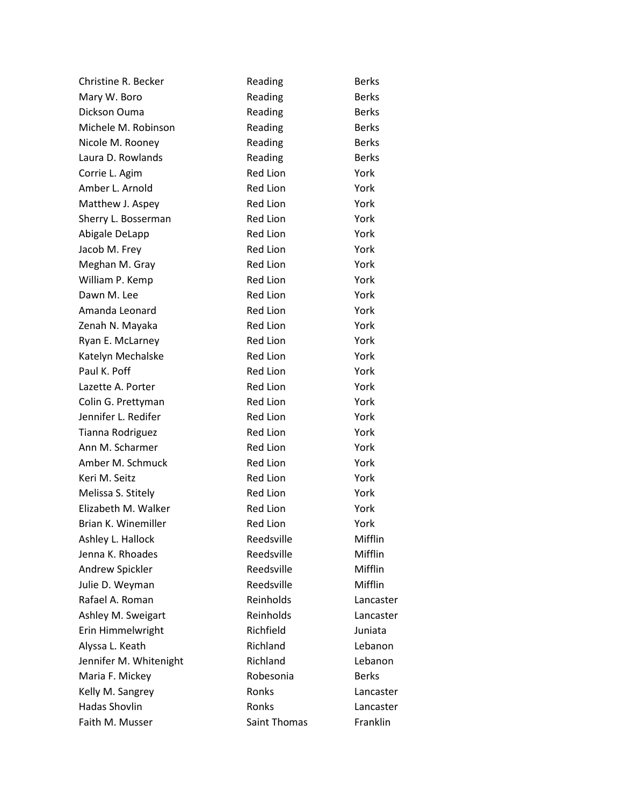| Christine R. Becker    | Reading         | <b>Berks</b> |
|------------------------|-----------------|--------------|
| Mary W. Boro           | Reading         | <b>Berks</b> |
| Dickson Ouma           | Reading         | <b>Berks</b> |
| Michele M. Robinson    | Reading         | <b>Berks</b> |
| Nicole M. Rooney       | Reading         | <b>Berks</b> |
| Laura D. Rowlands      | Reading         | <b>Berks</b> |
| Corrie L. Agim         | Red Lion        | York         |
| Amber L. Arnold        | <b>Red Lion</b> | York         |
| Matthew J. Aspey       | <b>Red Lion</b> | York         |
| Sherry L. Bosserman    | <b>Red Lion</b> | York         |
| Abigale DeLapp         | Red Lion        | York         |
| Jacob M. Frey          | <b>Red Lion</b> | York         |
| Meghan M. Gray         | Red Lion        | York         |
| William P. Kemp        | <b>Red Lion</b> | York         |
| Dawn M. Lee            | Red Lion        | York         |
| Amanda Leonard         | <b>Red Lion</b> | York         |
| Zenah N. Mayaka        | Red Lion        | York         |
| Ryan E. McLarney       | Red Lion        | York         |
| Katelyn Mechalske      | Red Lion        | York         |
| Paul K. Poff           | <b>Red Lion</b> | York         |
| Lazette A. Porter      | Red Lion        | York         |
| Colin G. Prettyman     | <b>Red Lion</b> | York         |
| Jennifer L. Redifer    | Red Lion        | York         |
| Tianna Rodriguez       | <b>Red Lion</b> | York         |
| Ann M. Scharmer        | Red Lion        | York         |
| Amber M. Schmuck       | <b>Red Lion</b> | York         |
| Keri M. Seitz          | Red Lion        | York         |
| Melissa S. Stitely     | Red Lion        | York         |
| Elizabeth M. Walker    | Red Lion        | York         |
| Brian K. Winemiller    | <b>Red Lion</b> | York         |
| Ashley L. Hallock      | Reedsville      | Mifflin      |
| Jenna K. Rhoades       | Reedsville      | Mifflin      |
| Andrew Spickler        | Reedsville      | Mifflin      |
| Julie D. Weyman        | Reedsville      | Mifflin      |
| Rafael A. Roman        | Reinholds       | Lancaster    |
| Ashley M. Sweigart     | Reinholds       | Lancaster    |
| Erin Himmelwright      | Richfield       | Juniata      |
| Alyssa L. Keath        | Richland        | Lebanon      |
| Jennifer M. Whitenight | Richland        | Lebanon      |
| Maria F. Mickey        | Robesonia       | <b>Berks</b> |
| Kelly M. Sangrey       | Ronks           | Lancaster    |
| <b>Hadas Shovlin</b>   | Ronks           | Lancaster    |
| Faith M. Musser        | Saint Thomas    | Franklin     |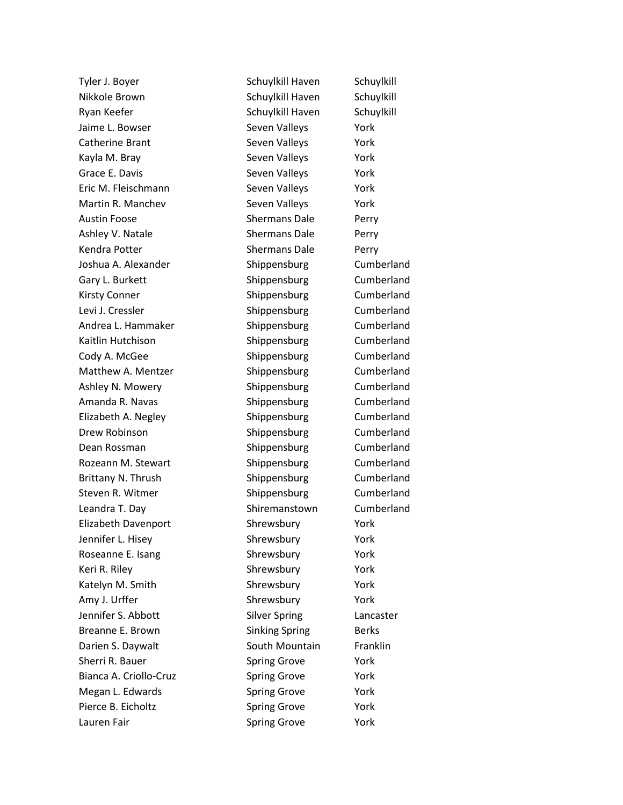Nikkole Brown Schuylkill Haven Schuylkill Ryan Keefer Schuylkill Haven Schuylkill Haven Jaime L. Bowser Seven Valleys That Seven Valleys Catherine Brant Seven Valleys Tork Kayla M. Bray Seven Valleys Nork Grace E. Davis **Seven Valleys** Seven Valleys **Seven V**ork Eric M. Fleischmann Seven Valleys York Martin R. Manchev Seven Valleys York Austin Foose Shermans Dale Perry Ashley V. Natale Shermans Dale Perry Kendra Potter Shermans Dale Perry Joshua A. Alexander Shippensburg Cumberland Gary L. Burkett **Shippensburg** Cumberland Kirsty Conner Shippensburg Cumberland Levi J. Cressler **Shippensburg** Cumberland Andrea L. Hammaker Shippensburg Cumberland Kaitlin Hutchison **Shippensburg** Cumberland Cody A. McGee Shippensburg Cumberland Matthew A. Mentzer Shippensburg Cumberland Ashley N. Mowery **Shippensburg** Cumberland Amanda R. Navas **Shippensburg** Cumberland Elizabeth A. Negley Shippensburg Cumberland Drew Robinson Shippensburg Cumberland Dean Rossman Shippensburg Cumberland Rozeann M. Stewart Shippensburg Cumberland Brittany N. Thrush Shippensburg Cumberland Steven R. Witmer Shippensburg Cumberland Leandra T. Day **Shiremanstown** Cumberland Elizabeth Davenport Shrewsbury York Jennifer L. Hisey Shrewsbury Shrewsbury Roseanne E. Isang Shrewsbury Shrewsbury York Keri R. Riley Shrewsbury Nork Katelyn M. Smith Shrewsbury Shrewsbury Nork Amy J. Urffer Shrewsbury Shrewsbury Nork Jennifer S. Abbott Silver Spring Lancaster Breanne E. Brown Sinking Spring Berks Darien S. Daywalt **South Mountain** Franklin Sherri R. Bauer Spring Grove Spring Grove Nork Bianca A. Criollo-Cruz **Spring Grove** York Megan L. Edwards **Spring Grove** York Pierce B. Eicholtz **Spring Grove** York Lauren Fair **Spring Grove** Spring Grove **York** 

Tyler J. Boyer Schuylkill Haven Schuylkill Haven Schuylkill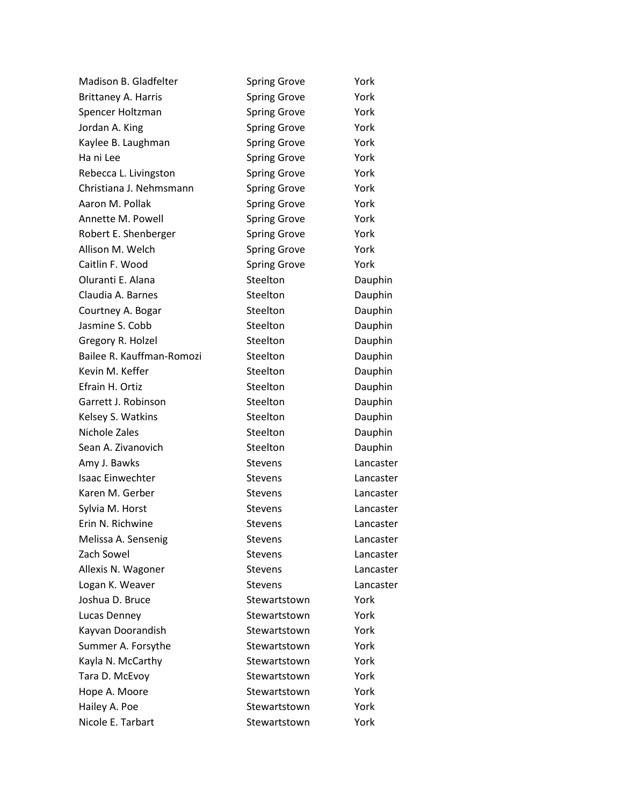| Madison B. Gladfelter     | <b>Spring Grove</b> | York      |
|---------------------------|---------------------|-----------|
| Brittaney A. Harris       | <b>Spring Grove</b> | York      |
| Spencer Holtzman          | <b>Spring Grove</b> | York      |
| Jordan A. King            | <b>Spring Grove</b> | York      |
| Kaylee B. Laughman        | <b>Spring Grove</b> | York      |
| Ha ni Lee                 | <b>Spring Grove</b> | York      |
| Rebecca L. Livingston     | <b>Spring Grove</b> | York      |
| Christiana J. Nehmsmann   | <b>Spring Grove</b> | York      |
| Aaron M. Pollak           | <b>Spring Grove</b> | York      |
| Annette M. Powell         | <b>Spring Grove</b> | York      |
| Robert E. Shenberger      | <b>Spring Grove</b> | York      |
| Allison M. Welch          | <b>Spring Grove</b> | York      |
| Caitlin F. Wood           | <b>Spring Grove</b> | York      |
| Oluranti E. Alana         | Steelton            | Dauphin   |
| Claudia A. Barnes         | Steelton            | Dauphin   |
| Courtney A. Bogar         | Steelton            | Dauphin   |
| Jasmine S. Cobb           | Steelton            | Dauphin   |
| Gregory R. Holzel         | Steelton            | Dauphin   |
| Bailee R. Kauffman-Romozi | Steelton            | Dauphin   |
| Kevin M. Keffer           | Steelton            | Dauphin   |
| Efrain H. Ortiz           | Steelton            | Dauphin   |
| Garrett J. Robinson       | Steelton            | Dauphin   |
| Kelsey S. Watkins         | Steelton            | Dauphin   |
| Nichole Zales             | Steelton            | Dauphin   |
| Sean A. Zivanovich        | Steelton            | Dauphin   |
| Amy J. Bawks              | <b>Stevens</b>      | Lancaster |
| <b>Isaac Einwechter</b>   | <b>Stevens</b>      | Lancaster |
| Karen M. Gerber           | <b>Stevens</b>      | Lancaster |
| Sylvia M. Horst           | <b>Stevens</b>      | Lancaster |
| Erin N. Richwine          | <b>Stevens</b>      | Lancaster |
| Melissa A. Sensenig       | <b>Stevens</b>      | Lancaster |
| Zach Sowel                | <b>Stevens</b>      | Lancaster |
| Allexis N. Wagoner        | <b>Stevens</b>      | Lancaster |
| Logan K. Weaver           | <b>Stevens</b>      | Lancaster |
| Joshua D. Bruce           | Stewartstown        | York      |
| Lucas Denney              | Stewartstown        | York      |
| Kayvan Doorandish         | Stewartstown        | York      |
| Summer A. Forsythe        | Stewartstown        | York      |
| Kayla N. McCarthy         | Stewartstown        | York      |
| Tara D. McEvoy            | Stewartstown        | York      |
| Hope A. Moore             | Stewartstown        | York      |
| Hailey A. Poe             | Stewartstown        | York      |
| Nicole E. Tarbart         | Stewartstown        | York      |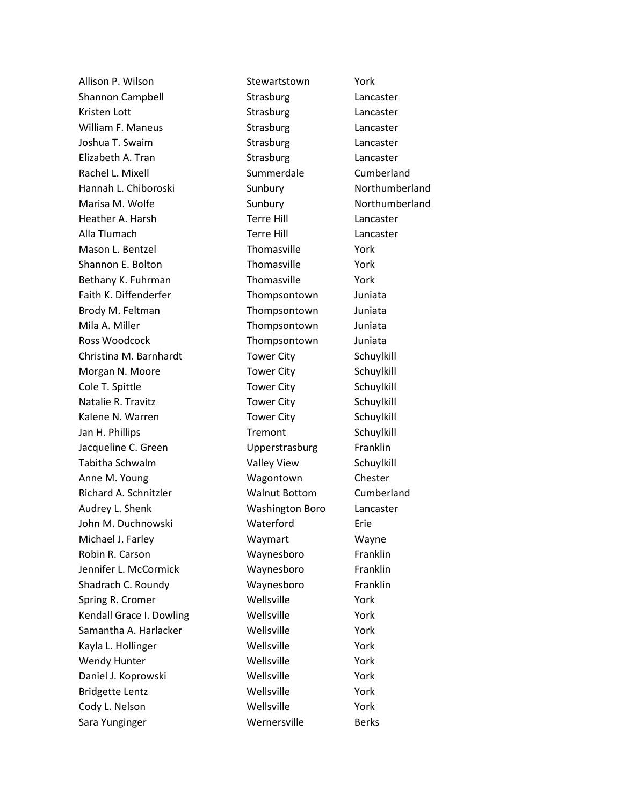Allison P. Wilson **Stewartstown** York Shannon Campbell **Strasburg** Channon Campbell **Strasburg** Kristen Lott **Contract Contract Contract Contract Contract Contract Contract Contract Contract Contract Contract Contract Contract Contract Contract Contract Contract Contract Contract Contract Contract Contract Contract C** William F. Maneus **Strasburg Constructs** Lancaster Joshua T. Swaim Strasburg Cancaster Elizabeth A. Tran Strasburg Cancaster Rachel L. Mixell **Summerdale** Cumberland Hannah L. Chiboroski Sunbury Northumberland Marisa M. Wolfe **Sunbury** Sunbury Northumberland Heather A. Harsh Terre Hill Lancaster Alla Tlumach Terre Hill Lancaster Mason L. Bentzel **Thomasville Thomasville** York Shannon E. Bolton Thomasville York Bethany K. Fuhrman Thomasville York Faith K. Diffenderfer Thompsontown Juniata Brody M. Feltman Thompsontown Juniata Mila A. Miller **Thompsontown** Juniata Ross Woodcock **Thompsontown** Juniata Christina M. Barnhardt Tower City Schuylkill Morgan N. Moore Tower City Schuylkill Cole T. Spittle The Tower City Schuylkill Natalie R. Travitz **Tower City** Schuylkill Kalene N. Warren Tower City Schuylkill Jan H. Phillips **Tremont** Schuylkill Jacqueline C. Green **C. Accept Contact Contact Contact Contact Contact Contact Contact Contact Contact Contact** Tabitha Schwalm **Valley View** Schuylkill Anne M. Young Wagontown Chester Richard A. Schnitzler Walnut Bottom Cumberland Audrey L. Shenk Washington Boro Lancaster John M. Duchnowski Waterford Erie Michael J. Farley Waymart Waymart Wayne Robin R. Carson Waynesboro Franklin Jennifer L. McCormick Waynesboro Franklin Shadrach C. Roundy **Waynesboro** Franklin Spring R. Cromer Wellsville Wellsville Kendall Grace I. Dowling Wellsville Wellsville Samantha A. Harlacker Mellsville Wellsville Kayla L. Hollinger **Wellsville Wellsville** York Wendy Hunter **Wellsville** Wellsville **Wendy** Hunter Daniel J. Koprowski Wellsville Vork Bridgette Lentz **Wellsville Wellsville Wellsville** Cody L. Nelson Wellsville Wellsville York Sara Yunginger Wernersville Berks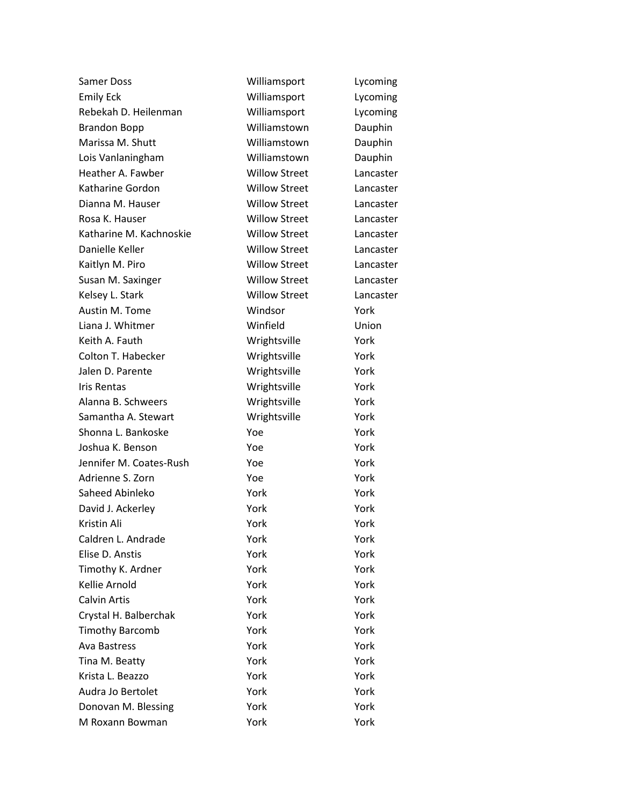| Samer Doss                | Williamsport         | Lycoming  |
|---------------------------|----------------------|-----------|
| <b>Emily Eck</b>          | Williamsport         | Lycoming  |
| Rebekah D. Heilenman      | Williamsport         | Lycoming  |
| <b>Brandon Bopp</b>       | Williamstown         | Dauphin   |
| Marissa M. Shutt          | Williamstown         | Dauphin   |
| Lois Vanlaningham         | Williamstown         | Dauphin   |
| Heather A. Fawber         | <b>Willow Street</b> | Lancaster |
| Katharine Gordon          | <b>Willow Street</b> | Lancaster |
| Dianna M. Hauser          | <b>Willow Street</b> | Lancaster |
| Rosa K. Hauser            | <b>Willow Street</b> | Lancaster |
| Katharine M. Kachnoskie   | <b>Willow Street</b> | Lancaster |
| Danielle Keller           | <b>Willow Street</b> | Lancaster |
| Kaitlyn M. Piro           | <b>Willow Street</b> | Lancaster |
| Susan M. Saxinger         | <b>Willow Street</b> | Lancaster |
| Kelsey L. Stark           | <b>Willow Street</b> | Lancaster |
| Austin M. Tome            | Windsor              | York      |
| Liana J. Whitmer          | Winfield             | Union     |
| Keith A. Fauth            | Wrightsville         | York      |
| <b>Colton T. Habecker</b> | Wrightsville         | York      |
| Jalen D. Parente          | Wrightsville         | York      |
| Iris Rentas               | Wrightsville         | York      |
| Alanna B. Schweers        | Wrightsville         | York      |
| Samantha A. Stewart       | Wrightsville         | York      |
| Shonna L. Bankoske        | Yoe                  | York      |
| Joshua K. Benson          | Yoe                  | York      |
| Jennifer M. Coates-Rush   | Yoe                  | York      |
| Adrienne S. Zorn          | Yoe                  | York      |
| Saheed Abinleko           | York                 | York      |
| David J. Ackerley         | York                 | York      |
| Kristin Ali               | York                 | York      |
| Caldren L. Andrade        | York                 | York      |
| Elise D. Anstis           | York                 | York      |
| Timothy K. Ardner         | York                 | York      |
| Kellie Arnold             | York                 | York      |
| <b>Calvin Artis</b>       | York                 | York      |
| Crystal H. Balberchak     | York                 | York      |
| <b>Timothy Barcomb</b>    | York                 | York      |
| <b>Ava Bastress</b>       | York                 | York      |
| Tina M. Beatty            | York                 | York      |
| Krista L. Beazzo          | York                 | York      |
| Audra Jo Bertolet         | York                 | York      |
| Donovan M. Blessing       | York                 | York      |
| M Roxann Bowman           | York                 | York      |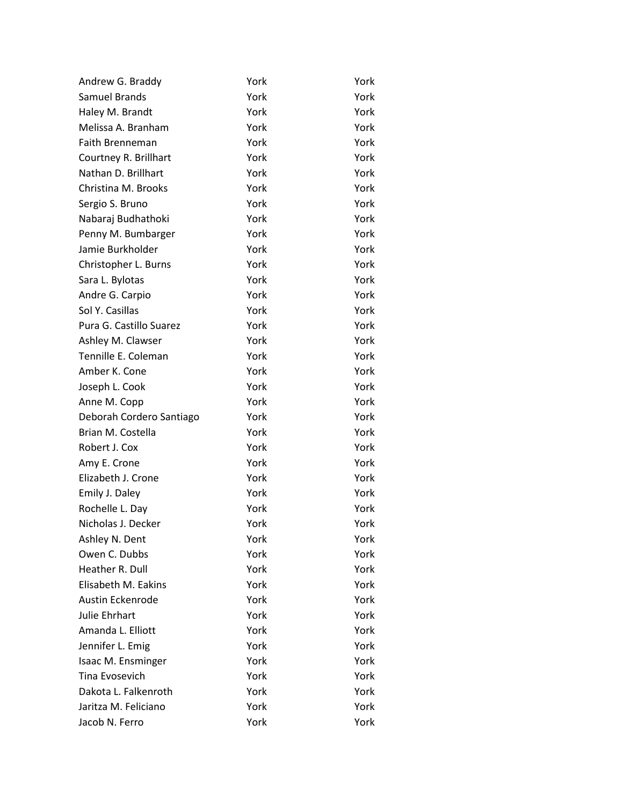| Andrew G. Braddy         | York | York |
|--------------------------|------|------|
| <b>Samuel Brands</b>     | York | York |
| Haley M. Brandt          | York | York |
| Melissa A. Branham       | York | York |
| <b>Faith Brenneman</b>   | York | York |
| Courtney R. Brillhart    | York | York |
| Nathan D. Brillhart      | York | York |
| Christina M. Brooks      | York | York |
| Sergio S. Bruno          | York | York |
| Nabaraj Budhathoki       | York | York |
| Penny M. Bumbarger       | York | York |
| Jamie Burkholder         | York | York |
| Christopher L. Burns     | York | York |
| Sara L. Bylotas          | York | York |
| Andre G. Carpio          | York | York |
| Sol Y. Casillas          | York | York |
| Pura G. Castillo Suarez  | York | York |
| Ashley M. Clawser        | York | York |
| Tennille E. Coleman      | York | York |
| Amber K. Cone            | York | York |
| Joseph L. Cook           | York | York |
| Anne M. Copp             | York | York |
| Deborah Cordero Santiago | York | York |
| Brian M. Costella        | York | York |
| Robert J. Cox            | York | York |
| Amy E. Crone             | York | York |
| Elizabeth J. Crone       | York | York |
| Emily J. Daley           | York | York |
| Rochelle L. Day          | York | York |
| Nicholas J. Decker       | York | York |
| Ashley N. Dent           | York | York |
| Owen C. Dubbs            | York | York |
| Heather R. Dull          | York | York |
| Elisabeth M. Eakins      | York | York |
| Austin Eckenrode         | York | York |
| <b>Julie Ehrhart</b>     | York | York |
| Amanda L. Elliott        | York | York |
| Jennifer L. Emig         | York | York |
| Isaac M. Ensminger       | York | York |
| Tina Evosevich           | York | York |
| Dakota L. Falkenroth     | York | York |
| Jaritza M. Feliciano     | York | York |
| Jacob N. Ferro           | York | York |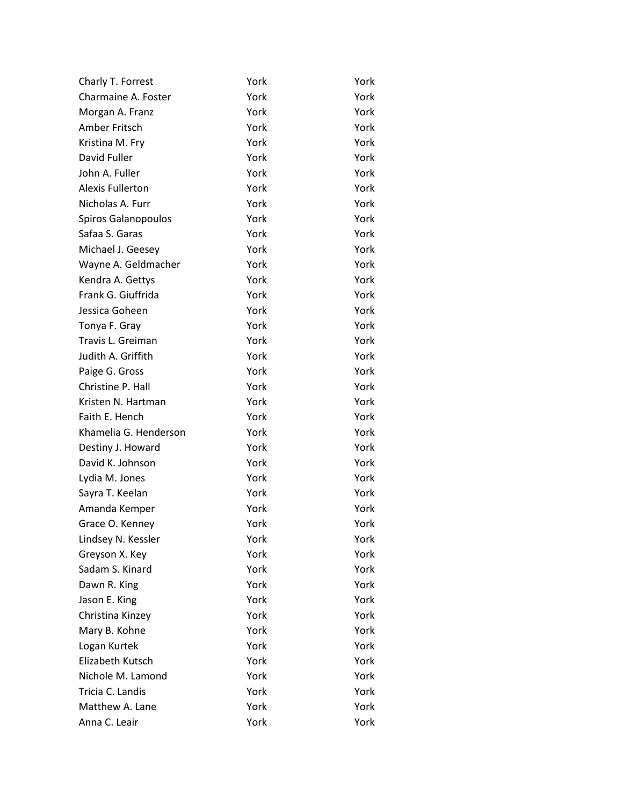| Charly T. Forrest       | York | York |
|-------------------------|------|------|
| Charmaine A. Foster     | York | York |
| Morgan A. Franz         | York | York |
| Amber Fritsch           | York | York |
| Kristina M. Fry         | York | York |
| David Fuller            | York | York |
| John A. Fuller          | York | York |
| <b>Alexis Fullerton</b> | York | York |
| Nicholas A. Furr        | York | York |
| Spiros Galanopoulos     | York | York |
| Safaa S. Garas          | York | York |
| Michael J. Geesey       | York | York |
| Wayne A. Geldmacher     | York | York |
| Kendra A. Gettys        | York | York |
| Frank G. Giuffrida      | York | York |
| Jessica Goheen          | York | York |
| Tonya F. Gray           | York | York |
| Travis L. Greiman       | York | York |
| Judith A. Griffith      | York | York |
| Paige G. Gross          | York | York |
| Christine P. Hall       | York | York |
| Kristen N. Hartman      | York | York |
| Faith E. Hench          | York | York |
| Khamelia G. Henderson   | York | York |
| Destiny J. Howard       | York | York |
| David K. Johnson        | York | York |
| Lydia M. Jones          | York | York |
| Sayra T. Keelan         | York | York |
| Amanda Kemper           | York | York |
| Grace O. Kenney         | York | York |
| Lindsey N. Kessler      | York | York |
| Greyson X. Key          | York | York |
| Sadam S. Kinard         | York | York |
| Dawn R. King            | York | York |
| Jason E. King           | York | York |
| Christina Kinzey        | York | York |
| Mary B. Kohne           | York | York |
| Logan Kurtek            | York | York |
| Elizabeth Kutsch        | York | York |
| Nichole M. Lamond       | York | York |
| Tricia C. Landis        | York | York |
| Matthew A. Lane         | York | York |
| Anna C. Leair           | York | York |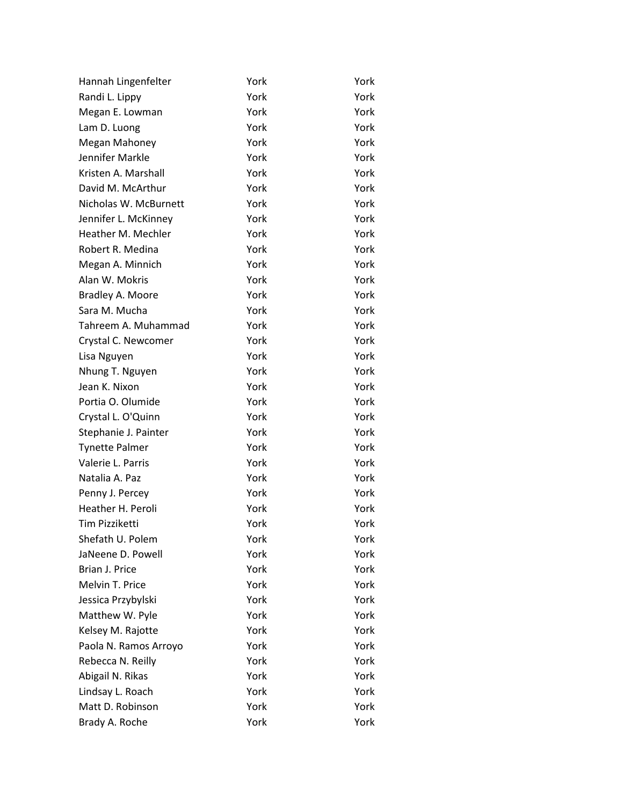| Hannah Lingenfelter   | York | York |
|-----------------------|------|------|
| Randi L. Lippy        | York | York |
| Megan E. Lowman       | York | York |
| Lam D. Luong          | York | York |
| Megan Mahoney         | York | York |
| Jennifer Markle       | York | York |
| Kristen A. Marshall   | York | York |
| David M. McArthur     | York | York |
| Nicholas W. McBurnett | York | York |
| Jennifer L. McKinney  | York | York |
| Heather M. Mechler    | York | York |
| Robert R. Medina      | York | York |
| Megan A. Minnich      | York | York |
| Alan W. Mokris        | York | York |
| Bradley A. Moore      | York | York |
| Sara M. Mucha         | York | York |
| Tahreem A. Muhammad   | York | York |
| Crystal C. Newcomer   | York | York |
| Lisa Nguyen           | York | York |
| Nhung T. Nguyen       | York | York |
| Jean K. Nixon         | York | York |
| Portia O. Olumide     | York | York |
| Crystal L. O'Quinn    | York | York |
| Stephanie J. Painter  | York | York |
| <b>Tynette Palmer</b> | York | York |
| Valerie L. Parris     | York | York |
| Natalia A. Paz        | York | York |
| Penny J. Percey       | York | York |
| Heather H. Peroli     | York | York |
| <b>Tim Pizziketti</b> | York | York |
| Shefath U. Polem      | York | York |
| JaNeene D. Powell     | York | York |
| Brian J. Price        | York | York |
| Melvin T. Price       | York | York |
| Jessica Przybylski    | York | York |
| Matthew W. Pyle       | York | York |
| Kelsey M. Rajotte     | York | York |
| Paola N. Ramos Arroyo | York | York |
| Rebecca N. Reilly     | York | York |
| Abigail N. Rikas      | York | York |
| Lindsay L. Roach      | York | York |
| Matt D. Robinson      | York | York |
| Brady A. Roche        | York | York |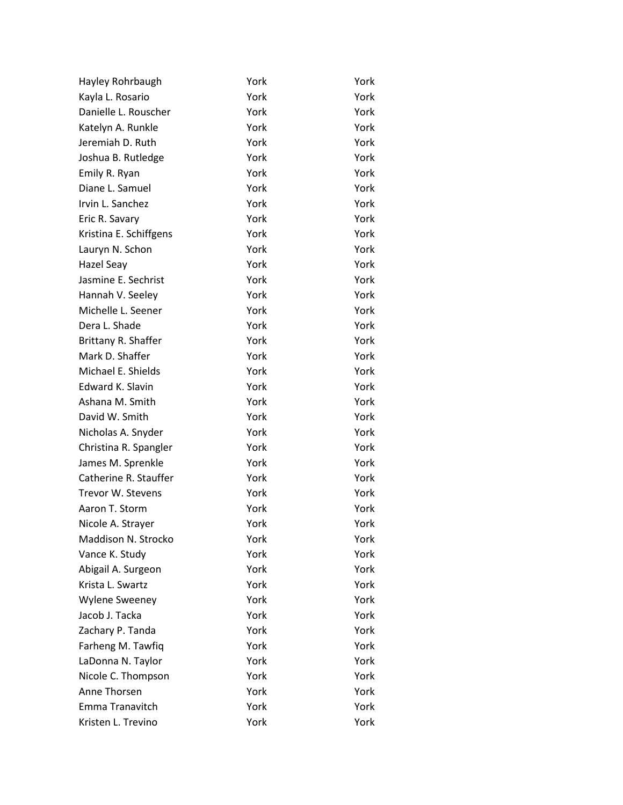| Hayley Rohrbaugh       | York | York |
|------------------------|------|------|
| Kayla L. Rosario       | York | York |
| Danielle L. Rouscher   | York | York |
| Katelyn A. Runkle      | York | York |
| Jeremiah D. Ruth       | York | York |
| Joshua B. Rutledge     | York | York |
| Emily R. Ryan          | York | York |
| Diane L. Samuel        | York | York |
| Irvin L. Sanchez       | York | York |
| Eric R. Savary         | York | York |
| Kristina E. Schiffgens | York | York |
| Lauryn N. Schon        | York | York |
| Hazel Seay             | York | York |
| Jasmine E. Sechrist    | York | York |
| Hannah V. Seeley       | York | York |
| Michelle L. Seener     | York | York |
| Dera L. Shade          | York | York |
| Brittany R. Shaffer    | York | York |
| Mark D. Shaffer        | York | York |
| Michael E. Shields     | York | York |
| Edward K. Slavin       | York | York |
| Ashana M. Smith        | York | York |
| David W. Smith         | York | York |
| Nicholas A. Snyder     | York | York |
| Christina R. Spangler  | York | York |
| James M. Sprenkle      | York | York |
| Catherine R. Stauffer  | York | York |
| Trevor W. Stevens      | York | York |
| Aaron T. Storm         | York | York |
| Nicole A. Strayer      | York | York |
| Maddison N. Strocko    | York | York |
| Vance K. Study         | York | York |
| Abigail A. Surgeon     | York | York |
| Krista L. Swartz       | York | York |
| <b>Wylene Sweeney</b>  | York | York |
| Jacob J. Tacka         | York | York |
| Zachary P. Tanda       | York | York |
| Farheng M. Tawfiq      | York | York |
| LaDonna N. Taylor      | York | York |
| Nicole C. Thompson     | York | York |
| Anne Thorsen           | York | York |
| Emma Tranavitch        | York | York |
| Kristen L. Trevino     | York | York |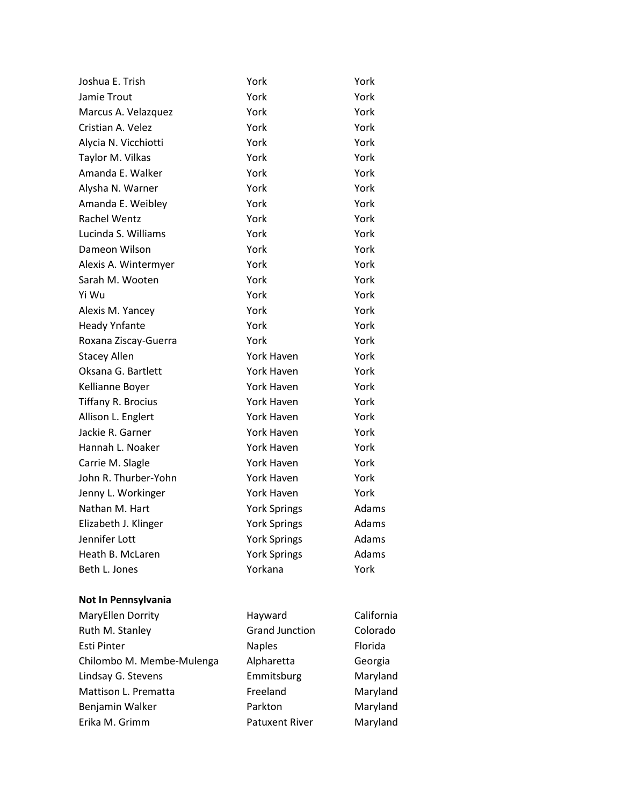| Joshua E. Trish           | York                  | York       |
|---------------------------|-----------------------|------------|
| Jamie Trout               | York                  | York       |
| Marcus A. Velazquez       | York                  | York       |
| Cristian A. Velez         | York                  | York       |
| Alycia N. Vicchiotti      | York                  | York       |
| Taylor M. Vilkas          | York                  | York       |
| Amanda E. Walker          | York                  | York       |
| Alysha N. Warner          | York                  | York       |
| Amanda E. Weibley         | York                  | York       |
| Rachel Wentz              | York                  | York       |
| Lucinda S. Williams       | York                  | York       |
| Dameon Wilson             | York                  | York       |
| Alexis A. Wintermyer      | York                  | York       |
| Sarah M. Wooten           | York                  | York       |
| Yi Wu                     | York                  | York       |
| Alexis M. Yancey          | York                  | York       |
| <b>Heady Ynfante</b>      | York                  | York       |
| Roxana Ziscay-Guerra      | York                  | York       |
| <b>Stacey Allen</b>       | York Haven            | York       |
| Oksana G. Bartlett        | York Haven            | York       |
| Kellianne Boyer           | <b>York Haven</b>     | York       |
| <b>Tiffany R. Brocius</b> | York Haven            | York       |
| Allison L. Englert        | York Haven            | York       |
| Jackie R. Garner          | York Haven            | York       |
| Hannah L. Noaker          | <b>York Haven</b>     | York       |
| Carrie M. Slagle          | York Haven            | York       |
| John R. Thurber-Yohn      | York Haven            | York       |
| Jenny L. Workinger        | York Haven            | York       |
| Nathan M. Hart            | <b>York Springs</b>   | Adams      |
| Elizabeth J. Klinger      | <b>York Springs</b>   | Adams      |
| Jennifer Lott             | <b>York Springs</b>   | Adams      |
| Heath B. McLaren          | <b>York Springs</b>   | Adams      |
| Beth L. Jones             | Yorkana               | York       |
| Not In Pennsylvania       |                       |            |
| MaryEllen Dorrity         | Hayward               | California |
| Ruth M. Stanley           | <b>Grand Junction</b> | Colorado   |
| Esti Pinter               | <b>Naples</b>         | Florida    |
| Chilombo M. Membe-Mulenga | Alpharetta            | Georgia    |
| Lindsay G. Stevens        | Emmitsburg            | Maryland   |
| Mattison L. Prematta      | Freeland              | Maryland   |
| Benjamin Walker           | Parkton               | Maryland   |
| Erika M. Grimm            | <b>Patuxent River</b> | Maryland   |